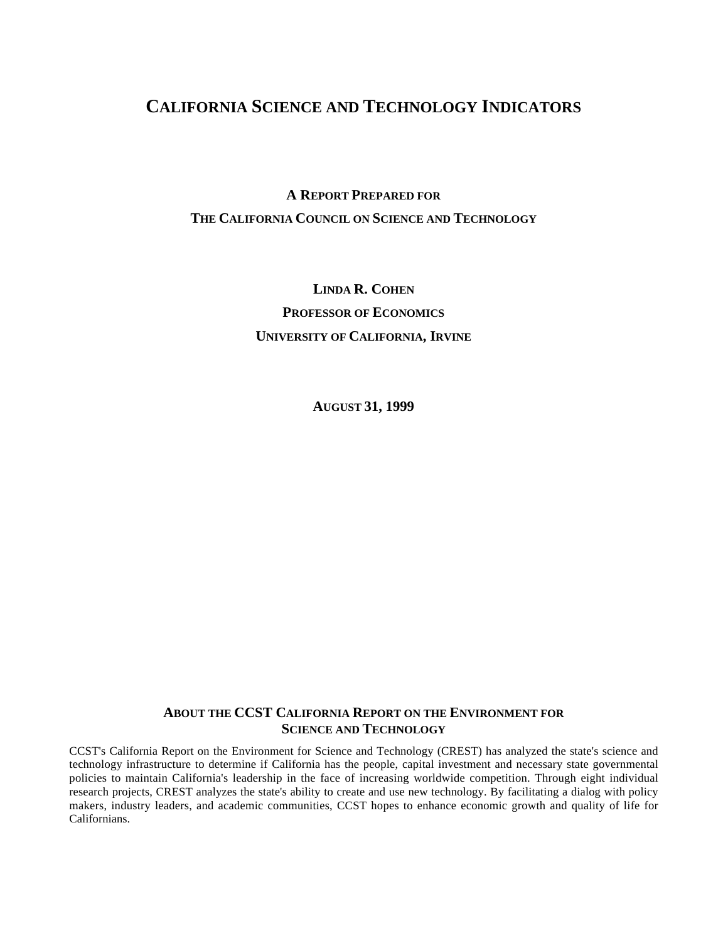## **CALIFORNIA SCIENCE AND TECHNOLOGY INDICATORS**

# **A REPORT PREPARED FOR THE CALIFORNIA COUNCIL ON SCIENCE AND TECHNOLOGY**

**LINDA R. COHEN PROFESSOR OF ECONOMICS UNIVERSITY OF CALIFORNIA, IRVINE**

**AUGUST 31, 1999**

## **ABOUT THE CCST CALIFORNIA REPORT ON THE ENVIRONMENT FOR SCIENCE AND TECHNOLOGY**

CCST's California Report on the Environment for Science and Technology (CREST) has analyzed the state's science and technology infrastructure to determine if California has the people, capital investment and necessary state governmental policies to maintain California's leadership in the face of increasing worldwide competition. Through eight individual research projects, CREST analyzes the state's ability to create and use new technology. By facilitating a dialog with policy makers, industry leaders, and academic communities, CCST hopes to enhance economic growth and quality of life for Californians.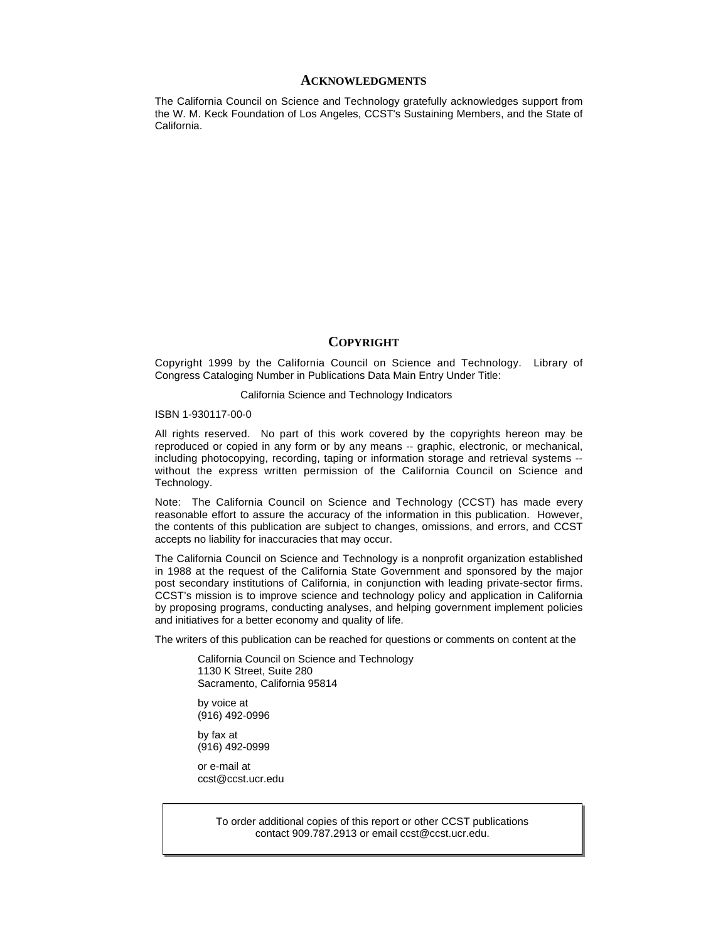#### **ACKNOWLEDGMENTS**

The California Council on Science and Technology gratefully acknowledges support from the W. M. Keck Foundation of Los Angeles, CCST's Sustaining Members, and the State of California.

#### **COPYRIGHT**

Copyright 1999 by the California Council on Science and Technology. Library of Congress Cataloging Number in Publications Data Main Entry Under Title:

#### California Science and Technology Indicators

#### ISBN 1-930117-00-0

All rights reserved. No part of this work covered by the copyrights hereon may be reproduced or copied in any form or by any means -- graphic, electronic, or mechanical, including photocopying, recording, taping or information storage and retrieval systems - without the express written permission of the California Council on Science and Technology.

Note: The California Council on Science and Technology (CCST) has made every reasonable effort to assure the accuracy of the information in this publication. However, the contents of this publication are subject to changes, omissions, and errors, and CCST accepts no liability for inaccuracies that may occur.

The California Council on Science and Technology is a nonprofit organization established in 1988 at the request of the California State Government and sponsored by the major post secondary institutions of California, in conjunction with leading private-sector firms. CCST's mission is to improve science and technology policy and application in California by proposing programs, conducting analyses, and helping government implement policies and initiatives for a better economy and quality of life.

The writers of this publication can be reached for questions or comments on content at the

California Council on Science and Technology 1130 K Street, Suite 280 Sacramento, California 95814

by voice at (916) 492-0996

by fax at (916) 492-0999

or e-mail at ccst@ccst.ucr.edu

> To order additional copies of this report or other CCST publications contact 909.787.2913 or email ccst@ccst.ucr.edu.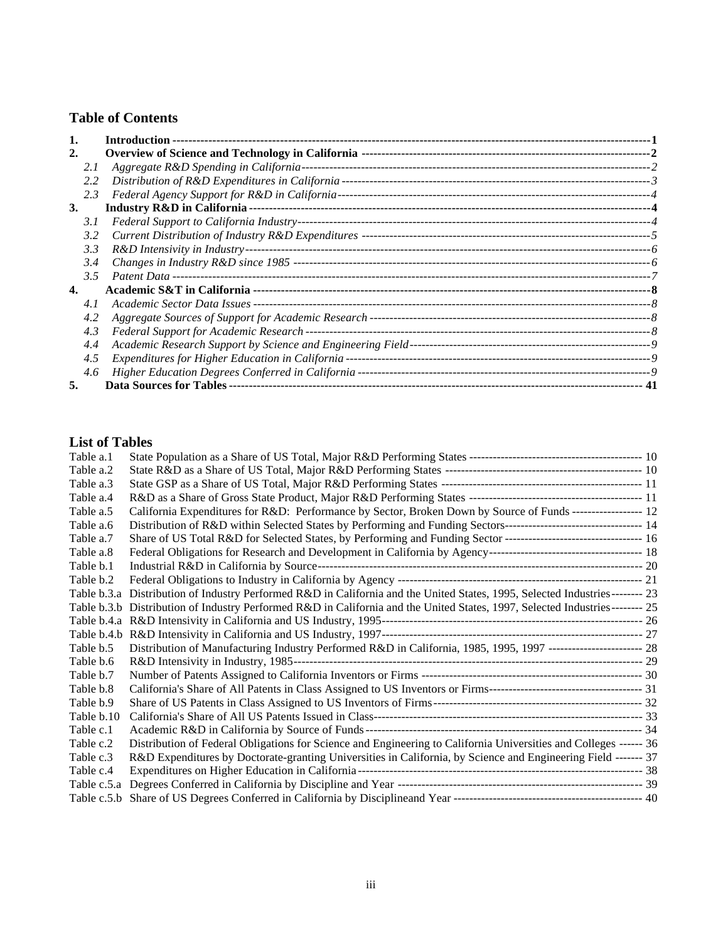## **Table of Contents**

|    |      | Introduction --                                    |     |
|----|------|----------------------------------------------------|-----|
| 2. |      |                                                    |     |
|    | 2. I |                                                    |     |
|    | 2.2  |                                                    |     |
|    | 2.3  |                                                    |     |
| 3. |      |                                                    |     |
|    | 3. I |                                                    |     |
|    | 3.2  |                                                    |     |
|    | 3.3  |                                                    |     |
|    | 3.4  |                                                    |     |
|    | 3.5  |                                                    |     |
| 4. |      |                                                    |     |
|    | 4. I |                                                    |     |
|    | 4.2  |                                                    |     |
|    | 4.3  | Federal Support for Academic Research ---          |     |
|    | 4.4  |                                                    |     |
|    | 4.5  | Expenditures for Higher Education in California -- |     |
|    | 4.6  |                                                    |     |
|    |      |                                                    | -41 |

## **List of Tables**

| Table a.1   |                                                                                                                              |  |
|-------------|------------------------------------------------------------------------------------------------------------------------------|--|
| Table a.2   |                                                                                                                              |  |
| Table a.3   |                                                                                                                              |  |
| Table a.4   |                                                                                                                              |  |
| Table a.5   | California Expenditures for R&D: Performance by Sector, Broken Down by Source of Funds ------------------ 12                 |  |
| Table a.6   |                                                                                                                              |  |
| Table a.7   |                                                                                                                              |  |
| Table a.8   |                                                                                                                              |  |
| Table b.1   |                                                                                                                              |  |
| Table b.2   |                                                                                                                              |  |
|             | Table b.3.a Distribution of Industry Performed R&D in California and the United States, 1995, Selected Industries-------- 23 |  |
|             | Table b.3.b Distribution of Industry Performed R&D in California and the United States, 1997, Selected Industries-------- 25 |  |
|             |                                                                                                                              |  |
|             |                                                                                                                              |  |
| Table b.5   | Distribution of Manufacturing Industry Performed R&D in California, 1985, 1995, 1997 ------------------------ 28             |  |
| Table b.6   |                                                                                                                              |  |
| Table b.7   |                                                                                                                              |  |
| Table b.8   |                                                                                                                              |  |
| Table b.9   |                                                                                                                              |  |
| Table b.10  |                                                                                                                              |  |
| Table c.1   |                                                                                                                              |  |
| Table c.2   | Distribution of Federal Obligations for Science and Engineering to California Universities and Colleges ------ 36            |  |
| Table c.3   | R&D Expenditures by Doctorate-granting Universities in California, by Science and Engineering Field ------- 37               |  |
| Table c.4   |                                                                                                                              |  |
| Table c.5.a |                                                                                                                              |  |
|             |                                                                                                                              |  |
|             |                                                                                                                              |  |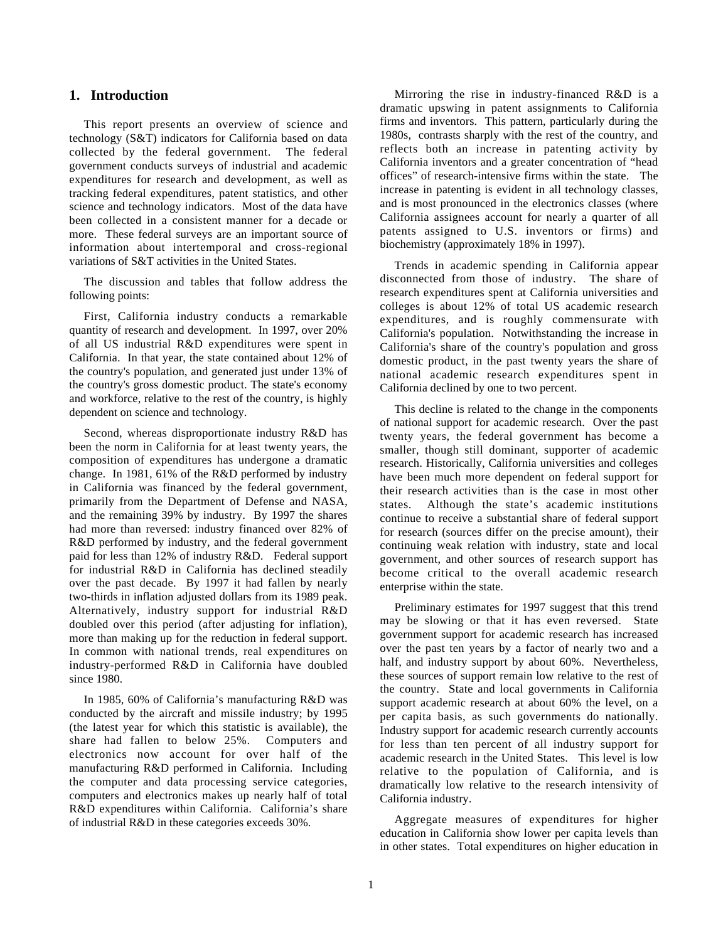#### **1. Introduction**

This report presents an overview of science and technology (S&T) indicators for California based on data collected by the federal government. The federal government conducts surveys of industrial and academic expenditures for research and development, as well as tracking federal expenditures, patent statistics, and other science and technology indicators. Most of the data have been collected in a consistent manner for a decade or more. These federal surveys are an important source of information about intertemporal and cross-regional variations of S&T activities in the United States.

The discussion and tables that follow address the following points:

First, California industry conducts a remarkable quantity of research and development. In 1997, over 20% of all US industrial R&D expenditures were spent in California. In that year, the state contained about 12% of the country's population, and generated just under 13% of the country's gross domestic product. The state's economy and workforce, relative to the rest of the country, is highly dependent on science and technology.

Second, whereas disproportionate industry R&D has been the norm in California for at least twenty years, the composition of expenditures has undergone a dramatic change. In 1981, 61% of the R&D performed by industry in California was financed by the federal government, primarily from the Department of Defense and NASA, and the remaining 39% by industry. By 1997 the shares had more than reversed: industry financed over 82% of R&D performed by industry, and the federal government paid for less than 12% of industry R&D. Federal support for industrial R&D in California has declined steadily over the past decade. By 1997 it had fallen by nearly two-thirds in inflation adjusted dollars from its 1989 peak. Alternatively, industry support for industrial R&D doubled over this period (after adjusting for inflation), more than making up for the reduction in federal support. In common with national trends, real expenditures on industry-performed R&D in California have doubled since 1980.

In 1985, 60% of California's manufacturing R&D was conducted by the aircraft and missile industry; by 1995 (the latest year for which this statistic is available), the share had fallen to below 25%. Computers and electronics now account for over half of the manufacturing R&D performed in California. Including the computer and data processing service categories, computers and electronics makes up nearly half of total R&D expenditures within California. California's share of industrial R&D in these categories exceeds 30%.

Mirroring the rise in industry-financed R&D is a dramatic upswing in patent assignments to California firms and inventors. This pattern, particularly during the 1980s, contrasts sharply with the rest of the country, and reflects both an increase in patenting activity by California inventors and a greater concentration of "head offices" of research-intensive firms within the state. The increase in patenting is evident in all technology classes, and is most pronounced in the electronics classes (where California assignees account for nearly a quarter of all patents assigned to U.S. inventors or firms) and biochemistry (approximately 18% in 1997).

Trends in academic spending in California appear disconnected from those of industry. The share of research expenditures spent at California universities and colleges is about 12% of total US academic research expenditures, and is roughly commensurate with California's population. Notwithstanding the increase in California's share of the country's population and gross domestic product, in the past twenty years the share of national academic research expenditures spent in California declined by one to two percent.

This decline is related to the change in the components of national support for academic research. Over the past twenty years, the federal government has become a smaller, though still dominant, supporter of academic research. Historically, California universities and colleges have been much more dependent on federal support for their research activities than is the case in most other states. Although the state's academic institutions continue to receive a substantial share of federal support for research (sources differ on the precise amount), their continuing weak relation with industry, state and local government, and other sources of research support has become critical to the overall academic research enterprise within the state.

Preliminary estimates for 1997 suggest that this trend may be slowing or that it has even reversed. State government support for academic research has increased over the past ten years by a factor of nearly two and a half, and industry support by about 60%. Nevertheless, these sources of support remain low relative to the rest of the country. State and local governments in California support academic research at about 60% the level, on a per capita basis, as such governments do nationally. Industry support for academic research currently accounts for less than ten percent of all industry support for academic research in the United States. This level is low relative to the population of California, and is dramatically low relative to the research intensivity of California industry.

Aggregate measures of expenditures for higher education in California show lower per capita levels than in other states. Total expenditures on higher education in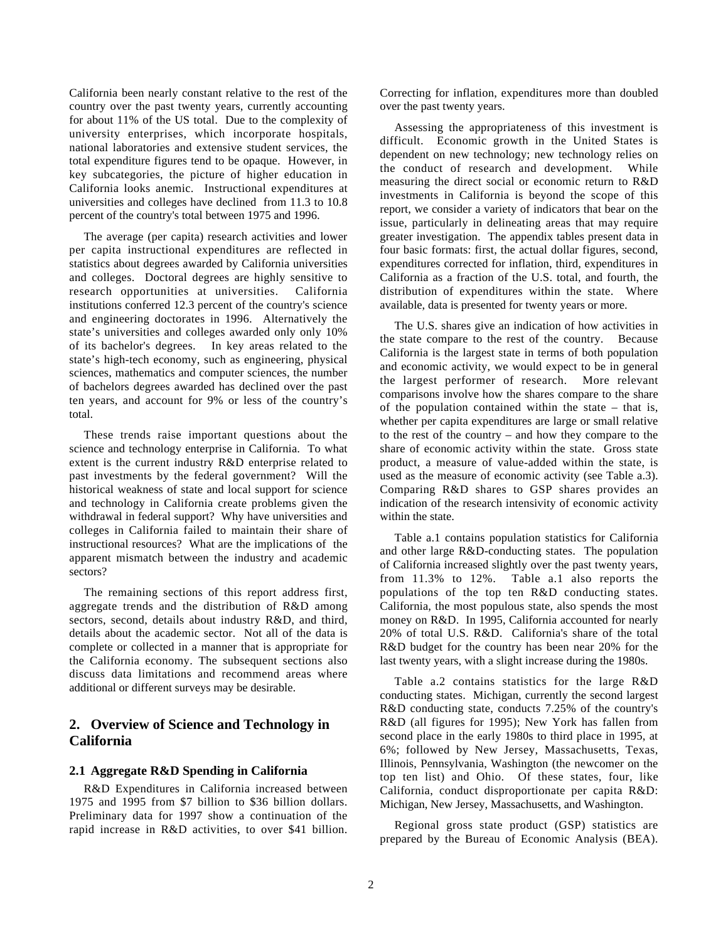California been nearly constant relative to the rest of the country over the past twenty years, currently accounting for about 11% of the US total. Due to the complexity of university enterprises, which incorporate hospitals, national laboratories and extensive student services, the total expenditure figures tend to be opaque. However, in key subcategories, the picture of higher education in California looks anemic. Instructional expenditures at universities and colleges have declined from 11.3 to 10.8 percent of the country's total between 1975 and 1996.

The average (per capita) research activities and lower per capita instructional expenditures are reflected in statistics about degrees awarded by California universities and colleges. Doctoral degrees are highly sensitive to research opportunities at universities. California institutions conferred 12.3 percent of the country's science and engineering doctorates in 1996. Alternatively the state's universities and colleges awarded only only 10% of its bachelor's degrees. In key areas related to the state's high-tech economy, such as engineering, physical sciences, mathematics and computer sciences, the number of bachelors degrees awarded has declined over the past ten years, and account for 9% or less of the country's total.

These trends raise important questions about the science and technology enterprise in California. To what extent is the current industry R&D enterprise related to past investments by the federal government? Will the historical weakness of state and local support for science and technology in California create problems given the withdrawal in federal support? Why have universities and colleges in California failed to maintain their share of instructional resources? What are the implications of the apparent mismatch between the industry and academic sectors?

The remaining sections of this report address first, aggregate trends and the distribution of R&D among sectors, second, details about industry R&D, and third, details about the academic sector. Not all of the data is complete or collected in a manner that is appropriate for the California economy. The subsequent sections also discuss data limitations and recommend areas where additional or different surveys may be desirable.

## **2. Overview of Science and Technology in California**

#### **2.1 Aggregate R&D Spending in California**

R&D Expenditures in California increased between 1975 and 1995 from \$7 billion to \$36 billion dollars. Preliminary data for 1997 show a continuation of the rapid increase in R&D activities, to over \$41 billion. Correcting for inflation, expenditures more than doubled over the past twenty years.

Assessing the appropriateness of this investment is difficult. Economic growth in the United States is dependent on new technology; new technology relies on the conduct of research and development. While measuring the direct social or economic return to R&D investments in California is beyond the scope of this report, we consider a variety of indicators that bear on the issue, particularly in delineating areas that may require greater investigation. The appendix tables present data in four basic formats: first, the actual dollar figures, second, expenditures corrected for inflation, third, expenditures in California as a fraction of the U.S. total, and fourth, the distribution of expenditures within the state. Where available, data is presented for twenty years or more.

The U.S. shares give an indication of how activities in the state compare to the rest of the country. Because California is the largest state in terms of both population and economic activity, we would expect to be in general the largest performer of research. More relevant comparisons involve how the shares compare to the share of the population contained within the state – that is, whether per capita expenditures are large or small relative to the rest of the country – and how they compare to the share of economic activity within the state. Gross state product, a measure of value-added within the state, is used as the measure of economic activity (see Table a.3). Comparing R&D shares to GSP shares provides an indication of the research intensivity of economic activity within the state.

Table a.1 contains population statistics for California and other large R&D-conducting states. The population of California increased slightly over the past twenty years, from 11.3% to 12%. Table a.1 also reports the populations of the top ten R&D conducting states. California, the most populous state, also spends the most money on R&D. In 1995, California accounted for nearly 20% of total U.S. R&D. California's share of the total R&D budget for the country has been near 20% for the last twenty years, with a slight increase during the 1980s.

Table a.2 contains statistics for the large R&D conducting states. Michigan, currently the second largest R&D conducting state, conducts 7.25% of the country's R&D (all figures for 1995); New York has fallen from second place in the early 1980s to third place in 1995, at 6%; followed by New Jersey, Massachusetts, Texas, Illinois, Pennsylvania, Washington (the newcomer on the top ten list) and Ohio. Of these states, four, like California, conduct disproportionate per capita R&D: Michigan, New Jersey, Massachusetts, and Washington.

Regional gross state product (GSP) statistics are prepared by the Bureau of Economic Analysis (BEA).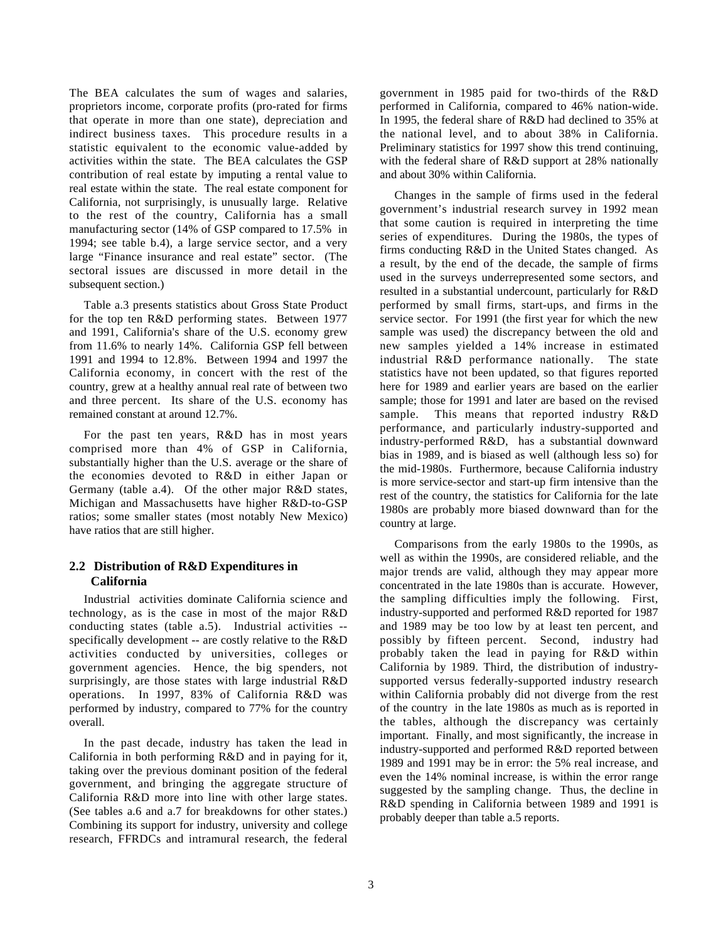The BEA calculates the sum of wages and salaries, proprietors income, corporate profits (pro-rated for firms that operate in more than one state), depreciation and indirect business taxes. This procedure results in a statistic equivalent to the economic value-added by activities within the state. The BEA calculates the GSP contribution of real estate by imputing a rental value to real estate within the state. The real estate component for California, not surprisingly, is unusually large. Relative to the rest of the country, California has a small manufacturing sector (14% of GSP compared to 17.5% in 1994; see table b.4), a large service sector, and a very large "Finance insurance and real estate" sector. (The sectoral issues are discussed in more detail in the subsequent section.)

Table a.3 presents statistics about Gross State Product for the top ten R&D performing states. Between 1977 and 1991, California's share of the U.S. economy grew from 11.6% to nearly 14%. California GSP fell between 1991 and 1994 to 12.8%. Between 1994 and 1997 the California economy, in concert with the rest of the country, grew at a healthy annual real rate of between two and three percent. Its share of the U.S. economy has remained constant at around 12.7%.

For the past ten years, R&D has in most years comprised more than 4% of GSP in California, substantially higher than the U.S. average or the share of the economies devoted to R&D in either Japan or Germany (table a.4). Of the other major R&D states, Michigan and Massachusetts have higher R&D-to-GSP ratios; some smaller states (most notably New Mexico) have ratios that are still higher.

## **2.2 Distribution of R&D Expenditures in California**

Industrial activities dominate California science and technology, as is the case in most of the major R&D conducting states (table a.5). Industrial activities - specifically development -- are costly relative to the R&D activities conducted by universities, colleges or government agencies. Hence, the big spenders, not surprisingly, are those states with large industrial R&D operations. In 1997, 83% of California R&D was performed by industry, compared to 77% for the country overall.

In the past decade, industry has taken the lead in California in both performing R&D and in paying for it, taking over the previous dominant position of the federal government, and bringing the aggregate structure of California R&D more into line with other large states. (See tables a.6 and a.7 for breakdowns for other states.) Combining its support for industry, university and college research, FFRDCs and intramural research, the federal government in 1985 paid for two-thirds of the R&D performed in California, compared to 46% nation-wide. In 1995, the federal share of R&D had declined to 35% at the national level, and to about 38% in California. Preliminary statistics for 1997 show this trend continuing. with the federal share of R&D support at 28% nationally and about 30% within California.

Changes in the sample of firms used in the federal government's industrial research survey in 1992 mean that some caution is required in interpreting the time series of expenditures. During the 1980s, the types of firms conducting R&D in the United States changed. As a result, by the end of the decade, the sample of firms used in the surveys underrepresented some sectors, and resulted in a substantial undercount, particularly for R&D performed by small firms, start-ups, and firms in the service sector. For 1991 (the first year for which the new sample was used) the discrepancy between the old and new samples yielded a 14% increase in estimated industrial R&D performance nationally. The state statistics have not been updated, so that figures reported here for 1989 and earlier years are based on the earlier sample; those for 1991 and later are based on the revised sample. This means that reported industry R&D performance, and particularly industry-supported and industry-performed R&D, has a substantial downward bias in 1989, and is biased as well (although less so) for the mid-1980s. Furthermore, because California industry is more service-sector and start-up firm intensive than the rest of the country, the statistics for California for the late 1980s are probably more biased downward than for the country at large.

Comparisons from the early 1980s to the 1990s, as well as within the 1990s, are considered reliable, and the major trends are valid, although they may appear more concentrated in the late 1980s than is accurate. However, the sampling difficulties imply the following. First, industry-supported and performed R&D reported for 1987 and 1989 may be too low by at least ten percent, and possibly by fifteen percent. Second, industry had probably taken the lead in paying for R&D within California by 1989. Third, the distribution of industrysupported versus federally-supported industry research within California probably did not diverge from the rest of the country in the late 1980s as much as is reported in the tables, although the discrepancy was certainly important. Finally, and most significantly, the increase in industry-supported and performed R&D reported between 1989 and 1991 may be in error: the 5% real increase, and even the 14% nominal increase, is within the error range suggested by the sampling change. Thus, the decline in R&D spending in California between 1989 and 1991 is probably deeper than table a.5 reports.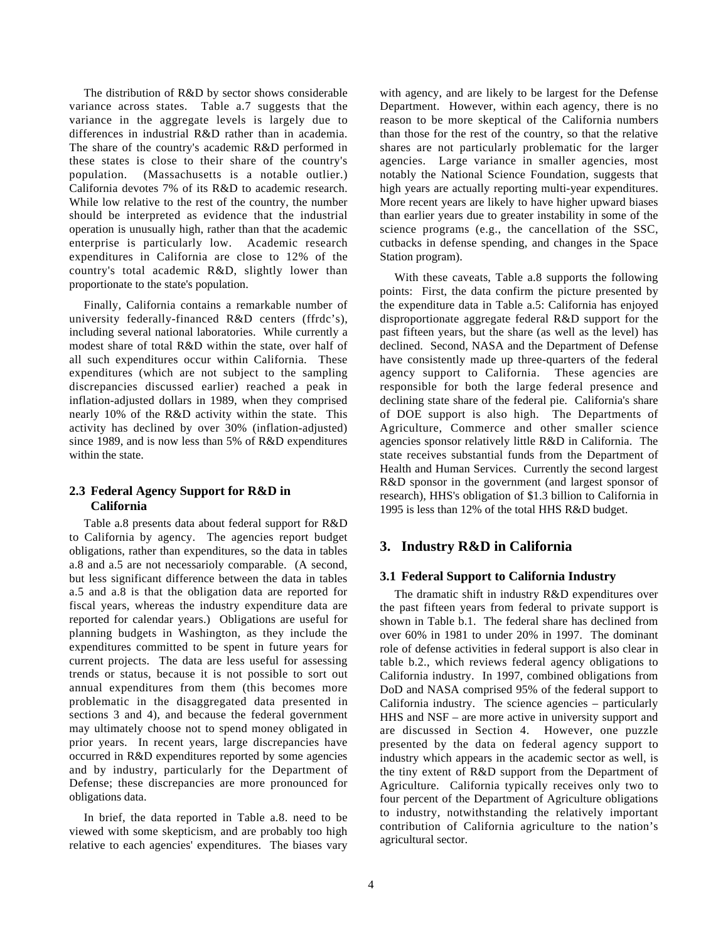The distribution of R&D by sector shows considerable variance across states. Table a.7 suggests that the variance in the aggregate levels is largely due to differences in industrial R&D rather than in academia. The share of the country's academic R&D performed in these states is close to their share of the country's population. (Massachusetts is a notable outlier.) California devotes 7% of its R&D to academic research. While low relative to the rest of the country, the number should be interpreted as evidence that the industrial operation is unusually high, rather than that the academic enterprise is particularly low. Academic research expenditures in California are close to 12% of the country's total academic R&D, slightly lower than proportionate to the state's population.

Finally, California contains a remarkable number of university federally-financed R&D centers (ffrdc's), including several national laboratories. While currently a modest share of total R&D within the state, over half of all such expenditures occur within California. These expenditures (which are not subject to the sampling discrepancies discussed earlier) reached a peak in inflation-adjusted dollars in 1989, when they comprised nearly 10% of the R&D activity within the state. This activity has declined by over 30% (inflation-adjusted) since 1989, and is now less than 5% of R&D expenditures within the state.

## **2.3 Federal Agency Support for R&D in California**

Table a.8 presents data about federal support for R&D to California by agency. The agencies report budget obligations, rather than expenditures, so the data in tables a.8 and a.5 are not necessarioly comparable. (A second, but less significant difference between the data in tables a.5 and a.8 is that the obligation data are reported for fiscal years, whereas the industry expenditure data are reported for calendar years.) Obligations are useful for planning budgets in Washington, as they include the expenditures committed to be spent in future years for current projects. The data are less useful for assessing trends or status, because it is not possible to sort out annual expenditures from them (this becomes more problematic in the disaggregated data presented in sections 3 and 4), and because the federal government may ultimately choose not to spend money obligated in prior years. In recent years, large discrepancies have occurred in R&D expenditures reported by some agencies and by industry, particularly for the Department of Defense; these discrepancies are more pronounced for obligations data.

In brief, the data reported in Table a.8. need to be viewed with some skepticism, and are probably too high relative to each agencies' expenditures. The biases vary

with agency, and are likely to be largest for the Defense Department. However, within each agency, there is no reason to be more skeptical of the California numbers than those for the rest of the country, so that the relative shares are not particularly problematic for the larger agencies. Large variance in smaller agencies, most notably the National Science Foundation, suggests that high years are actually reporting multi-year expenditures. More recent years are likely to have higher upward biases than earlier years due to greater instability in some of the science programs (e.g., the cancellation of the SSC, cutbacks in defense spending, and changes in the Space Station program).

With these caveats, Table a.8 supports the following points: First, the data confirm the picture presented by the expenditure data in Table a.5: California has enjoyed disproportionate aggregate federal R&D support for the past fifteen years, but the share (as well as the level) has declined. Second, NASA and the Department of Defense have consistently made up three-quarters of the federal agency support to California. These agencies are responsible for both the large federal presence and declining state share of the federal pie. California's share of DOE support is also high. The Departments of Agriculture, Commerce and other smaller science agencies sponsor relatively little R&D in California. The state receives substantial funds from the Department of Health and Human Services. Currently the second largest R&D sponsor in the government (and largest sponsor of research), HHS's obligation of \$1.3 billion to California in 1995 is less than 12% of the total HHS R&D budget.

## **3. Industry R&D in California**

### **3.1 Federal Support to California Industry**

The dramatic shift in industry R&D expenditures over the past fifteen years from federal to private support is shown in Table b.1. The federal share has declined from over 60% in 1981 to under 20% in 1997. The dominant role of defense activities in federal support is also clear in table b.2., which reviews federal agency obligations to California industry. In 1997, combined obligations from DoD and NASA comprised 95% of the federal support to California industry. The science agencies – particularly HHS and NSF – are more active in university support and are discussed in Section 4. However, one puzzle presented by the data on federal agency support to industry which appears in the academic sector as well, is the tiny extent of R&D support from the Department of Agriculture. California typically receives only two to four percent of the Department of Agriculture obligations to industry, notwithstanding the relatively important contribution of California agriculture to the nation's agricultural sector.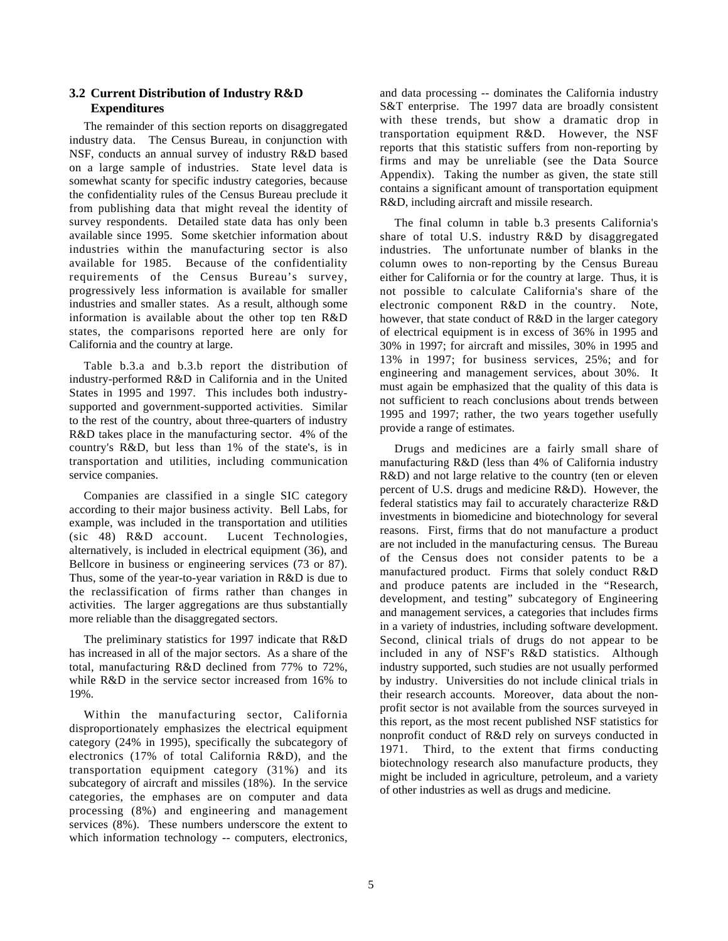## **3.2 Current Distribution of Industry R&D Expenditures**

The remainder of this section reports on disaggregated industry data. The Census Bureau, in conjunction with NSF, conducts an annual survey of industry R&D based on a large sample of industries. State level data is somewhat scanty for specific industry categories, because the confidentiality rules of the Census Bureau preclude it from publishing data that might reveal the identity of survey respondents. Detailed state data has only been available since 1995. Some sketchier information about industries within the manufacturing sector is also available for 1985. Because of the confidentiality requirements of the Census Bureau's survey, progressively less information is available for smaller industries and smaller states. As a result, although some information is available about the other top ten R&D states, the comparisons reported here are only for California and the country at large.

Table b.3.a and b.3.b report the distribution of industry-performed R&D in California and in the United States in 1995 and 1997. This includes both industrysupported and government-supported activities. Similar to the rest of the country, about three-quarters of industry R&D takes place in the manufacturing sector. 4% of the country's R&D, but less than 1% of the state's, is in transportation and utilities, including communication service companies.

Companies are classified in a single SIC category according to their major business activity. Bell Labs, for example, was included in the transportation and utilities (sic 48) R&D account. Lucent Technologies, alternatively, is included in electrical equipment (36), and Bellcore in business or engineering services (73 or 87). Thus, some of the year-to-year variation in R&D is due to the reclassification of firms rather than changes in activities. The larger aggregations are thus substantially more reliable than the disaggregated sectors.

The preliminary statistics for 1997 indicate that R&D has increased in all of the major sectors. As a share of the total, manufacturing R&D declined from 77% to 72%, while R&D in the service sector increased from 16% to 19%.

Within the manufacturing sector, California disproportionately emphasizes the electrical equipment category (24% in 1995), specifically the subcategory of electronics (17% of total California R&D), and the transportation equipment category (31%) and its subcategory of aircraft and missiles (18%). In the service categories, the emphases are on computer and data processing (8%) and engineering and management services (8%). These numbers underscore the extent to which information technology -- computers, electronics, and data processing -- dominates the California industry S&T enterprise. The 1997 data are broadly consistent with these trends, but show a dramatic drop in transportation equipment R&D. However, the NSF reports that this statistic suffers from non-reporting by firms and may be unreliable (see the Data Source Appendix). Taking the number as given, the state still contains a significant amount of transportation equipment R&D, including aircraft and missile research.

The final column in table b.3 presents California's share of total U.S. industry R&D by disaggregated industries. The unfortunate number of blanks in the column owes to non-reporting by the Census Bureau either for California or for the country at large. Thus, it is not possible to calculate California's share of the electronic component R&D in the country. Note, however, that state conduct of R&D in the larger category of electrical equipment is in excess of 36% in 1995 and 30% in 1997; for aircraft and missiles, 30% in 1995 and 13% in 1997; for business services, 25%; and for engineering and management services, about 30%. It must again be emphasized that the quality of this data is not sufficient to reach conclusions about trends between 1995 and 1997; rather, the two years together usefully provide a range of estimates.

Drugs and medicines are a fairly small share of manufacturing R&D (less than 4% of California industry R&D) and not large relative to the country (ten or eleven percent of U.S. drugs and medicine R&D). However, the federal statistics may fail to accurately characterize R&D investments in biomedicine and biotechnology for several reasons. First, firms that do not manufacture a product are not included in the manufacturing census. The Bureau of the Census does not consider patents to be a manufactured product. Firms that solely conduct R&D and produce patents are included in the "Research, development, and testing" subcategory of Engineering and management services, a categories that includes firms in a variety of industries, including software development. Second, clinical trials of drugs do not appear to be included in any of NSF's R&D statistics. Although industry supported, such studies are not usually performed by industry. Universities do not include clinical trials in their research accounts. Moreover, data about the nonprofit sector is not available from the sources surveyed in this report, as the most recent published NSF statistics for nonprofit conduct of R&D rely on surveys conducted in 1971. Third, to the extent that firms conducting biotechnology research also manufacture products, they might be included in agriculture, petroleum, and a variety of other industries as well as drugs and medicine.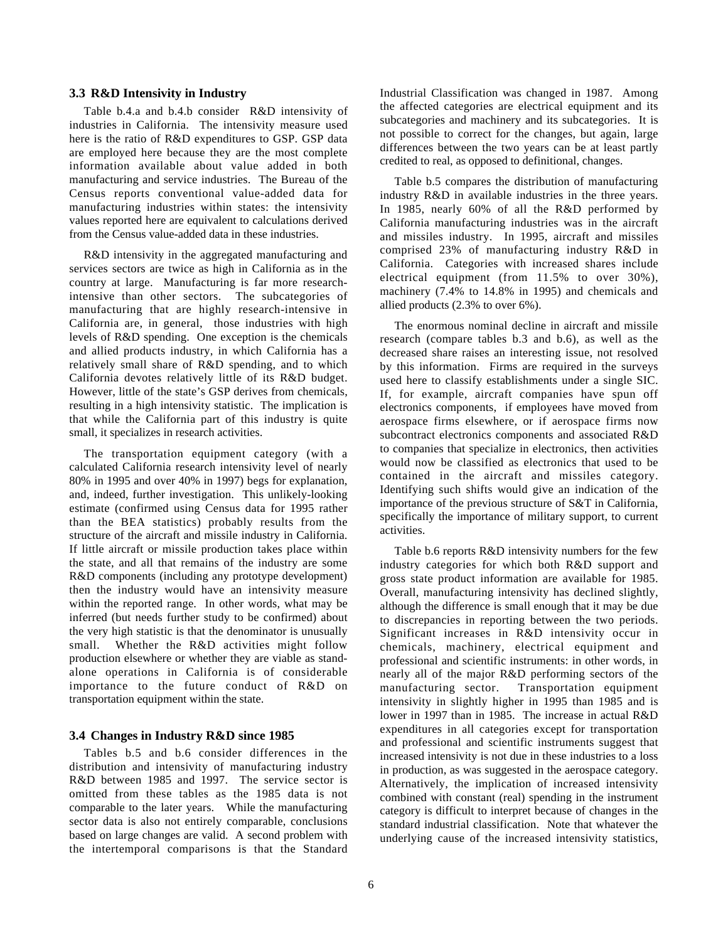#### **3.3 R&D Intensivity in Industry**

Table b.4.a and b.4.b consider R&D intensivity of industries in California. The intensivity measure used here is the ratio of R&D expenditures to GSP. GSP data are employed here because they are the most complete information available about value added in both manufacturing and service industries. The Bureau of the Census reports conventional value-added data for manufacturing industries within states: the intensivity values reported here are equivalent to calculations derived from the Census value-added data in these industries.

R&D intensivity in the aggregated manufacturing and services sectors are twice as high in California as in the country at large. Manufacturing is far more researchintensive than other sectors. The subcategories of manufacturing that are highly research-intensive in California are, in general, those industries with high levels of R&D spending. One exception is the chemicals and allied products industry, in which California has a relatively small share of R&D spending, and to which California devotes relatively little of its R&D budget. However, little of the state's GSP derives from chemicals, resulting in a high intensivity statistic. The implication is that while the California part of this industry is quite small, it specializes in research activities.

The transportation equipment category (with a calculated California research intensivity level of nearly 80% in 1995 and over 40% in 1997) begs for explanation, and, indeed, further investigation. This unlikely-looking estimate (confirmed using Census data for 1995 rather than the BEA statistics) probably results from the structure of the aircraft and missile industry in California. If little aircraft or missile production takes place within the state, and all that remains of the industry are some R&D components (including any prototype development) then the industry would have an intensivity measure within the reported range. In other words, what may be inferred (but needs further study to be confirmed) about the very high statistic is that the denominator is unusually small. Whether the R&D activities might follow production elsewhere or whether they are viable as standalone operations in California is of considerable importance to the future conduct of R&D on transportation equipment within the state.

## **3.4 Changes in Industry R&D since 1985**

Tables b.5 and b.6 consider differences in the distribution and intensivity of manufacturing industry R&D between 1985 and 1997. The service sector is omitted from these tables as the 1985 data is not comparable to the later years. While the manufacturing sector data is also not entirely comparable, conclusions based on large changes are valid. A second problem with the intertemporal comparisons is that the Standard

Industrial Classification was changed in 1987. Among the affected categories are electrical equipment and its subcategories and machinery and its subcategories. It is not possible to correct for the changes, but again, large differences between the two years can be at least partly credited to real, as opposed to definitional, changes.

Table b.5 compares the distribution of manufacturing industry R&D in available industries in the three years. In 1985, nearly 60% of all the R&D performed by California manufacturing industries was in the aircraft and missiles industry. In 1995, aircraft and missiles comprised 23% of manufacturing industry R&D in California. Categories with increased shares include electrical equipment (from 11.5% to over 30%), machinery (7.4% to 14.8% in 1995) and chemicals and allied products (2.3% to over 6%).

The enormous nominal decline in aircraft and missile research (compare tables b.3 and b.6), as well as the decreased share raises an interesting issue, not resolved by this information. Firms are required in the surveys used here to classify establishments under a single SIC. If, for example, aircraft companies have spun off electronics components, if employees have moved from aerospace firms elsewhere, or if aerospace firms now subcontract electronics components and associated R&D to companies that specialize in electronics, then activities would now be classified as electronics that used to be contained in the aircraft and missiles category. Identifying such shifts would give an indication of the importance of the previous structure of S&T in California, specifically the importance of military support, to current activities.

Table b.6 reports R&D intensivity numbers for the few industry categories for which both R&D support and gross state product information are available for 1985. Overall, manufacturing intensivity has declined slightly, although the difference is small enough that it may be due to discrepancies in reporting between the two periods. Significant increases in R&D intensivity occur in chemicals, machinery, electrical equipment and professional and scientific instruments: in other words, in nearly all of the major R&D performing sectors of the manufacturing sector. Transportation equipment intensivity in slightly higher in 1995 than 1985 and is lower in 1997 than in 1985. The increase in actual R&D expenditures in all categories except for transportation and professional and scientific instruments suggest that increased intensivity is not due in these industries to a loss in production, as was suggested in the aerospace category. Alternatively, the implication of increased intensivity combined with constant (real) spending in the instrument category is difficult to interpret because of changes in the standard industrial classification. Note that whatever the underlying cause of the increased intensivity statistics,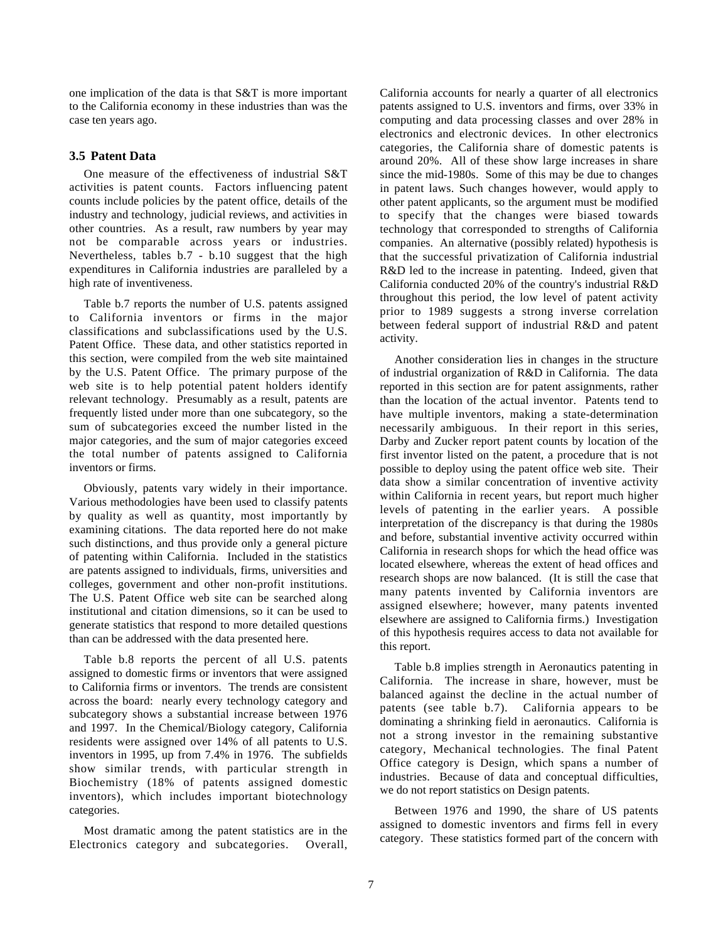one implication of the data is that S&T is more important to the California economy in these industries than was the case ten years ago.

#### **3.5 Patent Data**

One measure of the effectiveness of industrial S&T activities is patent counts. Factors influencing patent counts include policies by the patent office, details of the industry and technology, judicial reviews, and activities in other countries. As a result, raw numbers by year may not be comparable across years or industries. Nevertheless, tables b.7 - b.10 suggest that the high expenditures in California industries are paralleled by a high rate of inventiveness.

Table b.7 reports the number of U.S. patents assigned to California inventors or firms in the major classifications and subclassifications used by the U.S. Patent Office. These data, and other statistics reported in this section, were compiled from the web site maintained by the U.S. Patent Office. The primary purpose of the web site is to help potential patent holders identify relevant technology. Presumably as a result, patents are frequently listed under more than one subcategory, so the sum of subcategories exceed the number listed in the major categories, and the sum of major categories exceed the total number of patents assigned to California inventors or firms.

Obviously, patents vary widely in their importance. Various methodologies have been used to classify patents by quality as well as quantity, most importantly by examining citations. The data reported here do not make such distinctions, and thus provide only a general picture of patenting within California. Included in the statistics are patents assigned to individuals, firms, universities and colleges, government and other non-profit institutions. The U.S. Patent Office web site can be searched along institutional and citation dimensions, so it can be used to generate statistics that respond to more detailed questions than can be addressed with the data presented here.

Table b.8 reports the percent of all U.S. patents assigned to domestic firms or inventors that were assigned to California firms or inventors. The trends are consistent across the board: nearly every technology category and subcategory shows a substantial increase between 1976 and 1997. In the Chemical/Biology category, California residents were assigned over 14% of all patents to U.S. inventors in 1995, up from 7.4% in 1976. The subfields show similar trends, with particular strength in Biochemistry (18% of patents assigned domestic inventors), which includes important biotechnology categories.

Most dramatic among the patent statistics are in the Electronics category and subcategories. Overall, California accounts for nearly a quarter of all electronics patents assigned to U.S. inventors and firms, over 33% in computing and data processing classes and over 28% in electronics and electronic devices. In other electronics categories, the California share of domestic patents is around 20%. All of these show large increases in share since the mid-1980s. Some of this may be due to changes in patent laws. Such changes however, would apply to other patent applicants, so the argument must be modified to specify that the changes were biased towards technology that corresponded to strengths of California companies. An alternative (possibly related) hypothesis is that the successful privatization of California industrial R&D led to the increase in patenting. Indeed, given that California conducted 20% of the country's industrial R&D throughout this period, the low level of patent activity prior to 1989 suggests a strong inverse correlation between federal support of industrial R&D and patent activity.

Another consideration lies in changes in the structure of industrial organization of R&D in California. The data reported in this section are for patent assignments, rather than the location of the actual inventor. Patents tend to have multiple inventors, making a state-determination necessarily ambiguous. In their report in this series, Darby and Zucker report patent counts by location of the first inventor listed on the patent, a procedure that is not possible to deploy using the patent office web site. Their data show a similar concentration of inventive activity within California in recent years, but report much higher levels of patenting in the earlier years. A possible interpretation of the discrepancy is that during the 1980s and before, substantial inventive activity occurred within California in research shops for which the head office was located elsewhere, whereas the extent of head offices and research shops are now balanced. (It is still the case that many patents invented by California inventors are assigned elsewhere; however, many patents invented elsewhere are assigned to California firms.) Investigation of this hypothesis requires access to data not available for this report.

Table b.8 implies strength in Aeronautics patenting in California. The increase in share, however, must be balanced against the decline in the actual number of patents (see table b.7). California appears to be dominating a shrinking field in aeronautics. California is not a strong investor in the remaining substantive category, Mechanical technologies. The final Patent Office category is Design, which spans a number of industries. Because of data and conceptual difficulties, we do not report statistics on Design patents.

Between 1976 and 1990, the share of US patents assigned to domestic inventors and firms fell in every category. These statistics formed part of the concern with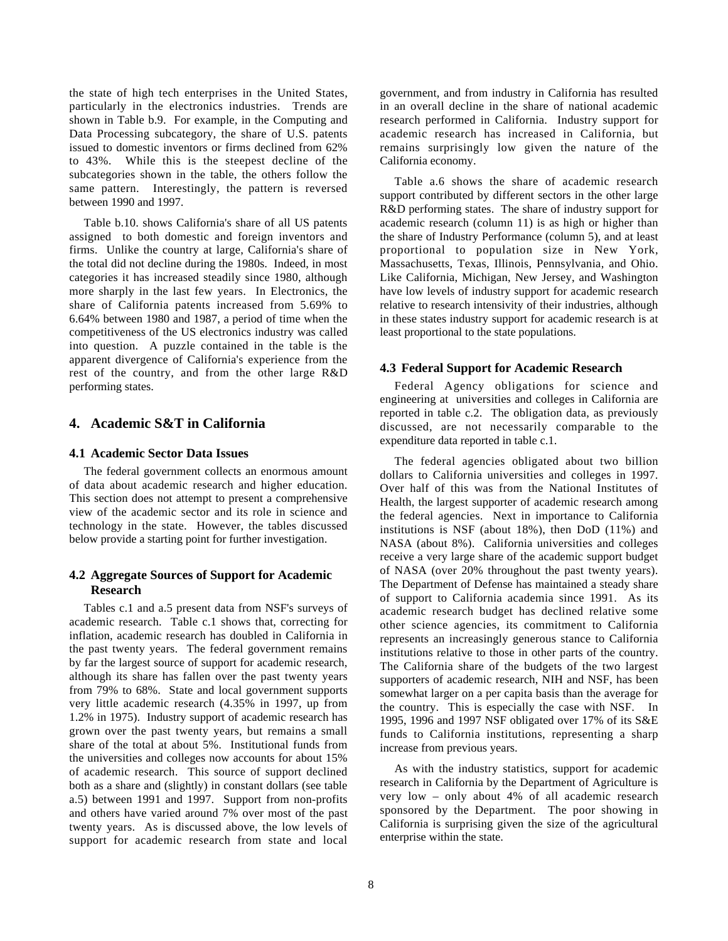the state of high tech enterprises in the United States, particularly in the electronics industries. Trends are shown in Table b.9. For example, in the Computing and Data Processing subcategory, the share of U.S. patents issued to domestic inventors or firms declined from 62% to 43%. While this is the steepest decline of the subcategories shown in the table, the others follow the same pattern. Interestingly, the pattern is reversed between 1990 and 1997.

Table b.10. shows California's share of all US patents assigned to both domestic and foreign inventors and firms. Unlike the country at large, California's share of the total did not decline during the 1980s. Indeed, in most categories it has increased steadily since 1980, although more sharply in the last few years. In Electronics, the share of California patents increased from 5.69% to 6.64% between 1980 and 1987, a period of time when the competitiveness of the US electronics industry was called into question. A puzzle contained in the table is the apparent divergence of California's experience from the rest of the country, and from the other large R&D performing states.

## **4. Academic S&T in California**

#### **4.1 Academic Sector Data Issues**

The federal government collects an enormous amount of data about academic research and higher education. This section does not attempt to present a comprehensive view of the academic sector and its role in science and technology in the state. However, the tables discussed below provide a starting point for further investigation.

## **4.2 Aggregate Sources of Support for Academic Research**

Tables c.1 and a.5 present data from NSF's surveys of academic research. Table c.1 shows that, correcting for inflation, academic research has doubled in California in the past twenty years. The federal government remains by far the largest source of support for academic research, although its share has fallen over the past twenty years from 79% to 68%. State and local government supports very little academic research (4.35% in 1997, up from 1.2% in 1975). Industry support of academic research has grown over the past twenty years, but remains a small share of the total at about 5%. Institutional funds from the universities and colleges now accounts for about 15% of academic research. This source of support declined both as a share and (slightly) in constant dollars (see table a.5) between 1991 and 1997. Support from non-profits and others have varied around 7% over most of the past twenty years. As is discussed above, the low levels of support for academic research from state and local

government, and from industry in California has resulted in an overall decline in the share of national academic research performed in California. Industry support for academic research has increased in California, but remains surprisingly low given the nature of the California economy.

Table a.6 shows the share of academic research support contributed by different sectors in the other large R&D performing states. The share of industry support for academic research (column 11) is as high or higher than the share of Industry Performance (column 5), and at least proportional to population size in New York, Massachusetts, Texas, Illinois, Pennsylvania, and Ohio. Like California, Michigan, New Jersey, and Washington have low levels of industry support for academic research relative to research intensivity of their industries, although in these states industry support for academic research is at least proportional to the state populations.

#### **4.3 Federal Support for Academic Research**

Federal Agency obligations for science and engineering at universities and colleges in California are reported in table c.2. The obligation data, as previously discussed, are not necessarily comparable to the expenditure data reported in table c.1.

The federal agencies obligated about two billion dollars to California universities and colleges in 1997. Over half of this was from the National Institutes of Health, the largest supporter of academic research among the federal agencies. Next in importance to California institutions is NSF (about 18%), then DoD (11%) and NASA (about 8%). California universities and colleges receive a very large share of the academic support budget of NASA (over 20% throughout the past twenty years). The Department of Defense has maintained a steady share of support to California academia since 1991. As its academic research budget has declined relative some other science agencies, its commitment to California represents an increasingly generous stance to California institutions relative to those in other parts of the country. The California share of the budgets of the two largest supporters of academic research, NIH and NSF, has been somewhat larger on a per capita basis than the average for the country. This is especially the case with NSF. In 1995, 1996 and 1997 NSF obligated over 17% of its S&E funds to California institutions, representing a sharp increase from previous years.

As with the industry statistics, support for academic research in California by the Department of Agriculture is very low – only about 4% of all academic research sponsored by the Department. The poor showing in California is surprising given the size of the agricultural enterprise within the state.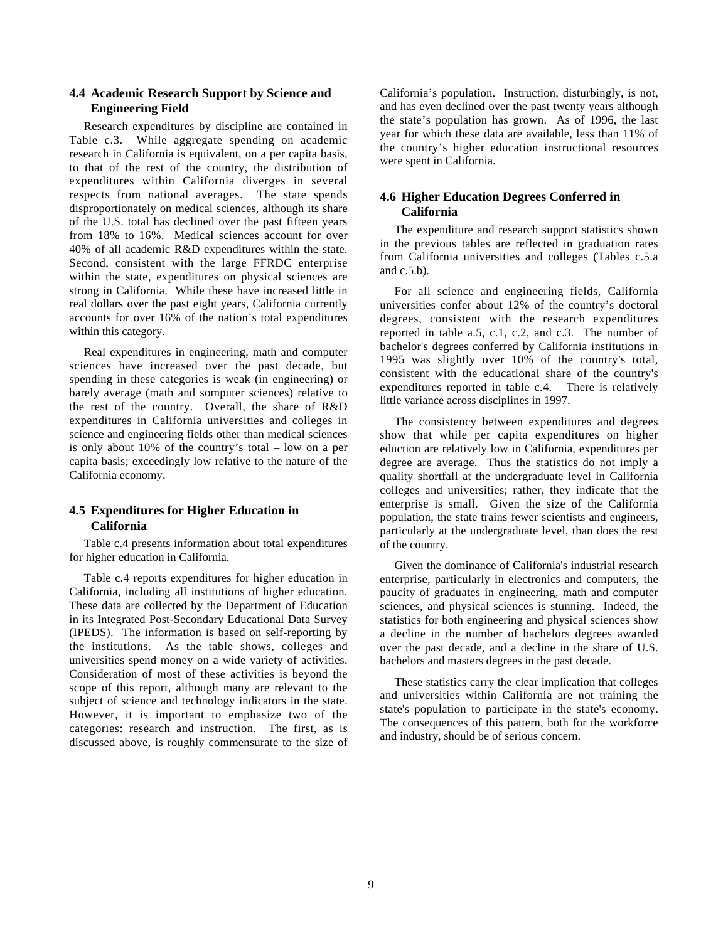## **4.4 Academic Research Support by Science and Engineering Field**

Research expenditures by discipline are contained in Table c.3. While aggregate spending on academic research in California is equivalent, on a per capita basis, to that of the rest of the country, the distribution of expenditures within California diverges in several respects from national averages. The state spends disproportionately on medical sciences, although its share of the U.S. total has declined over the past fifteen years from 18% to 16%. Medical sciences account for over 40% of all academic R&D expenditures within the state. Second, consistent with the large FFRDC enterprise within the state, expenditures on physical sciences are strong in California. While these have increased little in real dollars over the past eight years, California currently accounts for over 16% of the nation's total expenditures within this category.

Real expenditures in engineering, math and computer sciences have increased over the past decade, but spending in these categories is weak (in engineering) or barely average (math and somputer sciences) relative to the rest of the country. Overall, the share of R&D expenditures in California universities and colleges in science and engineering fields other than medical sciences is only about 10% of the country's total – low on a per capita basis; exceedingly low relative to the nature of the California economy.

## **4.5 Expenditures for Higher Education in California**

Table c.4 presents information about total expenditures for higher education in California.

Table c.4 reports expenditures for higher education in California, including all institutions of higher education. These data are collected by the Department of Education in its Integrated Post-Secondary Educational Data Survey (IPEDS). The information is based on self-reporting by the institutions. As the table shows, colleges and universities spend money on a wide variety of activities. Consideration of most of these activities is beyond the scope of this report, although many are relevant to the subject of science and technology indicators in the state. However, it is important to emphasize two of the categories: research and instruction. The first, as is discussed above, is roughly commensurate to the size of California's population. Instruction, disturbingly, is not, and has even declined over the past twenty years although the state's population has grown. As of 1996, the last year for which these data are available, less than 11% of the country's higher education instructional resources were spent in California.

## **4.6 Higher Education Degrees Conferred in California**

The expenditure and research support statistics shown in the previous tables are reflected in graduation rates from California universities and colleges (Tables c.5.a and c.5.b).

For all science and engineering fields, California universities confer about 12% of the country's doctoral degrees, consistent with the research expenditures reported in table a.5, c.1, c.2, and c.3. The number of bachelor's degrees conferred by California institutions in 1995 was slightly over 10% of the country's total, consistent with the educational share of the country's expenditures reported in table c.4. There is relatively little variance across disciplines in 1997.

The consistency between expenditures and degrees show that while per capita expenditures on higher eduction are relatively low in California, expenditures per degree are average. Thus the statistics do not imply a quality shortfall at the undergraduate level in California colleges and universities; rather, they indicate that the enterprise is small. Given the size of the California population, the state trains fewer scientists and engineers, particularly at the undergraduate level, than does the rest of the country.

Given the dominance of California's industrial research enterprise, particularly in electronics and computers, the paucity of graduates in engineering, math and computer sciences, and physical sciences is stunning. Indeed, the statistics for both engineering and physical sciences show a decline in the number of bachelors degrees awarded over the past decade, and a decline in the share of U.S. bachelors and masters degrees in the past decade.

These statistics carry the clear implication that colleges and universities within California are not training the state's population to participate in the state's economy. The consequences of this pattern, both for the workforce and industry, should be of serious concern.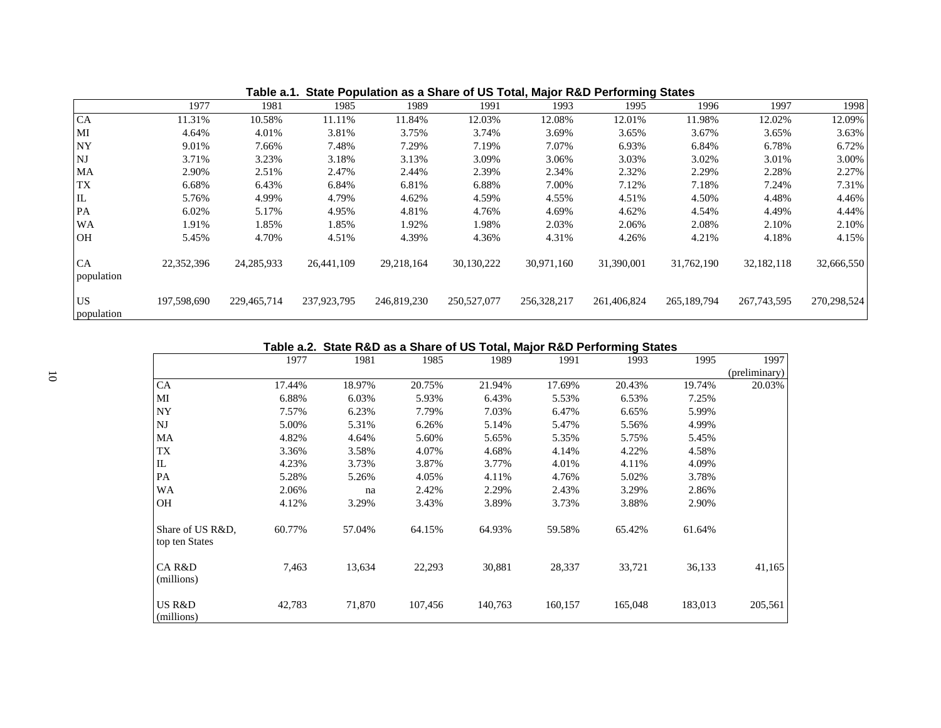|                         | 1977        | 1981         | 1985        | 1989        | 1991        | 1993        | 1995        | 1996        | 1997          | 1998        |
|-------------------------|-------------|--------------|-------------|-------------|-------------|-------------|-------------|-------------|---------------|-------------|
| CA                      | 11.31%      | 10.58%       | 11.11%      | 11.84%      | 12.03%      | 12.08%      | 12.01%      | 11.98%      | 12.02%        | 12.09%      |
| MI                      | 4.64%       | 4.01%        | 3.81%       | 3.75%       | 3.74%       | 3.69%       | 3.65%       | 3.67%       | 3.65%         | 3.63%       |
| NY <sub></sub>          | 9.01%       | 7.66%        | 7.48%       | 7.29%       | 7.19%       | 7.07%       | 6.93%       | 6.84%       | 6.78%         | 6.72%       |
| <b>NJ</b>               | 3.71%       | 3.23%        | 3.18%       | 3.13%       | 3.09%       | 3.06%       | 3.03%       | 3.02%       | 3.01%         | 3.00%       |
| MA                      | 2.90%       | 2.51%        | 2.47%       | 2.44%       | 2.39%       | 2.34%       | 2.32%       | 2.29%       | 2.28%         | 2.27%       |
| TX                      | 6.68%       | 6.43%        | 6.84%       | 6.81%       | 6.88%       | 7.00%       | 7.12%       | 7.18%       | 7.24%         | 7.31%       |
| $\rm IL$                | 5.76%       | 4.99%        | 4.79%       | 4.62%       | 4.59%       | 4.55%       | 4.51%       | 4.50%       | 4.48%         | 4.46%       |
| PA                      | 6.02%       | 5.17%        | 4.95%       | 4.81%       | 4.76%       | 4.69%       | 4.62%       | 4.54%       | 4.49%         | 4.44%       |
| WA                      | .91%        | 1.85%        | 1.85%       | 1.92%       | 1.98%       | 2.03%       | 2.06%       | 2.08%       | 2.10%         | 2.10%       |
| <b>OH</b>               | 5.45%       | 4.70%        | 4.51%       | 4.39%       | 4.36%       | 4.31%       | 4.26%       | 4.21%       | 4.18%         | 4.15%       |
| <b>CA</b><br>population | 22,352,396  | 24, 285, 933 | 26,441,109  | 29,218,164  | 30,130,222  | 30,971,160  | 31,390,001  | 31,762,190  | 32,182,118    | 32,666,550  |
| <b>US</b><br>population | 197,598,690 | 229,465,714  | 237,923,795 | 246,819,230 | 250,527,077 | 256,328,217 | 261,406,824 | 265,189,794 | 267, 743, 595 | 270,298,524 |

**Table a.1. State Population as a Share of US Total, Major R&D Performing States**

## **Table a.2. State R&D as a Share of US Total, Major R&D Performing States**

|                                    | 1977   | 1981   | 1985    | 1989    | 1991    | 1993    | 1995    | 1997          |
|------------------------------------|--------|--------|---------|---------|---------|---------|---------|---------------|
|                                    |        |        |         |         |         |         |         | (preliminary) |
| <b>CA</b>                          | 17.44% | 18.97% | 20.75%  | 21.94%  | 17.69%  | 20.43%  | 19.74%  | 20.03%        |
| MI                                 | 6.88%  | 6.03%  | 5.93%   | 6.43%   | 5.53%   | 6.53%   | 7.25%   |               |
| <b>NY</b>                          | 7.57%  | 6.23%  | 7.79%   | 7.03%   | 6.47%   | 6.65%   | 5.99%   |               |
| NJ                                 | 5.00%  | 5.31%  | 6.26%   | 5.14%   | 5.47%   | 5.56%   | 4.99%   |               |
| MA                                 | 4.82%  | 4.64%  | 5.60%   | 5.65%   | 5.35%   | 5.75%   | 5.45%   |               |
| TX                                 | 3.36%  | 3.58%  | 4.07%   | 4.68%   | 4.14%   | 4.22%   | 4.58%   |               |
| IL                                 | 4.23%  | 3.73%  | 3.87%   | 3.77%   | 4.01%   | 4.11%   | 4.09%   |               |
| PA                                 | 5.28%  | 5.26%  | 4.05%   | 4.11%   | 4.76%   | 5.02%   | 3.78%   |               |
| <b>WA</b>                          | 2.06%  | na     | 2.42%   | 2.29%   | 2.43%   | 3.29%   | 2.86%   |               |
| <b>OH</b>                          | 4.12%  | 3.29%  | 3.43%   | 3.89%   | 3.73%   | 3.88%   | 2.90%   |               |
| Share of US R&D,<br>top ten States | 60.77% | 57.04% | 64.15%  | 64.93%  | 59.58%  | 65.42%  | 61.64%  |               |
| CA R&D<br>(millions)               | 7,463  | 13,634 | 22,293  | 30,881  | 28,337  | 33,721  | 36,133  | 41,165        |
| US R&D<br>(millions)               | 42,783 | 71,870 | 107,456 | 140,763 | 160,157 | 165,048 | 183,013 | 205,561       |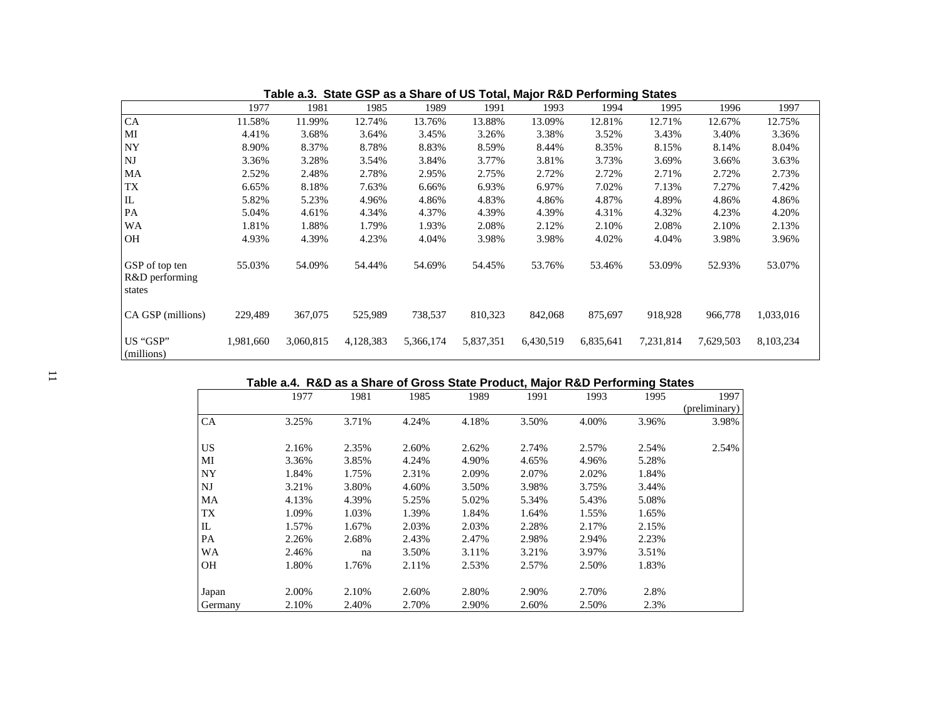|                                            | 1977      | 1981      | 1985      | 1989      | 1991      | 1993      | 1994      | 1995      | 1996      | 1997      |
|--------------------------------------------|-----------|-----------|-----------|-----------|-----------|-----------|-----------|-----------|-----------|-----------|
| CA                                         | 11.58%    | 11.99%    | 12.74%    | 13.76%    | 13.88%    | 13.09%    | 12.81%    | 12.71%    | 12.67%    | 12.75%    |
| MI                                         | 4.41%     | 3.68%     | 3.64%     | 3.45%     | 3.26%     | 3.38%     | 3.52%     | 3.43%     | 3.40%     | 3.36%     |
| <b>NY</b>                                  | 8.90%     | 8.37%     | 8.78%     | 8.83%     | 8.59%     | 8.44%     | 8.35%     | 8.15%     | 8.14%     | 8.04%     |
| <b>NJ</b>                                  | 3.36%     | 3.28%     | 3.54%     | 3.84%     | 3.77%     | 3.81%     | 3.73%     | 3.69%     | 3.66%     | 3.63%     |
| MA                                         | 2.52%     | 2.48%     | 2.78%     | 2.95%     | 2.75%     | 2.72%     | 2.72%     | 2.71%     | 2.72%     | 2.73%     |
| <b>TX</b>                                  | 6.65%     | 8.18%     | 7.63%     | 6.66%     | 6.93%     | 6.97%     | 7.02%     | 7.13%     | 7.27%     | 7.42%     |
| $\mathbf{I}$                               | 5.82%     | 5.23%     | 4.96%     | 4.86%     | 4.83%     | 4.86%     | 4.87%     | 4.89%     | 4.86%     | 4.86%     |
| PA                                         | 5.04%     | 4.61%     | 4.34%     | 4.37%     | 4.39%     | 4.39%     | 4.31%     | 4.32%     | 4.23%     | 4.20%     |
| <b>WA</b>                                  | 1.81%     | 1.88%     | 1.79%     | 1.93%     | 2.08%     | 2.12%     | 2.10%     | 2.08%     | 2.10%     | 2.13%     |
| <b>OH</b>                                  | 4.93%     | 4.39%     | 4.23%     | 4.04%     | 3.98%     | 3.98%     | 4.02%     | 4.04%     | 3.98%     | 3.96%     |
| GSP of top ten<br>R&D performing<br>states | 55.03%    | 54.09%    | 54.44%    | 54.69%    | 54.45%    | 53.76%    | 53.46%    | 53.09%    | 52.93%    | 53.07%    |
| CA GSP (millions)                          | 229,489   | 367,075   | 525,989   | 738,537   | 810,323   | 842,068   | 875,697   | 918,928   | 966,778   | 1,033,016 |
| US "GSP"<br>(millions)                     | 1,981,660 | 3,060,815 | 4,128,383 | 5,366,174 | 5,837,351 | 6,430,519 | 6,835,641 | 7,231,814 | 7,629,503 | 8,103,234 |

**Table a.3. State GSP as a Share of US Total, Major R&D Performing States**

## **Table a.4. R&D as a Share of Gross State Product, Major R&D Performing States**

|           | 1977  | 1981  | 1985  | 1989  | 1991  | 1993  | 1995  | 1997          |
|-----------|-------|-------|-------|-------|-------|-------|-------|---------------|
|           |       |       |       |       |       |       |       | (preliminary) |
| CA        | 3.25% | 3.71% | 4.24% | 4.18% | 3.50% | 4.00% | 3.96% | 3.98%         |
| US        | 2.16% | 2.35% | 2.60% | 2.62% | 2.74% | 2.57% | 2.54% | 2.54%         |
| MI        | 3.36% | 3.85% | 4.24% | 4.90% | 4.65% | 4.96% | 5.28% |               |
| <b>NY</b> | 1.84% | 1.75% | 2.31% | 2.09% | 2.07% | 2.02% | 1.84% |               |
| NJ        | 3.21% | 3.80% | 4.60% | 3.50% | 3.98% | 3.75% | 3.44% |               |
| MA        | 4.13% | 4.39% | 5.25% | 5.02% | 5.34% | 5.43% | 5.08% |               |
| TX        | 1.09% | 1.03% | 1.39% | 1.84% | 1.64% | 1.55% | 1.65% |               |
| IL        | 1.57% | 1.67% | 2.03% | 2.03% | 2.28% | 2.17% | 2.15% |               |
| PA        | 2.26% | 2.68% | 2.43% | 2.47% | 2.98% | 2.94% | 2.23% |               |
| <b>WA</b> | 2.46% | na    | 3.50% | 3.11% | 3.21% | 3.97% | 3.51% |               |
| OН        | 1.80% | 1.76% | 2.11% | 2.53% | 2.57% | 2.50% | 1.83% |               |
| Japan     | 2.00% | 2.10% | 2.60% | 2.80% | 2.90% | 2.70% | 2.8%  |               |
| Germany   | 2.10% | 2.40% | 2.70% | 2.90% | 2.60% | 2.50% | 2.3%  |               |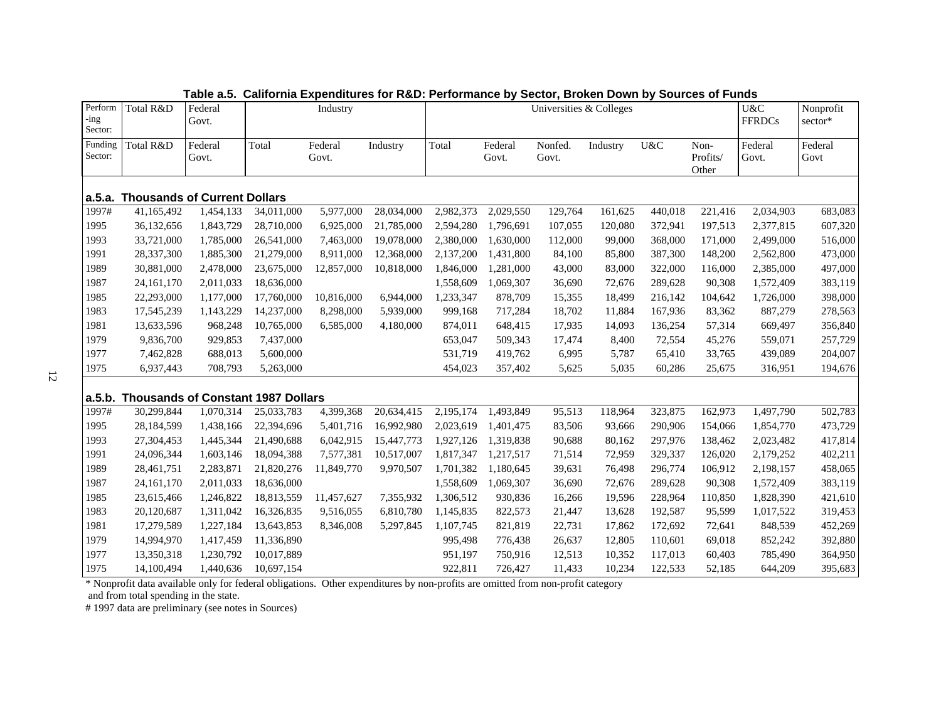| Perform<br>-ing<br>Sector: | Total R&D                                 | Federal<br>Govt. |            | Industry         |            |           | Universities & Colleges |                  | U&C<br><b>FFRDCs</b> | Nonprofit<br>sector* |                           |                  |                 |
|----------------------------|-------------------------------------------|------------------|------------|------------------|------------|-----------|-------------------------|------------------|----------------------|----------------------|---------------------------|------------------|-----------------|
| Funding<br>Sector:         | Total R&D                                 | Federal<br>Govt. | Total      | Federal<br>Govt. | Industry   | Total     | Federal<br>Govt.        | Nonfed.<br>Govt. | Industry             | U&C                  | Non-<br>Profits/<br>Other | Federal<br>Govt. | Federal<br>Govt |
| a.5.a.                     | <b>Thousands of Current Dollars</b>       |                  |            |                  |            |           |                         |                  |                      |                      |                           |                  |                 |
| 1997#                      | 41,165,492                                | 1,454,133        | 34,011,000 | 5,977,000        | 28,034,000 | 2,982,373 | 2,029,550               | 129,764          | 161,625              | 440,018              | 221,416                   | 2,034,903        | 683,083         |
| 1995                       | 36,132,656                                | 1,843,729        | 28,710,000 | 6,925,000        | 21,785,000 | 2,594,280 | 1,796,691               | 107,055          | 120,080              | 372,941              | 197,513                   | 2,377,815        | 607,320         |
| 1993                       | 33,721,000                                | 1,785,000        | 26,541,000 | 7,463,000        | 19,078,000 | 2,380,000 | 1,630,000               | 112,000          | 99,000               | 368,000              | 171,000                   | 2,499,000        | 516,000         |
| 1991                       | 28,337,300                                | 1,885,300        | 21,279,000 | 8,911,000        | 12,368,000 | 2,137,200 | 1,431,800               | 84,100           | 85,800               | 387,300              | 148,200                   | 2,562,800        | 473,000         |
| 1989                       | 30,881,000                                | 2,478,000        | 23,675,000 | 12,857,000       | 10,818,000 | 1,846,000 | 1,281,000               | 43,000           | 83,000               | 322,000              | 116,000                   | 2,385,000        | 497,000         |
| 1987                       | 24, 161, 170                              | 2,011,033        | 18,636,000 |                  |            | 1,558,609 | 1,069,307               | 36,690           | 72,676               | 289,628              | 90,308                    | 1,572,409        | 383,119         |
| 1985                       | 22,293,000                                | 1,177,000        | 17,760,000 | 10,816,000       | 6,944,000  | 1,233,347 | 878,709                 | 15,355           | 18,499               | 216,142              | 104,642                   | 1,726,000        | 398,000         |
| 1983                       | 17,545,239                                | 1,143,229        | 14,237,000 | 8,298,000        | 5,939,000  | 999,168   | 717,284                 | 18,702           | 11,884               | 167,936              | 83,362                    | 887,279          | 278,563         |
| 1981                       | 13,633,596                                | 968,248          | 10,765,000 | 6,585,000        | 4,180,000  | 874,011   | 648,415                 | 17,935           | 14,093               | 136,254              | 57,314                    | 669,497          | 356,840         |
| 1979                       | 9,836,700                                 | 929,853          | 7,437,000  |                  |            | 653,047   | 509,343                 | 17,474           | 8,400                | 72,554               | 45,276                    | 559,071          | 257,729         |
| 1977                       | 7,462,828                                 | 688,013          | 5,600,000  |                  |            | 531,719   | 419,762                 | 6,995            | 5,787                | 65,410               | 33,765                    | 439,089          | 204,007         |
| 1975                       | 6,937,443                                 | 708,793          | 5,263,000  |                  |            | 454,023   | 357,402                 | 5,625            | 5,035                | 60,286               | 25,675                    | 316,951          | 194,676         |
| a.5.b.                     | <b>Thousands of Constant 1987 Dollars</b> |                  |            |                  |            |           |                         |                  |                      |                      |                           |                  |                 |
| 1997#                      | 30,299,844                                | 1,070,314        | 25,033,783 | 4,399,368        | 20,634,415 | 2,195,174 | 1,493,849               | 95,513           | 118,964              | 323,875              | 162,973                   | 1,497,790        | 502,783         |
| 1995                       | 28,184,599                                | 1,438,166        | 22,394,696 | 5,401,716        | 16,992,980 | 2,023,619 | 1,401,475               | 83,506           | 93,666               | 290,906              | 154,066                   | 1,854,770        | 473,729         |
| 1993                       | 27,304,453                                | 1,445,344        | 21,490,688 | 6,042,915        | 15,447,773 | 1,927,126 | 1,319,838               | 90,688           | 80,162               | 297,976              | 138,462                   | 2,023,482        | 417,814         |
| 1991                       | 24,096,344                                | 1,603,146        | 18,094,388 | 7,577,381        | 10,517,007 | 1,817,347 | 1,217,517               | 71,514           | 72,959               | 329,337              | 126,020                   | 2,179,252        | 402,211         |
| 1989                       | 28,461,751                                | 2,283,871        | 21,820,276 | 11,849,770       | 9,970,507  | 1,701,382 | 1,180,645               | 39,631           | 76,498               | 296,774              | 106,912                   | 2,198,157        | 458,065         |
| 1987                       | 24, 161, 170                              | 2,011,033        | 18,636,000 |                  |            | 1,558,609 | 1,069,307               | 36,690           | 72,676               | 289,628              | 90,308                    | 1,572,409        | 383,119         |
| 1985                       | 23,615,466                                | 1,246,822        | 18,813,559 | 11,457,627       | 7,355,932  | 1,306,512 | 930,836                 | 16,266           | 19,596               | 228,964              | 110,850                   | 1,828,390        | 421,610         |
| 1983                       | 20,120,687                                | 1,311,042        | 16,326,835 | 9,516,055        | 6,810,780  | 1,145,835 | 822,573                 | 21,447           | 13,628               | 192,587              | 95,599                    | 1,017,522        | 319,453         |
| 1981                       | 17,279,589                                | 1,227,184        | 13,643,853 | 8,346,008        | 5,297,845  | 1,107,745 | 821,819                 | 22,731           | 17,862               | 172,692              | 72,641                    | 848,539          | 452,269         |
| 1979                       | 14,994,970                                | 1,417,459        | 11,336,890 |                  |            | 995,498   | 776,438                 | 26,637           | 12,805               | 110,601              | 69,018                    | 852,242          | 392,880         |
| 1977                       | 13,350,318                                | 1,230,792        | 10,017,889 |                  |            | 951,197   | 750,916                 | 12,513           | 10,352               | 117,013              | 60,403                    | 785,490          | 364,950         |
| 1975                       | 14,100,494                                | 1,440,636        | 10,697,154 |                  |            | 922,811   | 726,427                 | 11,433           | 10,234               | 122,533              | 52,185                    | 644,209          | 395,683         |

**Table a.5. California Expenditures for R&D: Performance by Sector, Broken Down by Sources of Funds**

\* Nonprofit data available only for federal obligations. Other expenditures by non-profits are omitted from non-profit category

and from total spending in the state.

# 1997 data are preliminary (see notes in Sources)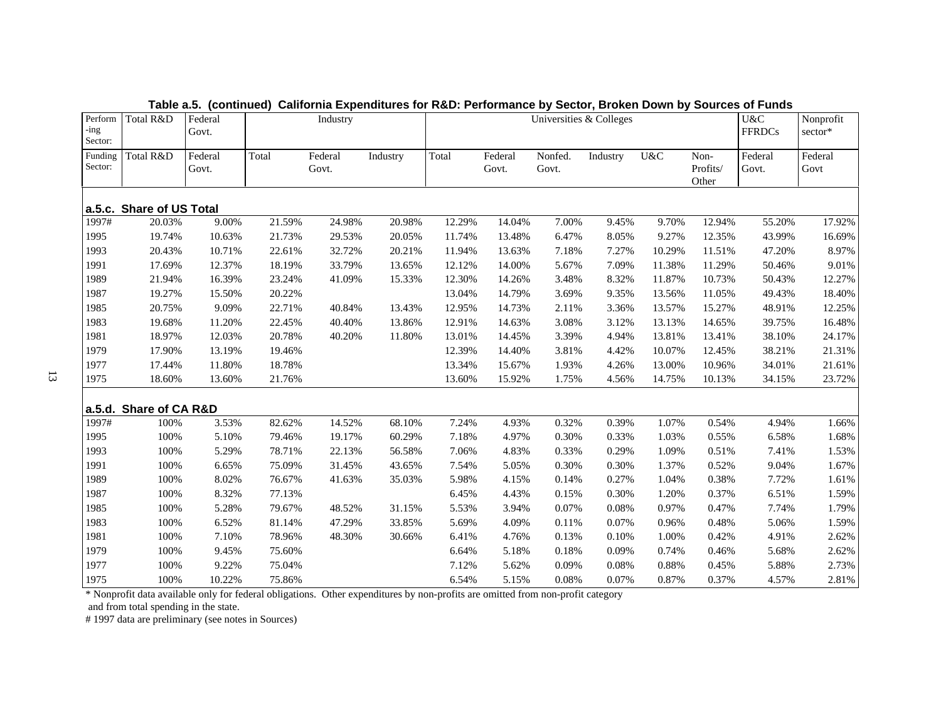| Perform<br>-ing<br>Sector: | Total R&D                | Federal<br>Govt. |        | Industry         |          |        |                  | Universities & Colleges |          |        |                           | U&C<br><b>FFRDCs</b> | Nonprofit<br>$\text{sector*}$ |
|----------------------------|--------------------------|------------------|--------|------------------|----------|--------|------------------|-------------------------|----------|--------|---------------------------|----------------------|-------------------------------|
| Funding<br>Sector:         | Total R&D                | Federal<br>Govt. | Total  | Federal<br>Govt. | Industry | Total  | Federal<br>Govt. | Nonfed.<br>Govt.        | Industry | U&C    | Non-<br>Profits/<br>Other | Federal<br>Govt.     | Federal<br>Govt               |
|                            | a.5.c. Share of US Total |                  |        |                  |          |        |                  |                         |          |        |                           |                      |                               |
| 1997#                      | 20.03%                   | 9.00%            | 21.59% | 24.98%           | 20.98%   | 12.29% | 14.04%           | 7.00%                   | 9.45%    | 9.70%  | 12.94%                    | 55.20%               | 17.92%                        |
| 1995                       | 19.74%                   | 10.63%           | 21.73% | 29.53%           | 20.05%   | 11.74% | 13.48%           | 6.47%                   | 8.05%    | 9.27%  | 12.35%                    | 43.99%               | 16.69%                        |
| 1993                       | 20.43%                   | 10.71%           | 22.61% | 32.72%           | 20.21%   | 11.94% | 13.63%           | 7.18%                   | 7.27%    | 10.29% | 11.51%                    | 47.20%               | 8.97%                         |
| 1991                       | 17.69%                   | 12.37%           | 18.19% | 33.79%           | 13.65%   | 12.12% | 14.00%           | 5.67%                   | 7.09%    | 11.38% | 11.29%                    | 50.46%               | 9.01%                         |
| 1989                       | 21.94%                   | 16.39%           | 23.24% | 41.09%           | 15.33%   | 12.30% | 14.26%           | 3.48%                   | 8.32%    | 11.87% | 10.73%                    | 50.43%               | 12.27%                        |
| 1987                       | 19.27%                   | 15.50%           | 20.22% |                  |          | 13.04% | 14.79%           | 3.69%                   | 9.35%    | 13.56% | 11.05%                    | 49.43%               | 18.40%                        |
| 1985                       | 20.75%                   | 9.09%            | 22.71% | 40.84%           | 13.43%   | 12.95% | 14.73%           | 2.11%                   | 3.36%    | 13.57% | 15.27%                    | 48.91%               | 12.25%                        |
| 1983                       | 19.68%                   | 11.20%           | 22.45% | 40.40%           | 13.86%   | 12.91% | 14.63%           | 3.08%                   | 3.12%    | 13.13% | 14.65%                    | 39.75%               | 16.48%                        |
| 1981                       | 18.97%                   | 12.03%           | 20.78% | 40.20%           | 11.80%   | 13.01% | 14.45%           | 3.39%                   | 4.94%    | 13.81% | 13.41%                    | 38.10%               | 24.17%                        |
| 1979                       | 17.90%                   | 13.19%           | 19.46% |                  |          | 12.39% | 14.40%           | 3.81%                   | 4.42%    | 10.07% | 12.45%                    | 38.21%               | 21.31%                        |
| 1977                       | 17.44%                   | 11.80%           | 18.78% |                  |          | 13.34% | 15.67%           | 1.93%                   | 4.26%    | 13.00% | 10.96%                    | 34.01%               | 21.61%                        |
| 1975                       | 18.60%                   | 13.60%           | 21.76% |                  |          | 13.60% | 15.92%           | 1.75%                   | 4.56%    | 14.75% | 10.13%                    | 34.15%               | 23.72%                        |
|                            | a.5.d. Share of CA R&D   |                  |        |                  |          |        |                  |                         |          |        |                           |                      |                               |
| 1997#                      | 100%                     | 3.53%            | 82.62% | 14.52%           | 68.10%   | 7.24%  | 4.93%            | 0.32%                   | 0.39%    | 1.07%  | 0.54%                     | 4.94%                | 1.66%                         |
| 1995                       | 100%                     | 5.10%            | 79.46% | 19.17%           | 60.29%   | 7.18%  | 4.97%            | 0.30%                   | 0.33%    | 1.03%  | 0.55%                     | 6.58%                | 1.68%                         |
| 1993                       | 100%                     | 5.29%            | 78.71% | 22.13%           | 56.58%   | 7.06%  | 4.83%            | 0.33%                   | 0.29%    | 1.09%  | 0.51%                     | 7.41%                | 1.53%                         |
| 1991                       | 100%                     | 6.65%            | 75.09% | 31.45%           | 43.65%   | 7.54%  | 5.05%            | 0.30%                   | 0.30%    | 1.37%  | 0.52%                     | 9.04%                | 1.67%                         |
| 1989                       | 100%                     | 8.02%            | 76.67% | 41.63%           | 35.03%   | 5.98%  | 4.15%            | 0.14%                   | 0.27%    | 1.04%  | 0.38%                     | 7.72%                | 1.61%                         |
| 1987                       | 100%                     | 8.32%            | 77.13% |                  |          | 6.45%  | 4.43%            | 0.15%                   | 0.30%    | 1.20%  | 0.37%                     | 6.51%                | 1.59%                         |
| 1985                       | 100%                     | 5.28%            | 79.67% | 48.52%           | 31.15%   | 5.53%  | 3.94%            | 0.07%                   | 0.08%    | 0.97%  | 0.47%                     | 7.74%                | 1.79%                         |
| 1983                       | 100%                     | 6.52%            | 81.14% | 47.29%           | 33.85%   | 5.69%  | 4.09%            | 0.11%                   | 0.07%    | 0.96%  | 0.48%                     | 5.06%                | 1.59%                         |
| 1981                       | 100%                     | 7.10%            | 78.96% | 48.30%           | 30.66%   | 6.41%  | 4.76%            | 0.13%                   | 0.10%    | 1.00%  | 0.42%                     | 4.91%                | 2.62%                         |
| 1979                       | 100%                     | 9.45%            | 75.60% |                  |          | 6.64%  | 5.18%            | 0.18%                   | 0.09%    | 0.74%  | 0.46%                     | 5.68%                | 2.62%                         |
| 1977                       | 100%                     | 9.22%            | 75.04% |                  |          | 7.12%  | 5.62%            | 0.09%                   | 0.08%    | 0.88%  | 0.45%                     | 5.88%                | 2.73%                         |
| 1975                       | 100%                     | 10.22%           | 75.86% |                  |          | 6.54%  | 5.15%            | 0.08%                   | 0.07%    | 0.87%  | 0.37%                     | 4.57%                | 2.81%                         |

**Table a.5. (continued) California Expenditures for R&D: Performance by Sector, Broken Down by Sources of Funds**

\* Nonprofit data available only for federal obligations. Other expenditures by non-profits are omitted from non-profit category

and from total spending in the state.

# 1997 data are preliminary (see notes in Sources)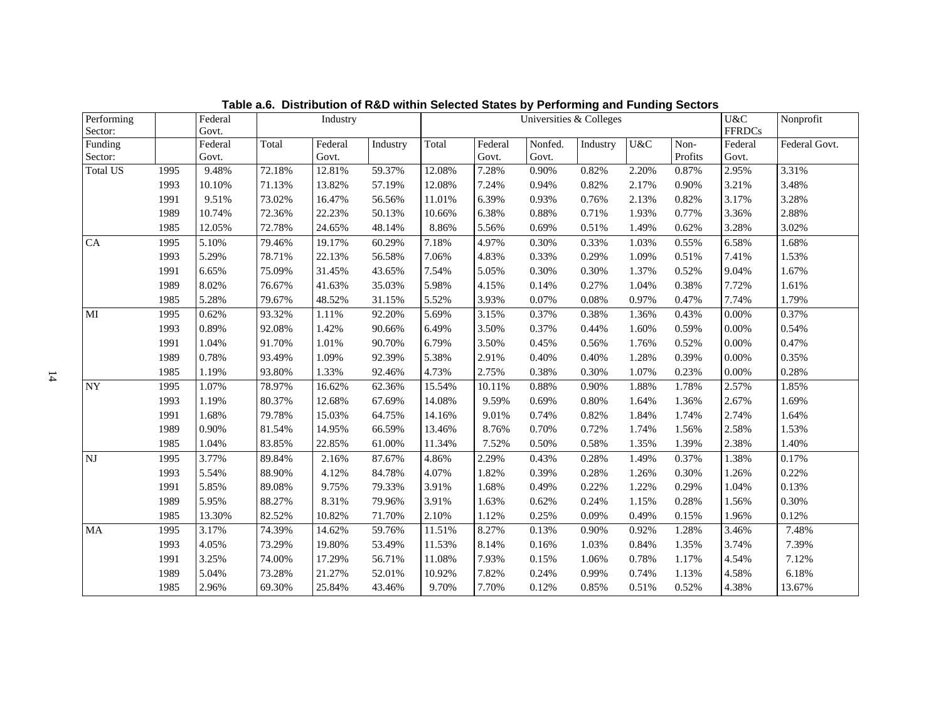| Performing             |      | Federal  |        | Industry |          |        |         | Universities & Colleges |          |       |         | U&C           | Nonprofit     |
|------------------------|------|----------|--------|----------|----------|--------|---------|-------------------------|----------|-------|---------|---------------|---------------|
| Sector:                |      | Govt.    |        |          |          |        |         |                         |          |       |         | <b>FFRDCs</b> |               |
| Funding                |      | Federal  | Total  | Federal  | Industry | Total  | Federal | Nonfed.                 | Industry | U&C   | Non-    | Federal       | Federal Govt. |
| Sector:                |      | Govt.    |        | Govt.    |          |        | Govt.   | Govt.                   |          |       | Profits | Govt.         |               |
| <b>Total US</b>        | 1995 | 9.48%    | 72.18% | 12.81%   | 59.37%   | 12.08% | 7.28%   | 0.90%                   | 0.82%    | 2.20% | 0.87%   | 2.95%         | 3.31%         |
|                        | 1993 | 10.10%   | 71.13% | 13.82%   | 57.19%   | 12.08% | 7.24%   | 0.94%                   | 0.82%    | 2.17% | 0.90%   | 3.21%         | 3.48%         |
|                        | 1991 | 9.51%    | 73.02% | 16.47%   | 56.56%   | 11.01% | 6.39%   | 0.93%                   | 0.76%    | 2.13% | 0.82%   | 3.17%         | 3.28%         |
|                        | 1989 | 10.74%   | 72.36% | 22.23%   | 50.13%   | 10.66% | 6.38%   | 0.88%                   | 0.71%    | 1.93% | 0.77%   | 3.36%         | 2.88%         |
|                        | 1985 | 12.05%   | 72.78% | 24.65%   | 48.14%   | 8.86%  | 5.56%   | 0.69%                   | 0.51%    | 1.49% | 0.62%   | 3.28%         | 3.02%         |
| ${\rm CA}$             | 1995 | 5.10%    | 79.46% | 19.17%   | 60.29%   | 7.18%  | 4.97%   | 0.30%                   | 0.33%    | 1.03% | 0.55%   | 6.58%         | 1.68%         |
|                        | 1993 | 5.29%    | 78.71% | 22.13%   | 56.58%   | 7.06%  | 4.83%   | 0.33%                   | 0.29%    | 1.09% | 0.51%   | 7.41%         | 1.53%         |
|                        | 1991 | 6.65%    | 75.09% | 31.45%   | 43.65%   | 7.54%  | 5.05%   | 0.30%                   | 0.30%    | 1.37% | 0.52%   | 9.04%         | 1.67%         |
|                        | 1989 | 8.02%    | 76.67% | 41.63%   | 35.03%   | 5.98%  | 4.15%   | 0.14%                   | 0.27%    | 1.04% | 0.38%   | 7.72%         | 1.61%         |
|                        | 1985 | 5.28%    | 79.67% | 48.52%   | 31.15%   | 5.52%  | 3.93%   | 0.07%                   | 0.08%    | 0.97% | 0.47%   | 7.74%         | 1.79%         |
| MI                     | 1995 | 0.62%    | 93.32% | 1.11%    | 92.20%   | 5.69%  | 3.15%   | 0.37%                   | 0.38%    | 1.36% | 0.43%   | 0.00%         | 0.37%         |
|                        | 1993 | 0.89%    | 92.08% | 1.42%    | 90.66%   | 6.49%  | 3.50%   | 0.37%                   | 0.44%    | 1.60% | 0.59%   | 0.00%         | 0.54%         |
|                        | 1991 | 1.04%    | 91.70% | 1.01%    | 90.70%   | 6.79%  | 3.50%   | 0.45%                   | 0.56%    | 1.76% | 0.52%   | $0.00\%$      | 0.47%         |
|                        | 1989 | 0.78%    | 93.49% | 1.09%    | 92.39%   | 5.38%  | 2.91%   | 0.40%                   | 0.40%    | 1.28% | 0.39%   | $0.00\%$      | 0.35%         |
|                        | 1985 | 1.19%    | 93.80% | 1.33%    | 92.46%   | 4.73%  | 2.75%   | 0.38%                   | 0.30%    | 1.07% | 0.23%   | 0.00%         | 0.28%         |
| <b>NY</b>              | 1995 | 1.07%    | 78.97% | 16.62%   | 62.36%   | 15.54% | 10.11%  | 0.88%                   | 0.90%    | 1.88% | 1.78%   | 2.57%         | 1.85%         |
|                        | 1993 | 1.19%    | 80.37% | 12.68%   | 67.69%   | 14.08% | 9.59%   | 0.69%                   | 0.80%    | 1.64% | 1.36%   | 2.67%         | 1.69%         |
|                        | 1991 | 1.68%    | 79.78% | 15.03%   | 64.75%   | 14.16% | 9.01%   | 0.74%                   | 0.82%    | 1.84% | 1.74%   | 2.74%         | 1.64%         |
|                        | 1989 | $0.90\%$ | 81.54% | 14.95%   | 66.59%   | 13.46% | 8.76%   | 0.70%                   | 0.72%    | 1.74% | 1.56%   | 2.58%         | 1.53%         |
|                        | 1985 | 1.04%    | 83.85% | 22.85%   | 61.00%   | 11.34% | 7.52%   | 0.50%                   | 0.58%    | 1.35% | 1.39%   | 2.38%         | 1.40%         |
| $\mathbf{N}\mathbf{J}$ | 1995 | 3.77%    | 89.84% | 2.16%    | 87.67%   | 4.86%  | 2.29%   | 0.43%                   | 0.28%    | 1.49% | 0.37%   | 1.38%         | 0.17%         |
|                        | 1993 | 5.54%    | 88.90% | 4.12%    | 84.78%   | 4.07%  | 1.82%   | 0.39%                   | 0.28%    | 1.26% | 0.30%   | 1.26%         | 0.22%         |
|                        | 1991 | 5.85%    | 89.08% | 9.75%    | 79.33%   | 3.91%  | 1.68%   | 0.49%                   | 0.22%    | 1.22% | 0.29%   | 1.04%         | 0.13%         |
|                        | 1989 | 5.95%    | 88.27% | 8.31%    | 79.96%   | 3.91%  | 1.63%   | 0.62%                   | 0.24%    | 1.15% | 0.28%   | 1.56%         | 0.30%         |
|                        | 1985 | 13.30%   | 82.52% | 10.82%   | 71.70%   | 2.10%  | 1.12%   | 0.25%                   | 0.09%    | 0.49% | 0.15%   | 1.96%         | 0.12%         |
| $\rm MA$               | 1995 | 3.17%    | 74.39% | 14.62%   | 59.76%   | 11.51% | 8.27%   | 0.13%                   | 0.90%    | 0.92% | 1.28%   | 3.46%         | 7.48%         |
|                        | 1993 | 4.05%    | 73.29% | 19.80%   | 53.49%   | 11.53% | 8.14%   | 0.16%                   | 1.03%    | 0.84% | 1.35%   | 3.74%         | 7.39%         |
|                        | 1991 | 3.25%    | 74.00% | 17.29%   | 56.71%   | 11.08% | 7.93%   | 0.15%                   | 1.06%    | 0.78% | 1.17%   | 4.54%         | 7.12%         |
|                        | 1989 | 5.04%    | 73.28% | 21.27%   | 52.01%   | 10.92% | 7.82%   | 0.24%                   | 0.99%    | 0.74% | 1.13%   | 4.58%         | 6.18%         |
|                        | 1985 | 2.96%    | 69.30% | 25.84%   | 43.46%   | 9.70%  | 7.70%   | 0.12%                   | 0.85%    | 0.51% | 0.52%   | 4.38%         | 13.67%        |

**Table a.6. Distribution of R&D within Selected States by Performing and Funding Sectors**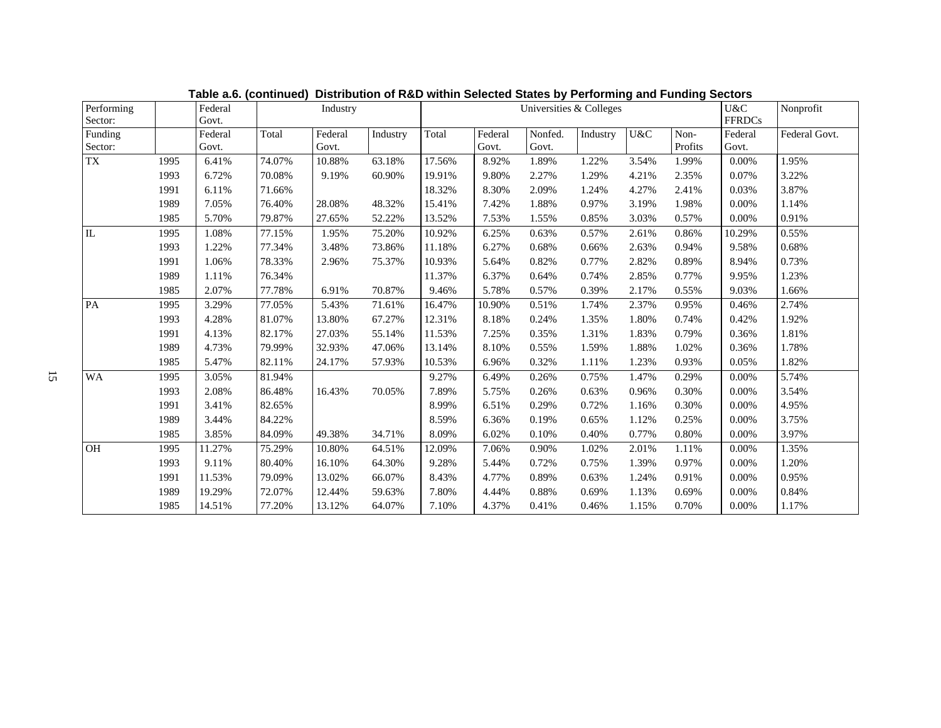| Performing<br>Sector: |      | Federal<br>Govt. |        | Industry         |          |        |                  |                  | U&C<br><b>FFRDCs</b> | Nonprofit |                 |                  |               |
|-----------------------|------|------------------|--------|------------------|----------|--------|------------------|------------------|----------------------|-----------|-----------------|------------------|---------------|
| Funding<br>Sector:    |      | Federal<br>Govt. | Total  | Federal<br>Govt. | Industry | Total  | Federal<br>Govt. | Nonfed.<br>Govt. | Industry             | U&C       | Non-<br>Profits | Federal<br>Govt. | Federal Govt. |
| ${\rm TX}$            | 1995 | 6.41%            | 74.07% | 10.88%           | 63.18%   | 17.56% | 8.92%            | 1.89%            | 1.22%                | 3.54%     | 1.99%           | 0.00%            | 1.95%         |
|                       | 1993 | 6.72%            | 70.08% | 9.19%            | 60.90%   | 19.91% | 9.80%            | 2.27%            | 1.29%                | 4.21%     | 2.35%           | 0.07%            | 3.22%         |
|                       | 1991 | 6.11%            | 71.66% |                  |          | 18.32% | 8.30%            | 2.09%            | 1.24%                | 4.27%     | 2.41%           | 0.03%            | 3.87%         |
|                       | 1989 | 7.05%            | 76.40% | 28.08%           | 48.32%   | 15.41% | 7.42%            | 1.88%            | 0.97%                | 3.19%     | 1.98%           | 0.00%            | 1.14%         |
|                       | 1985 | 5.70%            | 79.87% | 27.65%           | 52.22%   | 13.52% | 7.53%            | 1.55%            | 0.85%                | 3.03%     | 0.57%           | 0.00%            | 0.91%         |
| IL                    | 1995 | 1.08%            | 77.15% | 1.95%            | 75.20%   | 10.92% | 6.25%            | 0.63%            | 0.57%                | 2.61%     | 0.86%           | 10.29%           | 0.55%         |
|                       | 1993 | 1.22%            | 77.34% | 3.48%            | 73.86%   | 11.18% | 6.27%            | 0.68%            | 0.66%                | 2.63%     | 0.94%           | 9.58%            | 0.68%         |
|                       | 1991 | 1.06%            | 78.33% | 2.96%            | 75.37%   | 10.93% | 5.64%            | 0.82%            | 0.77%                | 2.82%     | 0.89%           | 8.94%            | 0.73%         |
|                       | 1989 | 1.11%            | 76.34% |                  |          | 11.37% | 6.37%            | 0.64%            | 0.74%                | 2.85%     | 0.77%           | 9.95%            | 1.23%         |
|                       | 1985 | 2.07%            | 77.78% | 6.91%            | 70.87%   | 9.46%  | 5.78%            | 0.57%            | 0.39%                | 2.17%     | 0.55%           | 9.03%            | 1.66%         |
| PA                    | 1995 | 3.29%            | 77.05% | 5.43%            | 71.61%   | 16.47% | 10.90%           | 0.51%            | 1.74%                | 2.37%     | 0.95%           | 0.46%            | 2.74%         |
|                       | 1993 | 4.28%            | 81.07% | 13.80%           | 67.27%   | 12.31% | 8.18%            | 0.24%            | 1.35%                | 1.80%     | 0.74%           | 0.42%            | 1.92%         |
|                       | 1991 | 4.13%            | 82.17% | 27.03%           | 55.14%   | 11.53% | 7.25%            | 0.35%            | 1.31%                | 1.83%     | 0.79%           | 0.36%            | 1.81%         |
|                       | 1989 | 4.73%            | 79.99% | 32.93%           | 47.06%   | 13.14% | 8.10%            | 0.55%            | 1.59%                | 1.88%     | 1.02%           | 0.36%            | 1.78%         |
|                       | 1985 | 5.47%            | 82.11% | 24.17%           | 57.93%   | 10.53% | 6.96%            | 0.32%            | 1.11%                | 1.23%     | 0.93%           | 0.05%            | 1.82%         |
| <b>WA</b>             | 1995 | 3.05%            | 81.94% |                  |          | 9.27%  | 6.49%            | 0.26%            | 0.75%                | 1.47%     | 0.29%           | 0.00%            | 5.74%         |
|                       | 1993 | 2.08%            | 86.48% | 16.43%           | 70.05%   | 7.89%  | 5.75%            | 0.26%            | 0.63%                | 0.96%     | 0.30%           | $0.00\%$         | 3.54%         |
|                       | 1991 | 3.41%            | 82.65% |                  |          | 8.99%  | 6.51%            | 0.29%            | 0.72%                | 1.16%     | 0.30%           | $0.00\%$         | 4.95%         |
|                       | 1989 | 3.44%            | 84.22% |                  |          | 8.59%  | 6.36%            | 0.19%            | 0.65%                | 1.12%     | 0.25%           | $0.00\%$         | 3.75%         |
|                       | 1985 | 3.85%            | 84.09% | 49.38%           | 34.71%   | 8.09%  | 6.02%            | 0.10%            | 0.40%                | 0.77%     | 0.80%           | $0.00\%$         | 3.97%         |
| OH                    | 1995 | 11.27%           | 75.29% | 10.80%           | 64.51%   | 12.09% | 7.06%            | 0.90%            | 1.02%                | 2.01%     | 1.11%           | 0.00%            | 1.35%         |
|                       | 1993 | 9.11%            | 80.40% | 16.10%           | 64.30%   | 9.28%  | 5.44%            | 0.72%            | 0.75%                | 1.39%     | 0.97%           | $0.00\%$         | 1.20%         |
|                       | 1991 | 11.53%           | 79.09% | 13.02%           | 66.07%   | 8.43%  | 4.77%            | 0.89%            | 0.63%                | 1.24%     | 0.91%           | $0.00\%$         | 0.95%         |
|                       | 1989 | 19.29%           | 72.07% | 12.44%           | 59.63%   | 7.80%  | 4.44%            | 0.88%            | 0.69%                | 1.13%     | 0.69%           | $0.00\%$         | 0.84%         |
|                       | 1985 | 14.51%           | 77.20% | 13.12%           | 64.07%   | 7.10%  | 4.37%            | 0.41%            | 0.46%                | 1.15%     | 0.70%           | 0.00%            | 1.17%         |

**Table a.6. (continued) Distribution of R&D within Selected States by Performing and Funding Sectors**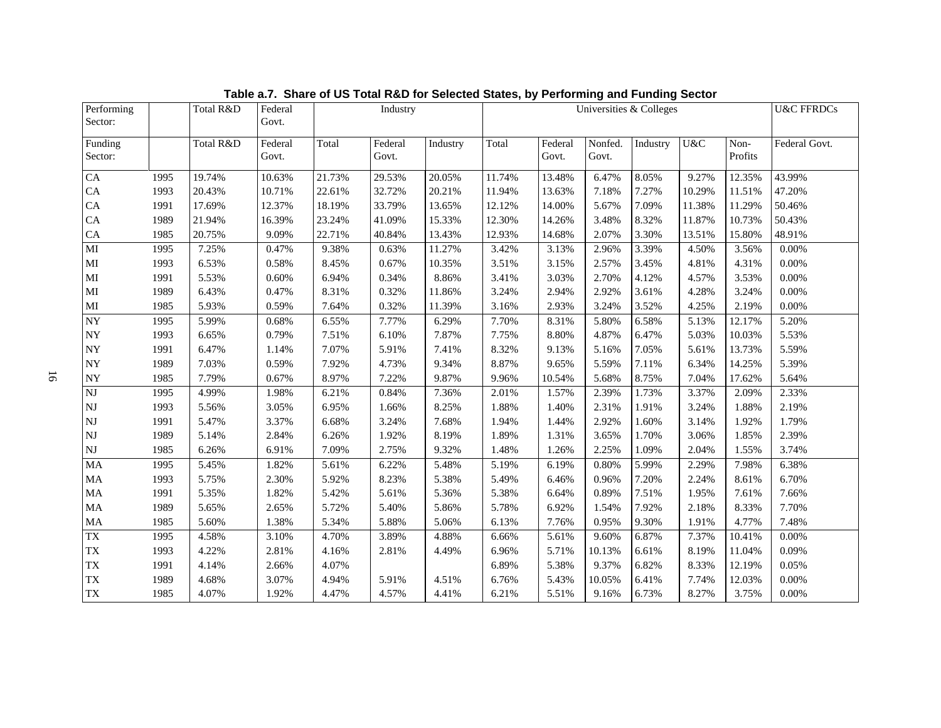| Performing             |      | Total R&D | Federal |        | Industry |          | Universities & Colleges |         |         |          |        |         | <b>U&amp;C FFRDCs</b> |
|------------------------|------|-----------|---------|--------|----------|----------|-------------------------|---------|---------|----------|--------|---------|-----------------------|
| Sector:                |      |           | Govt.   |        |          |          |                         |         |         |          |        |         |                       |
| Funding                |      | Total R&D | Federal | Total  | Federal  | Industry | Total                   | Federal | Nonfed. | Industry | U&C    | Non-    | Federal Govt.         |
| Sector:                |      |           | Govt.   |        | Govt.    |          |                         | Govt.   | Govt.   |          |        | Profits |                       |
| ${\rm CA}$             | 1995 | 19.74%    | 10.63%  | 21.73% | 29.53%   | 20.05%   | 11.74%                  | 13.48%  | 6.47%   | 8.05%    | 9.27%  | 12.35%  | 43.99%                |
| ${\rm CA}$             | 1993 | 20.43%    | 10.71%  | 22.61% | 32.72%   | 20.21%   | 11.94%                  | 13.63%  | 7.18%   | 7.27%    | 10.29% | 11.51%  | 47.20%                |
| CA                     | 1991 | 17.69%    | 12.37%  | 18.19% | 33.79%   | 13.65%   | 12.12%                  | 14.00%  | 5.67%   | 7.09%    | 11.38% | 11.29%  | 50.46%                |
| CA                     | 1989 | 21.94%    | 16.39%  | 23.24% | 41.09%   | 15.33%   | 12.30%                  | 14.26%  | 3.48%   | 8.32%    | 11.87% | 10.73%  | 50.43%                |
| ${\rm CA}$             | 1985 | 20.75%    | 9.09%   | 22.71% | 40.84%   | 13.43%   | 12.93%                  | 14.68%  | 2.07%   | 3.30%    | 13.51% | 15.80%  | 48.91%                |
| MI                     | 1995 | 7.25%     | 0.47%   | 9.38%  | 0.63%    | 11.27%   | 3.42%                   | 3.13%   | 2.96%   | 3.39%    | 4.50%  | 3.56%   | $0.00\%$              |
| $\mathbf{M}\mathbf{I}$ | 1993 | 6.53%     | 0.58%   | 8.45%  | 0.67%    | 10.35%   | 3.51%                   | 3.15%   | 2.57%   | 3.45%    | 4.81%  | 4.31%   | 0.00%                 |
| MI                     | 1991 | 5.53%     | 0.60%   | 6.94%  | 0.34%    | 8.86%    | 3.41%                   | 3.03%   | 2.70%   | 4.12%    | 4.57%  | 3.53%   | 0.00%                 |
| $\mathbf{M}\mathbf{I}$ | 1989 | 6.43%     | 0.47%   | 8.31%  | 0.32%    | 11.86%   | 3.24%                   | 2.94%   | 2.92%   | 3.61%    | 4.28%  | 3.24%   | 0.00%                 |
| $\mathbf{M}\mathbf{I}$ | 1985 | 5.93%     | 0.59%   | 7.64%  | 0.32%    | 11.39%   | 3.16%                   | 2.93%   | 3.24%   | 3.52%    | 4.25%  | 2.19%   | 0.00%                 |
| $\overline{NY}$        | 1995 | 5.99%     | 0.68%   | 6.55%  | 7.77%    | 6.29%    | 7.70%                   | 8.31%   | 5.80%   | 6.58%    | 5.13%  | 12.17%  | 5.20%                 |
| ${\rm NY}$             | 1993 | 6.65%     | 0.79%   | 7.51%  | 6.10%    | 7.87%    | 7.75%                   | 8.80%   | 4.87%   | 6.47%    | 5.03%  | 10.03%  | 5.53%                 |
| <b>NY</b>              | 1991 | 6.47%     | 1.14%   | 7.07%  | 5.91%    | 7.41%    | 8.32%                   | 9.13%   | 5.16%   | 7.05%    | 5.61%  | 13.73%  | 5.59%                 |
| ${\rm NY}$             | 1989 | 7.03%     | 0.59%   | 7.92%  | 4.73%    | 9.34%    | 8.87%                   | 9.65%   | 5.59%   | 7.11%    | 6.34%  | 14.25%  | 5.39%                 |
| $\bold{NY}$            | 1985 | 7.79%     | 0.67%   | 8.97%  | 7.22%    | 9.87%    | 9.96%                   | 10.54%  | 5.68%   | 8.75%    | 7.04%  | 17.62%  | 5.64%                 |
| $\overline{\text{NJ}}$ | 1995 | 4.99%     | 1.98%   | 6.21%  | 0.84%    | 7.36%    | 2.01%                   | 1.57%   | 2.39%   | 1.73%    | 3.37%  | 2.09%   | 2.33%                 |
| $\mathbf{N}\mathbf{J}$ | 1993 | 5.56%     | 3.05%   | 6.95%  | 1.66%    | 8.25%    | 1.88%                   | 1.40%   | 2.31%   | 1.91%    | 3.24%  | 1.88%   | 2.19%                 |
| $\mathbf{N}\mathbf{J}$ | 1991 | 5.47%     | 3.37%   | 6.68%  | 3.24%    | 7.68%    | 1.94%                   | 1.44%   | 2.92%   | 1.60%    | 3.14%  | 1.92%   | 1.79%                 |
| $\mathbf{N}\mathbf{J}$ | 1989 | 5.14%     | 2.84%   | 6.26%  | 1.92%    | 8.19%    | 1.89%                   | 1.31%   | 3.65%   | 1.70%    | 3.06%  | 1.85%   | 2.39%                 |
| $\mathbf{N}\mathbf{J}$ | 1985 | 6.26%     | 6.91%   | 7.09%  | 2.75%    | 9.32%    | 1.48%                   | 1.26%   | 2.25%   | 1.09%    | 2.04%  | 1.55%   | 3.74%                 |
| MA                     | 1995 | 5.45%     | 1.82%   | 5.61%  | 6.22%    | 5.48%    | 5.19%                   | 6.19%   | 0.80%   | 5.99%    | 2.29%  | 7.98%   | 6.38%                 |
| MA                     | 1993 | 5.75%     | 2.30%   | 5.92%  | 8.23%    | 5.38%    | 5.49%                   | 6.46%   | 0.96%   | 7.20%    | 2.24%  | 8.61%   | 6.70%                 |
| MA                     | 1991 | 5.35%     | 1.82%   | 5.42%  | 5.61%    | 5.36%    | 5.38%                   | 6.64%   | 0.89%   | 7.51%    | 1.95%  | 7.61%   | 7.66%                 |
| $\rm MA$               | 1989 | 5.65%     | 2.65%   | 5.72%  | 5.40%    | 5.86%    | 5.78%                   | 6.92%   | 1.54%   | 7.92%    | 2.18%  | 8.33%   | 7.70%                 |
| $\rm MA$               | 1985 | 5.60%     | 1.38%   | 5.34%  | 5.88%    | 5.06%    | 6.13%                   | 7.76%   | 0.95%   | 9.30%    | 1.91%  | 4.77%   | 7.48%                 |
| $\overline{TX}$        | 1995 | 4.58%     | 3.10%   | 4.70%  | 3.89%    | 4.88%    | 6.66%                   | 5.61%   | 9.60%   | 6.87%    | 7.37%  | 10.41%  | 0.00%                 |
| TX                     | 1993 | 4.22%     | 2.81%   | 4.16%  | 2.81%    | 4.49%    | 6.96%                   | 5.71%   | 10.13%  | 6.61%    | 8.19%  | 11.04%  | 0.09%                 |
| TX                     | 1991 | 4.14%     | 2.66%   | 4.07%  |          |          | 6.89%                   | 5.38%   | 9.37%   | 6.82%    | 8.33%  | 12.19%  | 0.05%                 |
| TX                     | 1989 | 4.68%     | 3.07%   | 4.94%  | 5.91%    | 4.51%    | 6.76%                   | 5.43%   | 10.05%  | 6.41%    | 7.74%  | 12.03%  | 0.00%                 |
| ${\rm TX}$             | 1985 | 4.07%     | 1.92%   | 4.47%  | 4.57%    | 4.41%    | 6.21%                   | 5.51%   | 9.16%   | 6.73%    | 8.27%  | 3.75%   | 0.00%                 |

**Table a.7. Share of US Total R&D for Selected States, by Performing and Funding Sector**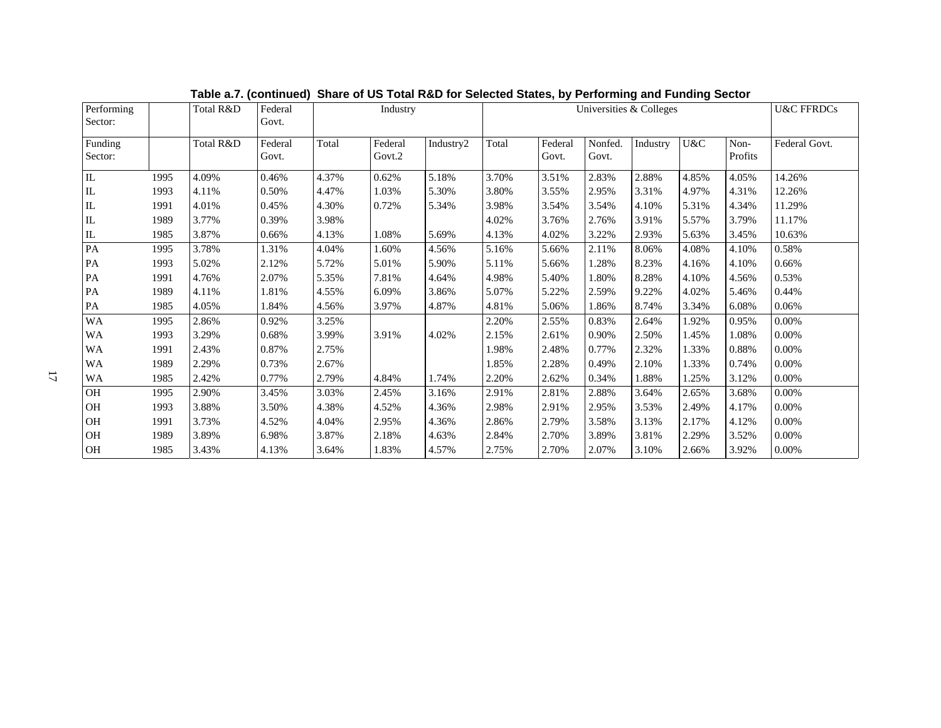| Performing<br>Sector:           |      | Total R&D | Federal<br>Govt. |       | Industry          |           |       | Universities & Colleges |                  | <b>U&amp;C FFRDCs</b> |       |                 |               |
|---------------------------------|------|-----------|------------------|-------|-------------------|-----------|-------|-------------------------|------------------|-----------------------|-------|-----------------|---------------|
| Funding<br>Sector:              |      | Total R&D | Federal<br>Govt. | Total | Federal<br>Govt.2 | Industry2 | Total | Federal<br>Govt.        | Nonfed.<br>Govt. | Industry              | U&C   | Non-<br>Profits | Federal Govt. |
| IL                              | 1995 | 4.09%     | 0.46%            | 4.37% | 0.62%             | 5.18%     | 3.70% | 3.51%                   | 2.83%            | 2.88%                 | 4.85% | 4.05%           | 14.26%        |
| IL                              | 1993 | 4.11%     | 0.50%            | 4.47% | 1.03%             | 5.30%     | 3.80% | 3.55%                   | 2.95%            | 3.31%                 | 4.97% | 4.31%           | 12.26%        |
| $\rm IL$                        | 1991 | 4.01%     | 0.45%            | 4.30% | 0.72%             | 5.34%     | 3.98% | 3.54%                   | 3.54%            | 4.10%                 | 5.31% | 4.34%           | 11.29%        |
| $\rm IL$                        | 1989 | 3.77%     | 0.39%            | 3.98% |                   |           | 4.02% | 3.76%                   | 2.76%            | 3.91%                 | 5.57% | 3.79%           | 11.17%        |
| $\mathop{\mathrm{IL}}\nolimits$ | 1985 | 3.87%     | 0.66%            | 4.13% | 1.08%             | 5.69%     | 4.13% | 4.02%                   | 3.22%            | 2.93%                 | 5.63% | 3.45%           | 10.63%        |
| PA                              | 1995 | 3.78%     | 1.31%            | 4.04% | 1.60%             | 4.56%     | 5.16% | 5.66%                   | 2.11%            | 8.06%                 | 4.08% | 4.10%           | 0.58%         |
| PA                              | 1993 | 5.02%     | 2.12%            | 5.72% | 5.01%             | 5.90%     | 5.11% | 5.66%                   | 1.28%            | 8.23%                 | 4.16% | 4.10%           | 0.66%         |
| PA                              | 1991 | 4.76%     | 2.07%            | 5.35% | 7.81%             | 4.64%     | 4.98% | 5.40%                   | 1.80%            | 8.28%                 | 4.10% | 4.56%           | 0.53%         |
| PA                              | 1989 | 4.11%     | 1.81%            | 4.55% | 6.09%             | 3.86%     | 5.07% | 5.22%                   | 2.59%            | 9.22%                 | 4.02% | 5.46%           | 0.44%         |
| PA                              | 1985 | 4.05%     | 1.84%            | 4.56% | 3.97%             | 4.87%     | 4.81% | 5.06%                   | 1.86%            | 8.74%                 | 3.34% | 6.08%           | 0.06%         |
| <b>WA</b>                       | 1995 | 2.86%     | 0.92%            | 3.25% |                   |           | 2.20% | 2.55%                   | 0.83%            | 2.64%                 | 1.92% | 0.95%           | $0.00\%$      |
| WA                              | 1993 | 3.29%     | 0.68%            | 3.99% | 3.91%             | 4.02%     | 2.15% | 2.61%                   | 0.90%            | 2.50%                 | 1.45% | 1.08%           | 0.00%         |
| WA                              | 1991 | 2.43%     | 0.87%            | 2.75% |                   |           | 1.98% | 2.48%                   | 0.77%            | 2.32%                 | 1.33% | 0.88%           | 0.00%         |
| WA                              | 1989 | 2.29%     | 0.73%            | 2.67% |                   |           | 1.85% | 2.28%                   | 0.49%            | 2.10%                 | 1.33% | 0.74%           | 0.00%         |
| WA                              | 1985 | 2.42%     | 0.77%            | 2.79% | 4.84%             | 1.74%     | 2.20% | 2.62%                   | 0.34%            | 1.88%                 | 1.25% | 3.12%           | 0.00%         |
| $\rm OH$                        | 1995 | 2.90%     | 3.45%            | 3.03% | 2.45%             | 3.16%     | 2.91% | 2.81%                   | 2.88%            | 3.64%                 | 2.65% | 3.68%           | 0.00%         |
| OH                              | 1993 | 3.88%     | 3.50%            | 4.38% | 4.52%             | 4.36%     | 2.98% | 2.91%                   | 2.95%            | 3.53%                 | 2.49% | 4.17%           | 0.00%         |
| OH                              | 1991 | 3.73%     | 4.52%            | 4.04% | 2.95%             | 4.36%     | 2.86% | 2.79%                   | 3.58%            | 3.13%                 | 2.17% | 4.12%           | 0.00%         |
| OH                              | 1989 | 3.89%     | 6.98%            | 3.87% | 2.18%             | 4.63%     | 2.84% | 2.70%                   | 3.89%            | 3.81%                 | 2.29% | 3.52%           | 0.00%         |
| $\rm OH$                        | 1985 | 3.43%     | 4.13%            | 3.64% | 1.83%             | 4.57%     | 2.75% | 2.70%                   | 2.07%            | 3.10%                 | 2.66% | 3.92%           | 0.00%         |

**Table a.7. (continued) Share of US Total R&D for Selected States, by Performing and Funding Sector**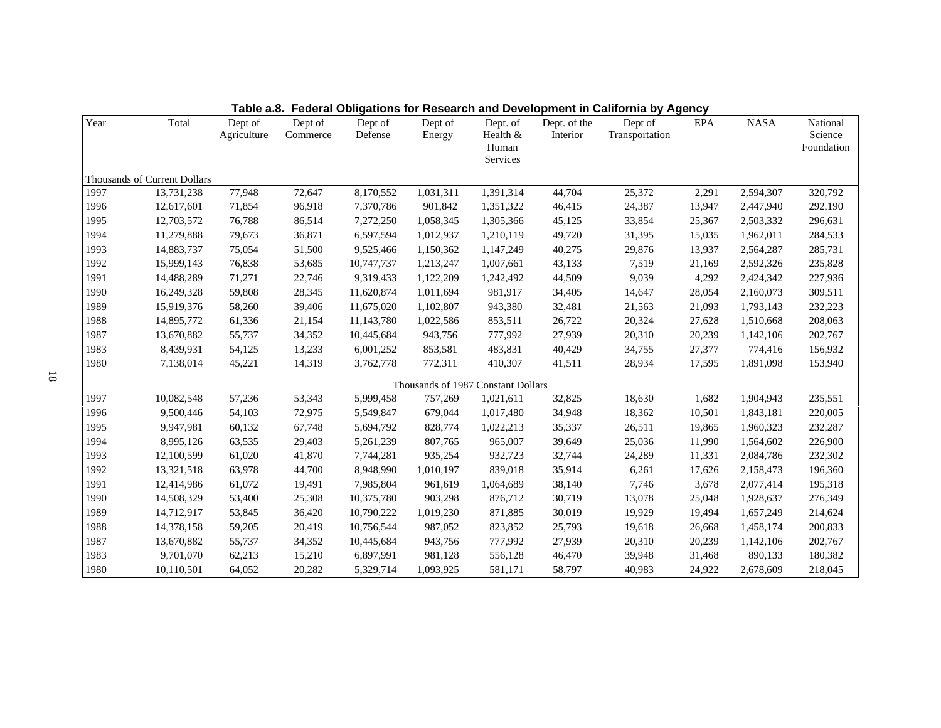| Year | Total                        | Dept of<br>Agriculture | Dept of<br>Commerce | Dept of<br>Defense | Dept of<br>Energy | Dept. of<br>Health &<br>Human<br>Services | Dept. of the<br>Interior | Dept of<br>Transportation | EPA    | <b>NASA</b> | National<br>Science<br>Foundation |
|------|------------------------------|------------------------|---------------------|--------------------|-------------------|-------------------------------------------|--------------------------|---------------------------|--------|-------------|-----------------------------------|
|      | Thousands of Current Dollars |                        |                     |                    |                   |                                           |                          |                           |        |             |                                   |
| 1997 | 13,731,238                   | 77,948                 | 72,647              | 8,170,552          | 1,031,311         | 1,391,314                                 | 44,704                   | 25,372                    | 2,291  | 2,594,307   | 320,792                           |
| 1996 | 12,617,601                   | 71,854                 | 96,918              | 7,370,786          | 901,842           | 1,351,322                                 | 46,415                   | 24,387                    | 13,947 | 2,447,940   | 292,190                           |
| 1995 | 12,703,572                   | 76,788                 | 86,514              | 7,272,250          | 1,058,345         | 1,305,366                                 | 45,125                   | 33,854                    | 25,367 | 2,503,332   | 296,631                           |
| 1994 | 11,279,888                   | 79,673                 | 36,871              | 6,597,594          | 1,012,937         | 1,210,119                                 | 49,720                   | 31,395                    | 15,035 | 1,962,011   | 284,533                           |
| 1993 | 14,883,737                   | 75,054                 | 51,500              | 9,525,466          | 1,150,362         | 1,147,249                                 | 40,275                   | 29,876                    | 13,937 | 2,564,287   | 285,731                           |
| 1992 | 15,999,143                   | 76,838                 | 53,685              | 10,747,737         | 1,213,247         | 1,007,661                                 | 43,133                   | 7,519                     | 21,169 | 2,592,326   | 235,828                           |
| 1991 | 14,488,289                   | 71,271                 | 22,746              | 9,319,433          | 1,122,209         | 1,242,492                                 | 44,509                   | 9,039                     | 4,292  | 2,424,342   | 227,936                           |
| 1990 | 16,249,328                   | 59,808                 | 28,345              | 11,620,874         | 1,011,694         | 981,917                                   | 34,405                   | 14,647                    | 28,054 | 2,160,073   | 309,511                           |
| 1989 | 15,919,376                   | 58,260                 | 39,406              | 11,675,020         | 1,102,807         | 943,380                                   | 32,481                   | 21,563                    | 21,093 | 1,793,143   | 232,223                           |
| 1988 | 14,895,772                   | 61,336                 | 21,154              | 11,143,780         | 1,022,586         | 853,511                                   | 26,722                   | 20,324                    | 27,628 | 1,510,668   | 208,063                           |
| 1987 | 13,670,882                   | 55,737                 | 34,352              | 10,445,684         | 943,756           | 777,992                                   | 27,939                   | 20,310                    | 20,239 | 1,142,106   | 202,767                           |
| 1983 | 8,439,931                    | 54,125                 | 13,233              | 6,001,252          | 853,581           | 483,831                                   | 40,429                   | 34,755                    | 27,377 | 774,416     | 156,932                           |
| 1980 | 7,138,014                    | 45,221                 | 14,319              | 3,762,778          | 772,311           | 410,307                                   | 41,511                   | 28,934                    | 17,595 | 1,891,098   | 153,940                           |
|      |                              |                        |                     |                    |                   | Thousands of 1987 Constant Dollars        |                          |                           |        |             |                                   |
| 1997 | 10,082,548                   | 57,236                 | 53,343              | 5,999,458          | 757,269           | 1,021,611                                 | 32,825                   | 18,630                    | 1,682  | 1,904,943   | 235,551                           |
| 1996 | 9,500,446                    | 54,103                 | 72,975              | 5,549,847          | 679,044           | 1,017,480                                 | 34,948                   | 18,362                    | 10,501 | 1,843,181   | 220,005                           |
| 1995 | 9,947,981                    | 60,132                 | 67,748              | 5,694,792          | 828,774           | 1,022,213                                 | 35,337                   | 26,511                    | 19,865 | 1,960,323   | 232,287                           |
| 1994 | 8,995,126                    | 63,535                 | 29,403              | 5,261,239          | 807,765           | 965,007                                   | 39,649                   | 25,036                    | 11,990 | 1,564,602   | 226,900                           |
| 1993 | 12,100,599                   | 61,020                 | 41,870              | 7,744,281          | 935,254           | 932,723                                   | 32,744                   | 24,289                    | 11,331 | 2,084,786   | 232,302                           |
| 1992 | 13,321,518                   | 63,978                 | 44,700              | 8,948,990          | 1,010,197         | 839,018                                   | 35,914                   | 6,261                     | 17,626 | 2,158,473   | 196,360                           |
| 1991 | 12,414,986                   | 61,072                 | 19,491              | 7,985,804          | 961,619           | 1,064,689                                 | 38,140                   | 7,746                     | 3,678  | 2,077,414   | 195,318                           |
| 1990 | 14,508,329                   | 53,400                 | 25,308              | 10,375,780         | 903,298           | 876,712                                   | 30,719                   | 13,078                    | 25,048 | 1,928,637   | 276,349                           |
| 1989 | 14,712,917                   | 53,845                 | 36,420              | 10,790,222         | 1,019,230         | 871,885                                   | 30,019                   | 19,929                    | 19,494 | 1,657,249   | 214,624                           |
| 1988 | 14,378,158                   | 59,205                 | 20,419              | 10,756,544         | 987,052           | 823,852                                   | 25,793                   | 19,618                    | 26,668 | 1,458,174   | 200,833                           |
| 1987 | 13,670,882                   | 55,737                 | 34,352              | 10,445,684         | 943,756           | 777,992                                   | 27,939                   | 20,310                    | 20,239 | 1,142,106   | 202,767                           |
| 1983 | 9,701,070                    | 62,213                 | 15,210              | 6,897,991          | 981,128           | 556,128                                   | 46,470                   | 39,948                    | 31,468 | 890,133     | 180,382                           |
| 1980 | 10,110,501                   | 64,052                 | 20,282              | 5,329,714          | 1,093,925         | 581,171                                   | 58,797                   | 40,983                    | 24,922 | 2,678,609   | 218,045                           |

**Table a.8. Federal Obligations for Research and Development in California by Agency**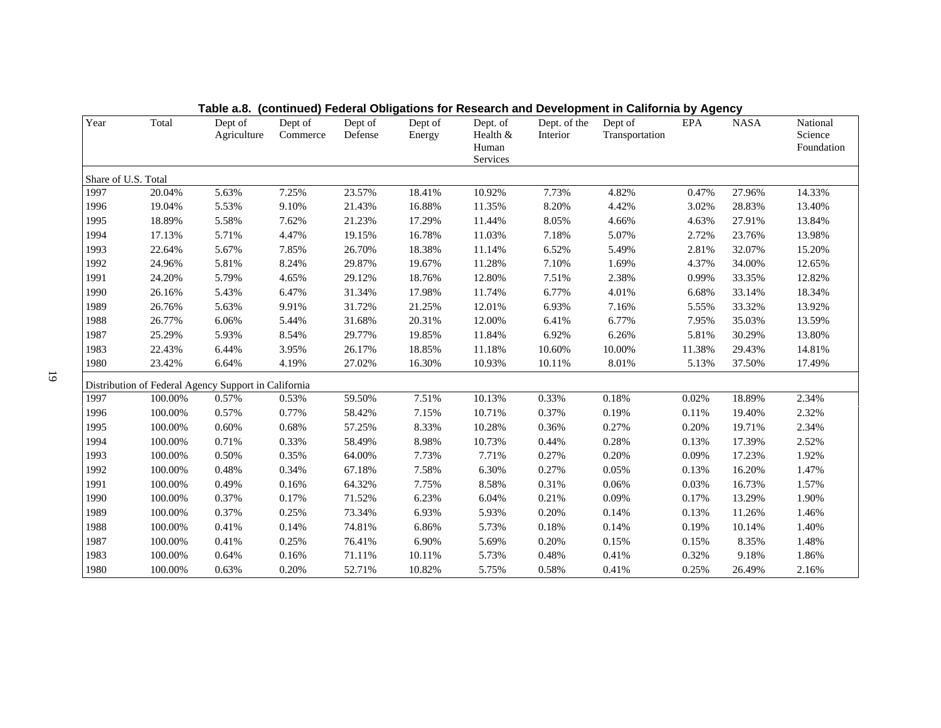| Year                | Total                                                | Dept of<br>Agriculture | Dept of<br>Commerce | Dept of<br>Defense | Dept of<br>Energy | Dept. of<br>Health &<br>Human<br>Services | Dept. of the<br>Interior | Dept of<br>Transportation | EPA    | <b>NASA</b> | National<br>Science<br>Foundation |
|---------------------|------------------------------------------------------|------------------------|---------------------|--------------------|-------------------|-------------------------------------------|--------------------------|---------------------------|--------|-------------|-----------------------------------|
| Share of U.S. Total |                                                      |                        |                     |                    |                   |                                           |                          |                           |        |             |                                   |
| 1997                | 20.04%                                               | 5.63%                  | 7.25%               | 23.57%             | 18.41%            | 10.92%                                    | 7.73%                    | 4.82%                     | 0.47%  | 27.96%      | 14.33%                            |
| 1996                | 19.04%                                               | 5.53%                  | 9.10%               | 21.43%             | 16.88%            | 11.35%                                    | 8.20%                    | 4.42%                     | 3.02%  | 28.83%      | 13.40%                            |
| 1995                | 18.89%                                               | 5.58%                  | 7.62%               | 21.23%             | 17.29%            | 11.44%                                    | 8.05%                    | 4.66%                     | 4.63%  | 27.91%      | 13.84%                            |
| 1994                | 17.13%                                               | 5.71%                  | 4.47%               | 19.15%             | 16.78%            | 11.03%                                    | 7.18%                    | 5.07%                     | 2.72%  | 23.76%      | 13.98%                            |
| 1993                | 22.64%                                               | 5.67%                  | 7.85%               | 26.70%             | 18.38%            | 11.14%                                    | 6.52%                    | 5.49%                     | 2.81%  | 32.07%      | 15.20%                            |
| 1992                | 24.96%                                               | 5.81%                  | 8.24%               | 29.87%             | 19.67%            | 11.28%                                    | 7.10%                    | 1.69%                     | 4.37%  | 34.00%      | 12.65%                            |
| 1991                | 24.20%                                               | 5.79%                  | 4.65%               | 29.12%             | 18.76%            | 12.80%                                    | 7.51%                    | 2.38%                     | 0.99%  | 33.35%      | 12.82%                            |
| 1990                | 26.16%                                               | 5.43%                  | 6.47%               | 31.34%             | 17.98%            | 11.74%                                    | 6.77%                    | 4.01%                     | 6.68%  | 33.14%      | 18.34%                            |
| 1989                | 26.76%                                               | 5.63%                  | 9.91%               | 31.72%             | 21.25%            | 12.01%                                    | 6.93%                    | 7.16%                     | 5.55%  | 33.32%      | 13.92%                            |
| 1988                | 26.77%                                               | 6.06%                  | 5.44%               | 31.68%             | 20.31%            | 12.00%                                    | 6.41%                    | 6.77%                     | 7.95%  | 35.03%      | 13.59%                            |
| 1987                | 25.29%                                               | 5.93%                  | 8.54%               | 29.77%             | 19.85%            | 11.84%                                    | 6.92%                    | 6.26%                     | 5.81%  | 30.29%      | 13.80%                            |
| 1983                | 22.43%                                               | 6.44%                  | 3.95%               | 26.17%             | 18.85%            | 11.18%                                    | 10.60%                   | 10.00%                    | 11.38% | 29.43%      | 14.81%                            |
| 1980                | 23.42%                                               | 6.64%                  | 4.19%               | 27.02%             | 16.30%            | 10.93%                                    | 10.11%                   | 8.01%                     | 5.13%  | 37.50%      | 17.49%                            |
|                     | Distribution of Federal Agency Support in California |                        |                     |                    |                   |                                           |                          |                           |        |             |                                   |
| 1997                | 100.00%                                              | 0.57%                  | 0.53%               | 59.50%             | 7.51%             | 10.13%                                    | 0.33%                    | 0.18%                     | 0.02%  | 18.89%      | 2.34%                             |
| 1996                | 100.00%                                              | 0.57%                  | 0.77%               | 58.42%             | 7.15%             | 10.71%                                    | 0.37%                    | 0.19%                     | 0.11%  | 19.40%      | 2.32%                             |
| 1995                | 100.00%                                              | 0.60%                  | 0.68%               | 57.25%             | 8.33%             | 10.28%                                    | 0.36%                    | 0.27%                     | 0.20%  | 19.71%      | 2.34%                             |
| 1994                | 100.00%                                              | 0.71%                  | 0.33%               | 58.49%             | 8.98%             | 10.73%                                    | 0.44%                    | 0.28%                     | 0.13%  | 17.39%      | 2.52%                             |
| 1993                | 100.00%                                              | 0.50%                  | 0.35%               | 64.00%             | 7.73%             | 7.71%                                     | 0.27%                    | 0.20%                     | 0.09%  | 17.23%      | 1.92%                             |
| 1992                | 100.00%                                              | 0.48%                  | 0.34%               | 67.18%             | 7.58%             | 6.30%                                     | 0.27%                    | 0.05%                     | 0.13%  | 16.20%      | 1.47%                             |
| 1991                | 100.00%                                              | 0.49%                  | 0.16%               | 64.32%             | 7.75%             | 8.58%                                     | 0.31%                    | 0.06%                     | 0.03%  | 16.73%      | 1.57%                             |
| 1990                | 100.00%                                              | 0.37%                  | 0.17%               | 71.52%             | 6.23%             | 6.04%                                     | 0.21%                    | 0.09%                     | 0.17%  | 13.29%      | 1.90%                             |
| 1989                | 100.00%                                              | 0.37%                  | 0.25%               | 73.34%             | 6.93%             | 5.93%                                     | 0.20%                    | 0.14%                     | 0.13%  | 11.26%      | 1.46%                             |
| 1988                | 100.00%                                              | 0.41%                  | 0.14%               | 74.81%             | 6.86%             | 5.73%                                     | 0.18%                    | 0.14%                     | 0.19%  | 10.14%      | 1.40%                             |
| 1987                | 100.00%                                              | 0.41%                  | 0.25%               | 76.41%             | 6.90%             | 5.69%                                     | 0.20%                    | 0.15%                     | 0.15%  | 8.35%       | 1.48%                             |
| 1983                | 100.00%                                              | 0.64%                  | 0.16%               | 71.11%             | 10.11%            | 5.73%                                     | 0.48%                    | 0.41%                     | 0.32%  | 9.18%       | 1.86%                             |
| 1980                | 100.00%                                              | 0.63%                  | 0.20%               | 52.71%             | 10.82%            | 5.75%                                     | 0.58%                    | 0.41%                     | 0.25%  | 26.49%      | 2.16%                             |

**Table a.8. (continued) Federal Obligations for Research and Development in California by Agency**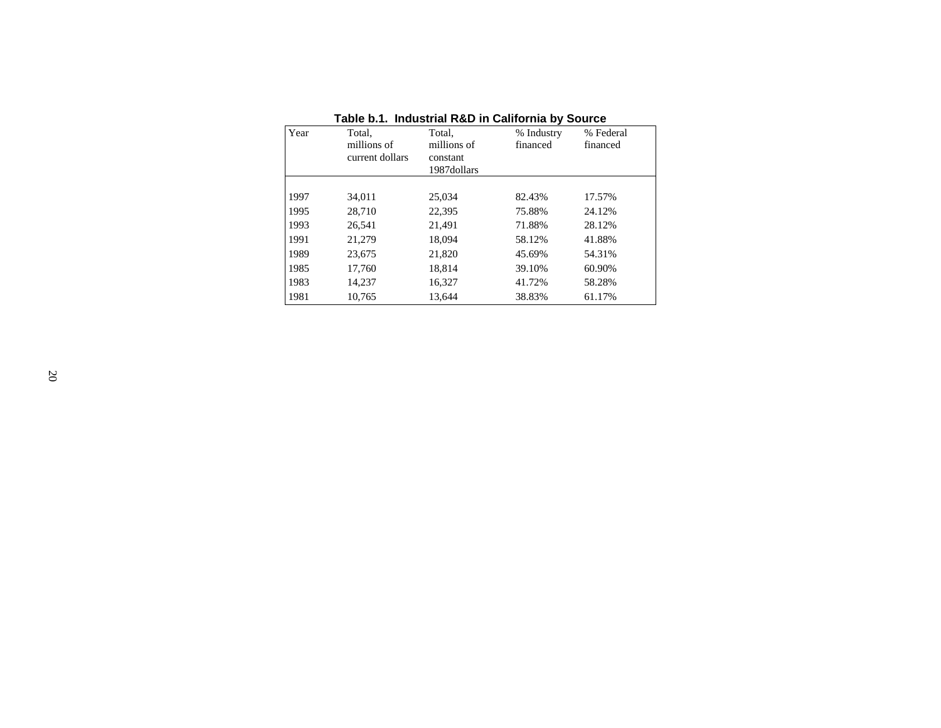|      |                 |             | <u>.</u>   |           |
|------|-----------------|-------------|------------|-----------|
| Year | Total,          | Total,      | % Industry | % Federal |
|      | millions of     | millions of | financed   | financed  |
|      | current dollars | constant    |            |           |
|      |                 | 1987dollars |            |           |
|      |                 |             |            |           |
| 1997 | 34,011          | 25.034      | 82.43%     | 17.57%    |
| 1995 | 28,710          | 22,395      | 75.88%     | 24.12%    |
| 1993 | 26.541          | 21,491      | 71.88%     | 28.12%    |
| 1991 | 21,279          | 18,094      | 58.12%     | 41.88%    |
| 1989 | 23,675          | 21,820      | 45.69%     | 54.31%    |
| 1985 | 17.760          | 18.814      | 39.10%     | 60.90%    |
| 1983 | 14.237          | 16,327      | 41.72%     | 58.28%    |
| 1981 | 10.765          | 13.644      | 38.83%     | 61.17%    |

**Table b.1. Industrial R&D in California by Source**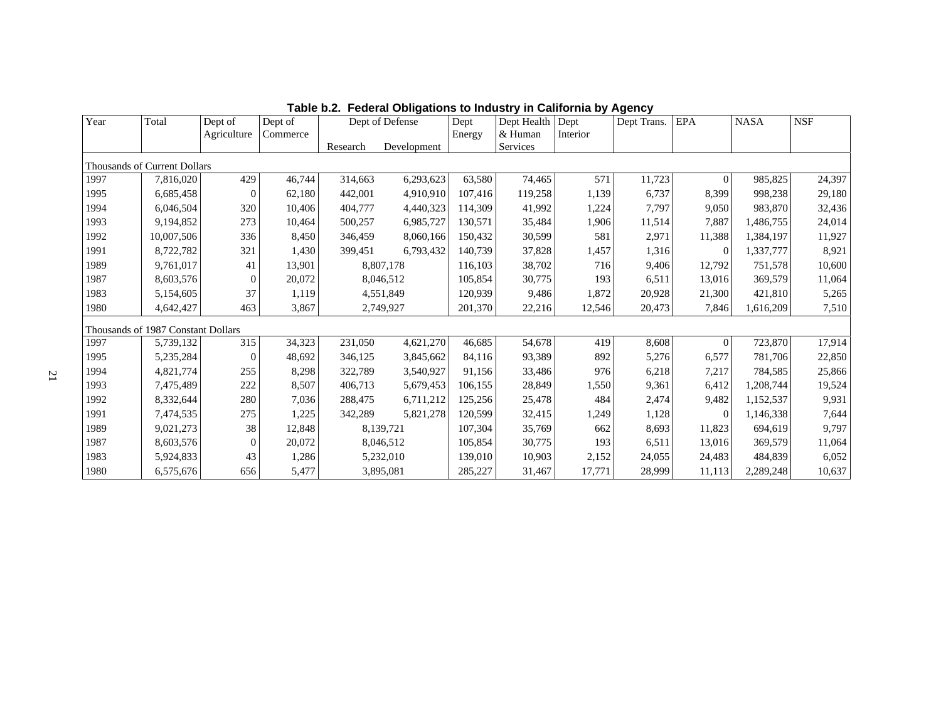| Year | Total                              | Dept of<br>Agriculture | Dept of<br>Commerce |          | Dept of Defense | Dept<br>Energy | Dept Health<br>& Human | Dept<br>Interior | Dept Trans. | EPA            | <b>NASA</b> | <b>NSF</b> |
|------|------------------------------------|------------------------|---------------------|----------|-----------------|----------------|------------------------|------------------|-------------|----------------|-------------|------------|
|      |                                    |                        |                     | Research | Development     |                | Services               |                  |             |                |             |            |
|      | Thousands of Current Dollars       |                        |                     |          |                 |                |                        |                  |             |                |             |            |
| 1997 | 7,816,020                          | 429                    | 46,744              | 314,663  | 6,293,623       | 63,580         | 74,465                 | 571              | 11,723      | $\overline{0}$ | 985,825     | 24,397     |
| 1995 | 6,685,458                          | $\Omega$               | 62,180              | 442,001  | 4,910,910       | 107,416        | 119,258                | 1,139            | 6,737       | 8,399          | 998,238     | 29,180     |
| 1994 | 6,046,504                          | 320                    | 10.406              | 404,777  | 4,440,323       | 114,309        | 41,992                 | 1,224            | 7,797       | 9,050          | 983,870     | 32,436     |
| 1993 | 9,194,852                          | 273                    | 10,464              | 500,257  | 6,985,727       | 130,571        | 35,484                 | 1,906            | 11,514      | 7,887          | 1,486,755   | 24,014     |
| 1992 | 10,007,506                         | 336                    | 8,450               | 346,459  | 8,060,166       | 150,432        | 30,599                 | 581              | 2,971       | 11,388         | 1,384,197   | 11,927     |
| 1991 | 8,722,782                          | 321                    | 1,430               | 399,451  | 6,793,432       | 140,739        | 37,828                 | 1,457            | 1,316       | $\mathbf{0}$   | 1,337,777   | 8,921      |
| 1989 | 9,761,017                          | 41                     | 13,901              |          | 8,807,178       | 116,103        | 38,702                 | 716              | 9,406       | 12,792         | 751,578     | 10,600     |
| 1987 | 8,603,576                          | $\theta$               | 20,072              |          | 8,046,512       | 105,854        | 30,775                 | 193              | 6,511       | 13.016         | 369,579     | 11,064     |
| 1983 | 5,154,605                          | 37                     | 1,119               |          | 4,551,849       | 120,939        | 9,486                  | 1,872            | 20,928      | 21,300         | 421,810     | 5,265      |
| 1980 | 4,642,427                          | 463                    | 3,867               |          | 2,749,927       | 201,370        | 22,216                 | 12,546           | 20,473      | 7,846          | 1,616,209   | 7,510      |
|      | Thousands of 1987 Constant Dollars |                        |                     |          |                 |                |                        |                  |             |                |             |            |
| 1997 | 5,739,132                          | 315                    | 34,323              | 231,050  | 4,621,270       | 46,685         | 54,678                 | 419              | 8,608       | $\Omega$       | 723,870     | 17,914     |
| 1995 | 5,235,284                          | $\overline{0}$         | 48,692              | 346,125  | 3,845,662       | 84,116         | 93,389                 | 892              | 5,276       | 6,577          | 781,706     | 22,850     |
| 1994 | 4,821,774                          | 255                    | 8,298               | 322,789  | 3,540,927       | 91,156         | 33,486                 | 976              | 6,218       | 7,217          | 784,585     | 25,866     |
| 1993 | 7,475,489                          | 222                    | 8,507               | 406,713  | 5,679,453       | 106,155        | 28,849                 | 1,550            | 9,361       | 6,412          | 1,208,744   | 19,524     |
| 1992 | 8,332,644                          | 280                    | 7,036               | 288,475  | 6,711,212       | 125,256        | 25,478                 | 484              | 2,474       | 9,482          | 1,152,537   | 9,931      |
| 1991 | 7,474,535                          | 275                    | 1,225               | 342,289  | 5,821,278       | 120,599        | 32,415                 | 1,249            | 1,128       | $\Omega$       | 1,146,338   | 7,644      |
| 1989 | 9,021,273                          | 38                     | 12,848              |          | 8,139,721       | 107,304        | 35,769                 | 662              | 8,693       | 11,823         | 694,619     | 9,797      |
| 1987 | 8,603,576                          | $\Omega$               | 20,072              |          | 8,046,512       | 105,854        | 30,775                 | 193              | 6,511       | 13,016         | 369,579     | 11,064     |
| 1983 | 5,924,833                          | 43                     | 1,286               |          | 5,232,010       | 139,010        | 10,903                 | 2,152            | 24,055      | 24,483         | 484,839     | 6,052      |
| 1980 | 6,575,676                          | 656                    | 5,477               |          | 3,895,081       | 285,227        | 31,467                 | 17,771           | 28,999      | 11,113         | 2,289,248   | 10,637     |

**Table b.2. Federal Obligations to Industry in California by Agency**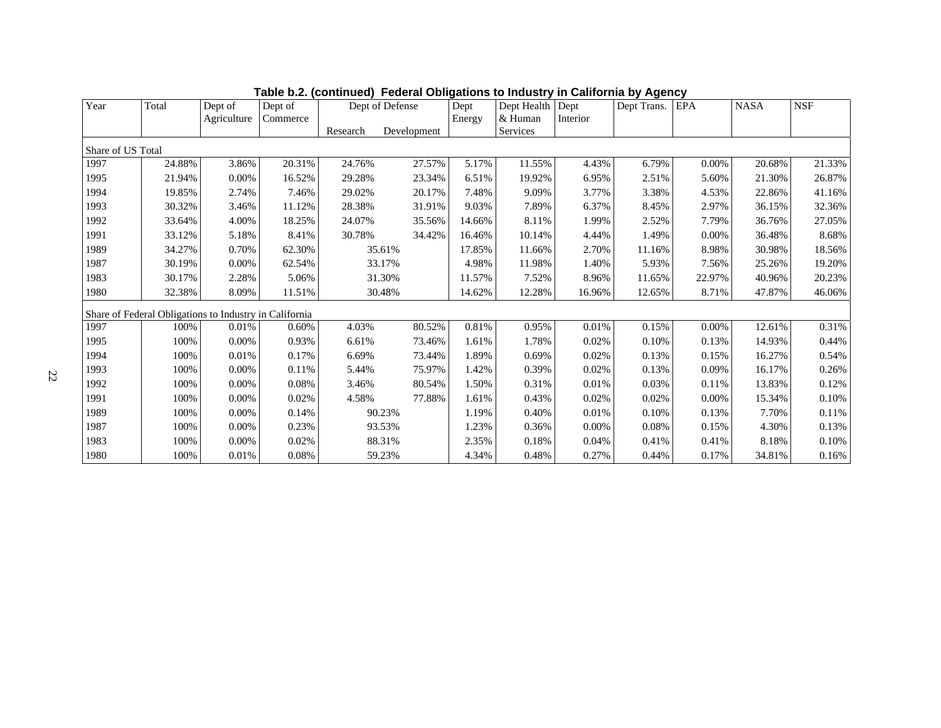| Year              | Total                                                  | Dept of     | Dept of  | Dept of Defense |             | Dept   | Dept Health Dept    |          | Dept Trans. | <b>EPA</b> | <b>NASA</b> | <b>NSF</b> |
|-------------------|--------------------------------------------------------|-------------|----------|-----------------|-------------|--------|---------------------|----------|-------------|------------|-------------|------------|
|                   |                                                        | Agriculture | Commerce | Research        | Development | Energy | & Human<br>Services | Interior |             |            |             |            |
|                   |                                                        |             |          |                 |             |        |                     |          |             |            |             |            |
| Share of US Total |                                                        |             |          |                 |             |        |                     |          |             |            |             |            |
| 1997              | 24.88%                                                 | 3.86%       | 20.31%   | 24.76%          | 27.57%      | 5.17%  | 11.55%              | 4.43%    | 6.79%       | 0.00%      | 20.68%      | 21.33%     |
| 1995              | 21.94%                                                 | 0.00%       | 16.52%   | 29.28%          | 23.34%      | 6.51%  | 19.92%              | 6.95%    | 2.51%       | 5.60%      | 21.30%      | 26.87%     |
| 1994              | 19.85%                                                 | 2.74%       | 7.46%    | 29.02%          | 20.17%      | 7.48%  | 9.09%               | 3.77%    | 3.38%       | 4.53%      | 22.86%      | 41.16%     |
| 1993              | 30.32%                                                 | 3.46%       | 11.12%   | 28.38%          | 31.91%      | 9.03%  | 7.89%               | 6.37%    | 8.45%       | 2.97%      | 36.15%      | 32.36%     |
| 1992              | 33.64%                                                 | 4.00%       | 18.25%   | 24.07%          | 35.56%      | 14.66% | 8.11%               | 1.99%    | 2.52%       | 7.79%      | 36.76%      | 27.05%     |
| 1991              | 33.12%                                                 | 5.18%       | 8.41%    | 30.78%          | 34.42%      | 16.46% | 10.14%              | 4.44%    | 1.49%       | 0.00%      | 36.48%      | 8.68%      |
| 1989              | 34.27%                                                 | 0.70%       | 62.30%   | 35.61%          |             | 17.85% | 11.66%              | 2.70%    | 11.16%      | 8.98%      | 30.98%      | 18.56%     |
| 1987              | 30.19%                                                 | 0.00%       | 62.54%   | 33.17%          |             | 4.98%  | 11.98%              | 1.40%    | 5.93%       | 7.56%      | 25.26%      | 19.20%     |
| 1983              | 30.17%                                                 | 2.28%       | 5.06%    | 31.30%          |             | 11.57% | 7.52%               | 8.96%    | 11.65%      | 22.97%     | 40.96%      | 20.23%     |
| 1980              | 32.38%                                                 | 8.09%       | 11.51%   | 30.48%          |             | 14.62% | 12.28%              | 16.96%   | 12.65%      | 8.71%      | 47.87%      | 46.06%     |
|                   | Share of Federal Obligations to Industry in California |             |          |                 |             |        |                     |          |             |            |             |            |
| 1997              | 100%                                                   | 0.01%       | 0.60%    | 4.03%           | 80.52%      | 0.81%  | 0.95%               | 0.01%    | 0.15%       | 0.00%      | 12.61%      | 0.31%      |
| 1995              | 100%                                                   | 0.00%       | 0.93%    | 6.61%           | 73.46%      | 1.61%  | 1.78%               | 0.02%    | 0.10%       | 0.13%      | 14.93%      | 0.44%      |
| 1994              | 100%                                                   | 0.01%       | 0.17%    | 6.69%           | 73.44%      | 1.89%  | 0.69%               | 0.02%    | 0.13%       | 0.15%      | 16.27%      | 0.54%      |
| 1993              | 100%                                                   | 0.00%       | 0.11%    | 5.44%           | 75.97%      | 1.42%  | 0.39%               | 0.02%    | 0.13%       | 0.09%      | 16.17%      | 0.26%      |
| 1992              | 100%                                                   | 0.00%       | 0.08%    | 3.46%           | 80.54%      | 1.50%  | 0.31%               | 0.01%    | 0.03%       | 0.11%      | 13.83%      | 0.12%      |
| 1991              | 100%                                                   | 0.00%       | 0.02%    | 4.58%           | 77.88%      | 1.61%  | 0.43%               | 0.02%    | 0.02%       | 0.00%      | 15.34%      | 0.10%      |
| 1989              | 100%                                                   | 0.00%       | 0.14%    | 90.23%          |             | 1.19%  | 0.40%               | 0.01%    | 0.10%       | 0.13%      | 7.70%       | 0.11%      |
| 1987              | 100%                                                   | 0.00%       | 0.23%    | 93.53%          |             | 1.23%  | 0.36%               | $0.00\%$ | 0.08%       | 0.15%      | 4.30%       | 0.13%      |
| 1983              | 100%                                                   | 0.00%       | 0.02%    | 88.31%          |             | 2.35%  | 0.18%               | 0.04%    | 0.41%       | 0.41%      | 8.18%       | 0.10%      |
| 1980              | 100%                                                   | 0.01%       | 0.08%    | 59.23%          |             | 4.34%  | 0.48%               | 0.27%    | 0.44%       | 0.17%      | 34.81%      | 0.16%      |

**Table b.2. (continued) Federal Obligations to Industry in California by Agency**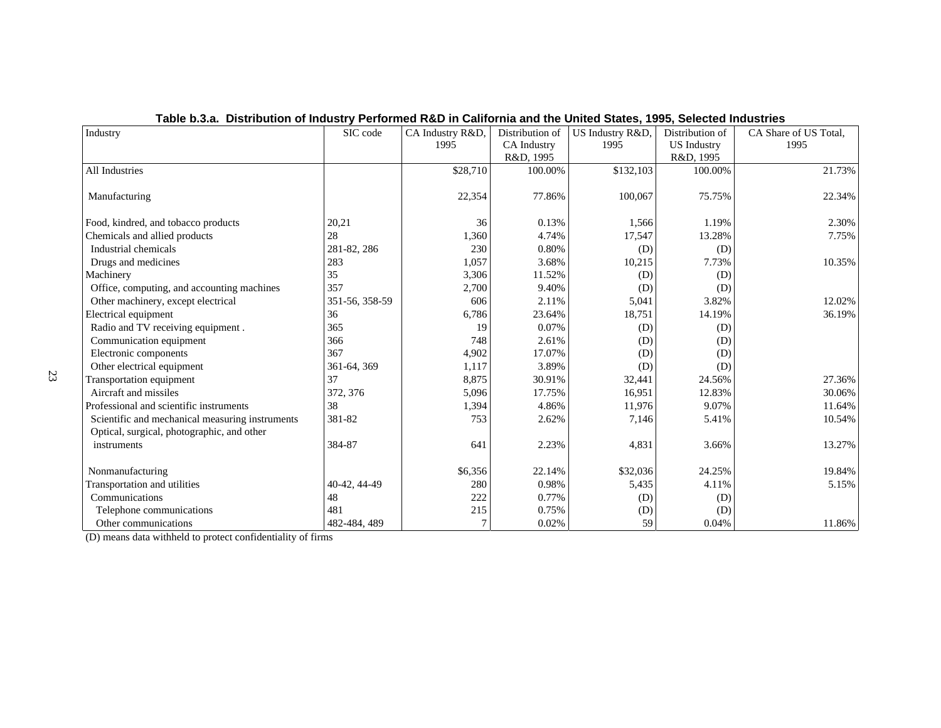| Industry                                        | SIC code       | CA Industry R&D, | Distribution of    | US Industry R&D, | Distribution of    | CA Share of US Total. |
|-------------------------------------------------|----------------|------------------|--------------------|------------------|--------------------|-----------------------|
|                                                 |                | 1995             | <b>CA</b> Industry | 1995             | <b>US</b> Industry | 1995                  |
|                                                 |                |                  | R&D, 1995          |                  | R&D, 1995          |                       |
| All Industries                                  |                | \$28,710         | 100.00%            | \$132,103        | 100.00%            | 21.73%                |
|                                                 |                |                  |                    |                  |                    |                       |
| Manufacturing                                   |                | 22,354           | 77.86%             | 100,067          | 75.75%             | 22.34%                |
| Food, kindred, and tobacco products             | 20,21          | 36               | 0.13%              | 1,566            | 1.19%              | 2.30%                 |
| Chemicals and allied products                   | 28             | 1,360            | 4.74%              | 17,547           | 13.28%             | 7.75%                 |
| Industrial chemicals                            | 281-82, 286    | 230              | 0.80%              | (D)              | (D)                |                       |
| Drugs and medicines                             | 283            | 1,057            | 3.68%              | 10,215           | 7.73%              | 10.35%                |
| Machinery                                       | 35             | 3,306            | 11.52%             | (D)              | (D)                |                       |
| Office, computing, and accounting machines      | 357            | 2,700            | 9.40%              | (D)              | (D)                |                       |
| Other machinery, except electrical              | 351-56, 358-59 | 606              | 2.11%              | 5,041            | 3.82%              | 12.02%                |
| Electrical equipment                            | 36             | 6,786            | 23.64%             | 18,751           | 14.19%             | 36.19%                |
| Radio and TV receiving equipment.               | 365            | 19               | 0.07%              | (D)              | (D)                |                       |
| Communication equipment                         | 366            | 748              | 2.61%              | (D)              | (D)                |                       |
| Electronic components                           | 367            | 4,902            | 17.07%             | (D)              | (D)                |                       |
| Other electrical equipment                      | 361-64, 369    | 1,117            | 3.89%              | (D)              | (D)                |                       |
| <b>Transportation equipment</b>                 | 37             | 8,875            | 30.91%             | 32,441           | 24.56%             | 27.36%                |
| Aircraft and missiles                           | 372, 376       | 5,096            | 17.75%             | 16,951           | 12.83%             | 30.06%                |
| Professional and scientific instruments         | 38             | 1,394            | 4.86%              | 11,976           | 9.07%              | 11.64%                |
| Scientific and mechanical measuring instruments | 381-82         | 753              | 2.62%              | 7,146            | 5.41%              | 10.54%                |
| Optical, surgical, photographic, and other      |                |                  |                    |                  |                    |                       |
| instruments                                     | 384-87         | 641              | 2.23%              | 4,831            | 3.66%              | 13.27%                |
|                                                 |                |                  |                    |                  |                    |                       |
| Nonmanufacturing                                |                | \$6,356          | 22.14%             | \$32,036         | 24.25%             | 19.84%                |
| Transportation and utilities                    | 40-42, 44-49   | 280              | 0.98%              | 5,435            | 4.11%              | 5.15%                 |
| Communications                                  | 48             | 222              | 0.77%              | (D)              | (D)                |                       |
| Telephone communications                        | 481            | 215              | 0.75%              | (D)              | (D)                |                       |
| Other communications                            | 482-484, 489   |                  | 0.02%              | 59               | 0.04%              | 11.86%                |

## **Table b.3.a. Distribution of Industry Performed R&D in California and the United States, 1995, Selected Industries**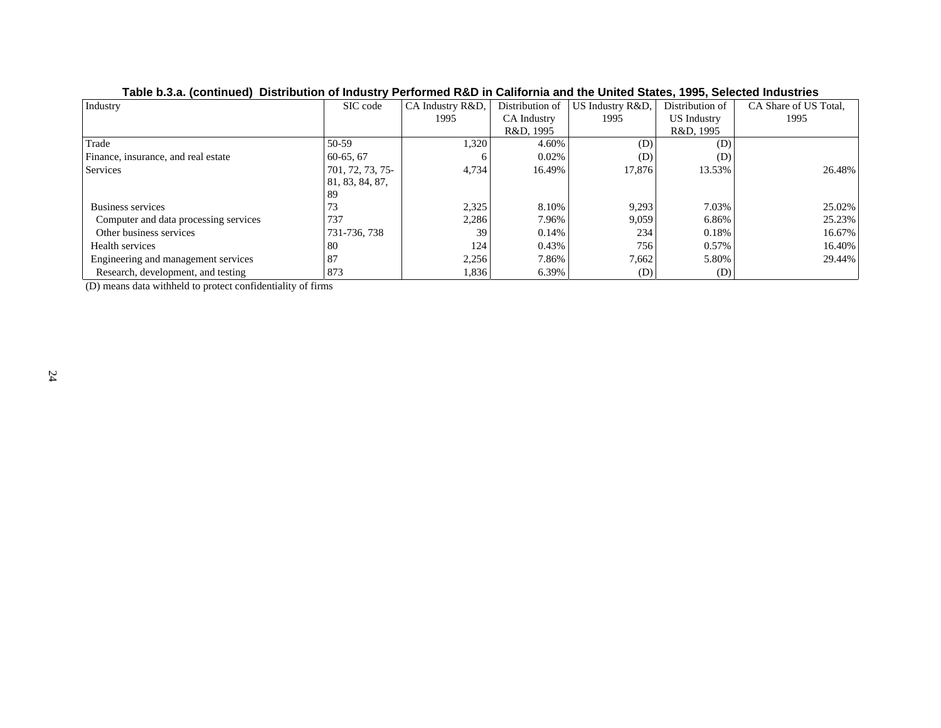| Industry                              | SIC code         | CA Industry R&D, | Distribution of | US Industry R&D, | Distribution of    | CA Share of US Total, |
|---------------------------------------|------------------|------------------|-----------------|------------------|--------------------|-----------------------|
|                                       |                  | 1995             | CA Industry     | 1995             | <b>US</b> Industry | 1995                  |
|                                       |                  |                  | R&D, 1995       |                  | R&D, 1995          |                       |
| Trade                                 | 50-59            | 1,320            | 4.60%           | (D)              | (D)                |                       |
| Finance, insurance, and real estate   | $60-65, 67$      | <sub>0</sub>     | 0.02%           | (D)              | (D)                |                       |
| <b>Services</b>                       | 701, 72, 73, 75- | 4,734            | 16.49%          | 17,876           | 13.53%             | 26.48%                |
|                                       | 81, 83, 84, 87,  |                  |                 |                  |                    |                       |
|                                       | -89              |                  |                 |                  |                    |                       |
| Business services                     | 73               | 2,325            | 8.10%           | 9,293            | 7.03%              | 25.02%                |
| Computer and data processing services | 737              | 2,286            | 7.96%           | 9,059            | 6.86%              | 25.23%                |
| Other business services               | 731-736, 738     | 39               | 0.14%           | 234              | 0.18%              | 16.67%                |
| Health services                       | 80               | 124              | 0.43%           | 756              | 0.57%              | 16.40%                |
| Engineering and management services   | 87               | 2,256            | 7.86%           | 7,662            | 5.80%              | 29.44%                |
| Research, development, and testing    | 873              | 1,836            | 6.39%           | (D)              | (D)                |                       |

## **Table b.3.a. (continued) Distribution of Industry Performed R&D in California and the United States, 1995, Selected Industries**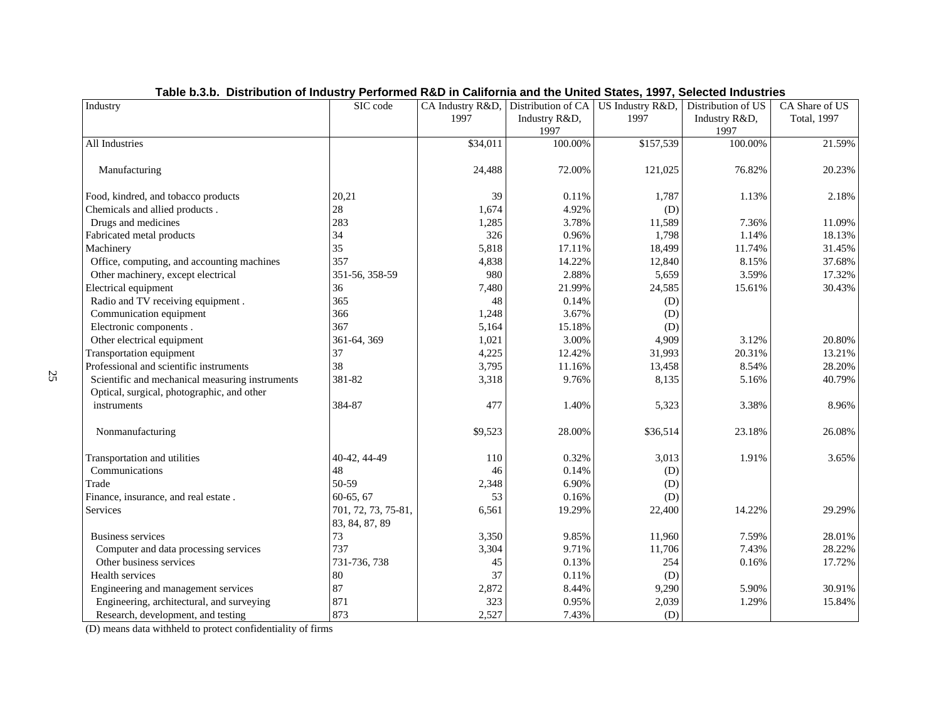| Industry                                        | SIC code            | CA Industry R&D, | Distribution of CA | US Industry R&D, | Distribution of US | CA Share of US |
|-------------------------------------------------|---------------------|------------------|--------------------|------------------|--------------------|----------------|
|                                                 |                     | 1997             | Industry R&D,      | 1997             | Industry R&D,      | Total, 1997    |
|                                                 |                     |                  | 1997               |                  | 1997               |                |
| <b>All Industries</b>                           |                     | \$34,011         | 100.00%            | \$157,539        | 100.00%            | 21.59%         |
|                                                 |                     |                  |                    |                  |                    |                |
| Manufacturing                                   |                     | 24,488           | 72.00%             | 121,025          | 76.82%             | 20.23%         |
| Food, kindred, and tobacco products             | 20,21               | 39               | 0.11%              | 1,787            | 1.13%              | 2.18%          |
| Chemicals and allied products.                  | $28\,$              | 1,674            | 4.92%              | (D)              |                    |                |
| Drugs and medicines                             | 283                 | 1,285            | 3.78%              | 11,589           | 7.36%              | 11.09%         |
| Fabricated metal products                       | 34                  | 326              | 0.96%              | 1,798            | 1.14%              | 18.13%         |
| Machinery                                       | 35                  | 5,818            | 17.11%             | 18,499           | 11.74%             | 31.45%         |
| Office, computing, and accounting machines      | 357                 | 4,838            | 14.22%             | 12,840           | 8.15%              | 37.68%         |
| Other machinery, except electrical              | 351-56, 358-59      | 980              | 2.88%              | 5,659            | 3.59%              | 17.32%         |
| Electrical equipment                            | 36                  | 7,480            | 21.99%             | 24,585           | 15.61%             | 30.43%         |
| Radio and TV receiving equipment.               | 365                 | 48               | 0.14%              | (D)              |                    |                |
| Communication equipment                         | 366                 | 1,248            | 3.67%              | (D)              |                    |                |
| Electronic components.                          | 367                 | 5,164            | 15.18%             | (D)              |                    |                |
| Other electrical equipment                      | 361-64, 369         | 1,021            | 3.00%              | 4,909            | 3.12%              | 20.80%         |
| <b>Transportation equipment</b>                 | 37                  | 4,225            | 12.42%             | 31,993           | 20.31%             | 13.21%         |
| Professional and scientific instruments         | 38                  | 3,795            | 11.16%             | 13,458           | 8.54%              | 28.20%         |
| Scientific and mechanical measuring instruments | 381-82              | 3,318            | 9.76%              | 8,135            | 5.16%              | 40.79%         |
| Optical, surgical, photographic, and other      |                     |                  |                    |                  |                    |                |
| instruments                                     | 384-87              | 477              | 1.40%              | 5,323            | 3.38%              | 8.96%          |
| Nonmanufacturing                                |                     | \$9,523          | 28.00%             | \$36,514         | 23.18%             | 26.08%         |
| Transportation and utilities                    | 40-42, 44-49        | 110              | 0.32%              | 3,013            | 1.91%              | 3.65%          |
| Communications                                  | 48                  | 46               | 0.14%              | (D)              |                    |                |
| Trade                                           | 50-59               | 2,348            | 6.90%              | (D)              |                    |                |
| Finance, insurance, and real estate.            | 60-65, 67           | 53               | 0.16%              | (D)              |                    |                |
| Services                                        | 701, 72, 73, 75-81, | 6,561            | 19.29%             | 22,400           | 14.22%             | 29.29%         |
|                                                 | 83, 84, 87, 89      |                  |                    |                  |                    |                |
| <b>Business services</b>                        | 73                  | 3,350            | 9.85%              | 11,960           | 7.59%              | 28.01%         |
| Computer and data processing services           | 737                 | 3,304            | 9.71%              | 11,706           | 7.43%              | 28.22%         |
| Other business services                         | 731-736, 738        | 45               | 0.13%              | 254              | 0.16%              | 17.72%         |
| Health services                                 | 80                  | 37               | 0.11%              | (D)              |                    |                |
| Engineering and management services             | 87                  | 2,872            | 8.44%              | 9,290            | 5.90%              | 30.91%         |
| Engineering, architectural, and surveying       | 871                 | 323              | 0.95%              | 2,039            | 1.29%              | 15.84%         |
| Research, development, and testing              | 873                 | 2,527            | 7.43%              | (D)              |                    |                |

## **Table b.3.b. Distribution of Industry Performed R&D in California and the United States, 1997, Selected Industries**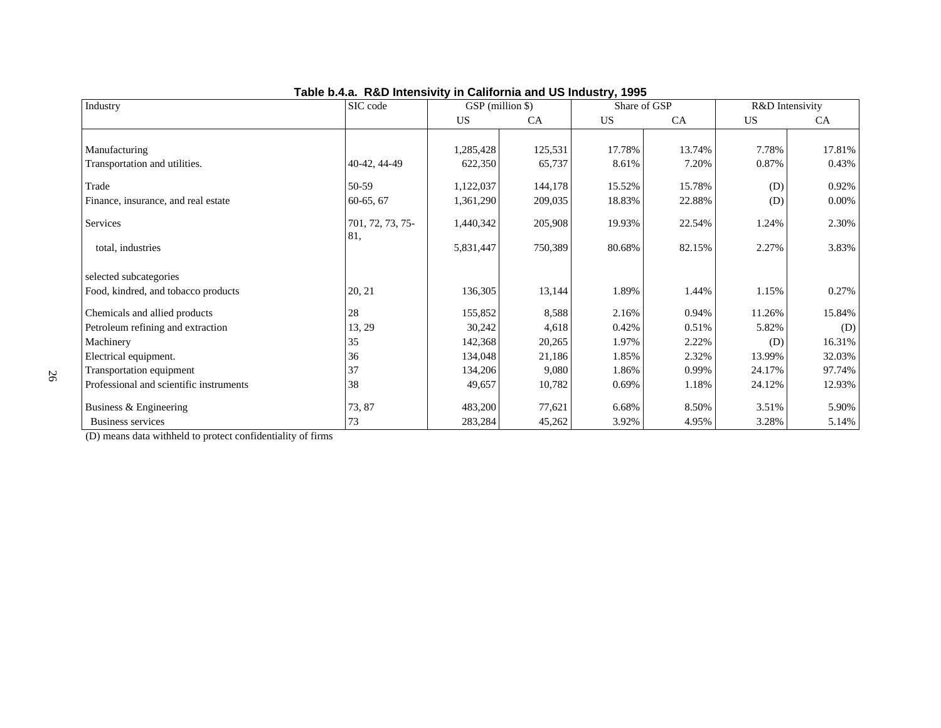| Industry                                | SIC code                | GSP (million \$) |           |           | Share of GSP |        | R&D Intensivity |
|-----------------------------------------|-------------------------|------------------|-----------|-----------|--------------|--------|-----------------|
|                                         |                         | US               | <b>CA</b> | <b>US</b> | CA           | US     | CA              |
|                                         |                         |                  |           |           |              |        |                 |
| Manufacturing                           |                         | 1,285,428        | 125,531   | 17.78%    | 13.74%       | 7.78%  | 17.81%          |
| Transportation and utilities.           | 40-42, 44-49            | 622,350          | 65,737    | 8.61%     | 7.20%        | 0.87%  | 0.43%           |
| Trade                                   | 50-59                   | 1,122,037        | 144,178   | 15.52%    | 15.78%       | (D)    | 0.92%           |
| Finance, insurance, and real estate     | $60-65, 67$             | 1,361,290        | 209,035   | 18.83%    | 22.88%       | (D)    | $0.00\%$        |
| Services                                | 701, 72, 73, 75-<br>81, | 1,440,342        | 205,908   | 19.93%    | 22.54%       | 1.24%  | 2.30%           |
| total, industries                       |                         | 5,831,447        | 750,389   | 80.68%    | 82.15%       | 2.27%  | 3.83%           |
| selected subcategories                  |                         |                  |           |           |              |        |                 |
| Food, kindred, and tobacco products     | 20, 21                  | 136,305          | 13,144    | 1.89%     | 1.44%        | 1.15%  | 0.27%           |
| Chemicals and allied products           | 28                      | 155,852          | 8,588     | 2.16%     | 0.94%        | 11.26% | 15.84%          |
| Petroleum refining and extraction       | 13, 29                  | 30,242           | 4,618     | 0.42%     | 0.51%        | 5.82%  | (D)             |
| Machinery                               | 35                      | 142,368          | 20,265    | 1.97%     | 2.22%        | (D)    | 16.31%          |
| Electrical equipment.                   | 36                      | 134,048          | 21,186    | 1.85%     | 2.32%        | 13.99% | 32.03%          |
| Transportation equipment                | 37                      | 134,206          | 9,080     | 1.86%     | 0.99%        | 24.17% | 97.74%          |
| Professional and scientific instruments | 38                      | 49,657           | 10,782    | 0.69%     | 1.18%        | 24.12% | 12.93%          |
| Business & Engineering                  | 73, 87                  | 483,200          | 77,621    | 6.68%     | 8.50%        | 3.51%  | 5.90%           |
| <b>Business services</b>                | 73                      | 283,284          | 45,262    | 3.92%     | 4.95%        | 3.28%  | 5.14%           |

## **Table b.4.a. R&D Intensivity in California and US Industry, 1995**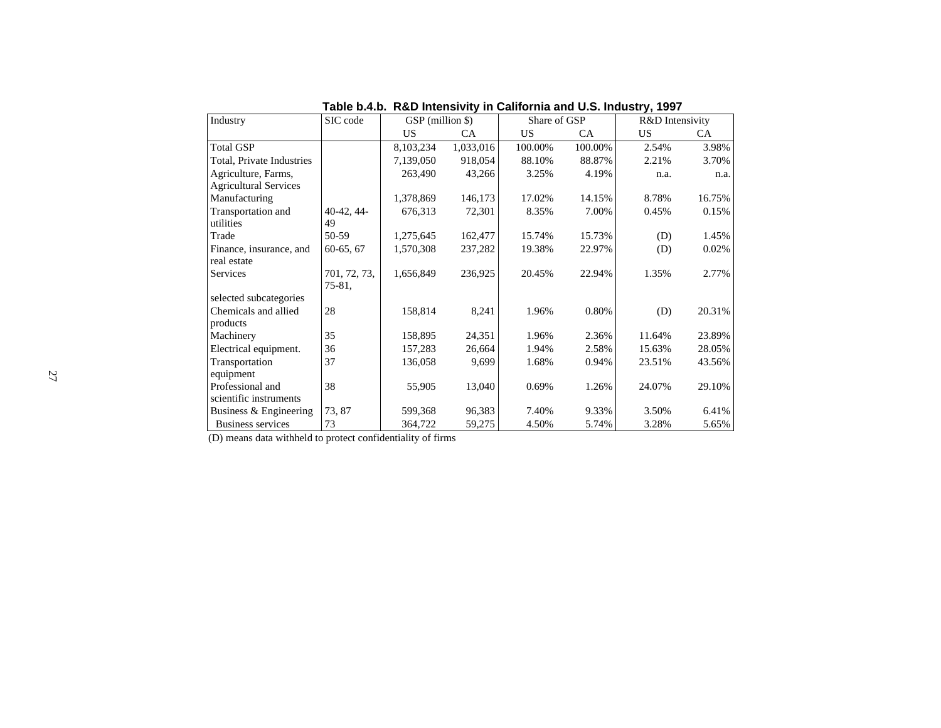| Industry                     | SIC code     | GSP (million \$) |           | Share of GSP |         | R&D Intensivity |        |
|------------------------------|--------------|------------------|-----------|--------------|---------|-----------------|--------|
|                              |              | US               | CA.       | US.          | CA.     | US              | CA.    |
| <b>Total GSP</b>             |              | 8,103,234        | 1,033,016 | 100.00%      | 100.00% | 2.54%           | 3.98%  |
| Total, Private Industries    |              | 7,139,050        | 918,054   | 88.10%       | 88.87%  | 2.21%           | 3.70%  |
| Agriculture, Farms,          |              | 263,490          | 43,266    | 3.25%        | 4.19%   | n.a.            | n.a.   |
| <b>Agricultural Services</b> |              |                  |           |              |         |                 |        |
| Manufacturing                |              | 1,378,869        | 146,173   | 17.02%       | 14.15%  | 8.78%           | 16.75% |
| Transportation and           | $40-42, 44-$ | 676,313          | 72,301    | 8.35%        | 7.00%   | 0.45%           | 0.15%  |
| utilities                    | 49           |                  |           |              |         |                 |        |
| Trade                        | 50-59        | 1,275,645        | 162,477   | 15.74%       | 15.73%  | (D)             | 1.45%  |
| Finance, insurance, and      | $60-65, 67$  | 1,570,308        | 237,282   | 19.38%       | 22.97%  | (D)             | 0.02%  |
| real estate                  |              |                  |           |              |         |                 |        |
| Services                     | 701, 72, 73, | 1,656,849        | 236,925   | 20.45%       | 22.94%  | 1.35%           | 2.77%  |
|                              | 75-81,       |                  |           |              |         |                 |        |
| selected subcategories       |              |                  |           |              |         |                 |        |
| Chemicals and allied         | 28           | 158,814          | 8,241     | 1.96%        | 0.80%   | (D)             | 20.31% |
| products                     |              |                  |           |              |         |                 |        |
| Machinery                    | 35           | 158,895          | 24,351    | 1.96%        | 2.36%   | 11.64%          | 23.89% |
| Electrical equipment.        | 36           | 157,283          | 26,664    | 1.94%        | 2.58%   | 15.63%          | 28.05% |
| Transportation               | 37           | 136,058          | 9,699     | 1.68%        | 0.94%   | 23.51%          | 43.56% |
| equipment                    |              |                  |           |              |         |                 |        |
| Professional and             | 38           | 55,905           | 13,040    | 0.69%        | 1.26%   | 24.07%          | 29.10% |
| scientific instruments       |              |                  |           |              |         |                 |        |
| Business & Engineering       | 73, 87       | 599,368          | 96,383    | 7.40%        | 9.33%   | 3.50%           | 6.41%  |
| Business services            | 73           | 364,722          | 59,275    | 4.50%        | 5.74%   | 3.28%           | 5.65%  |

**Table b.4.b. R&D Intensivity in California and U.S. Industry, 1997**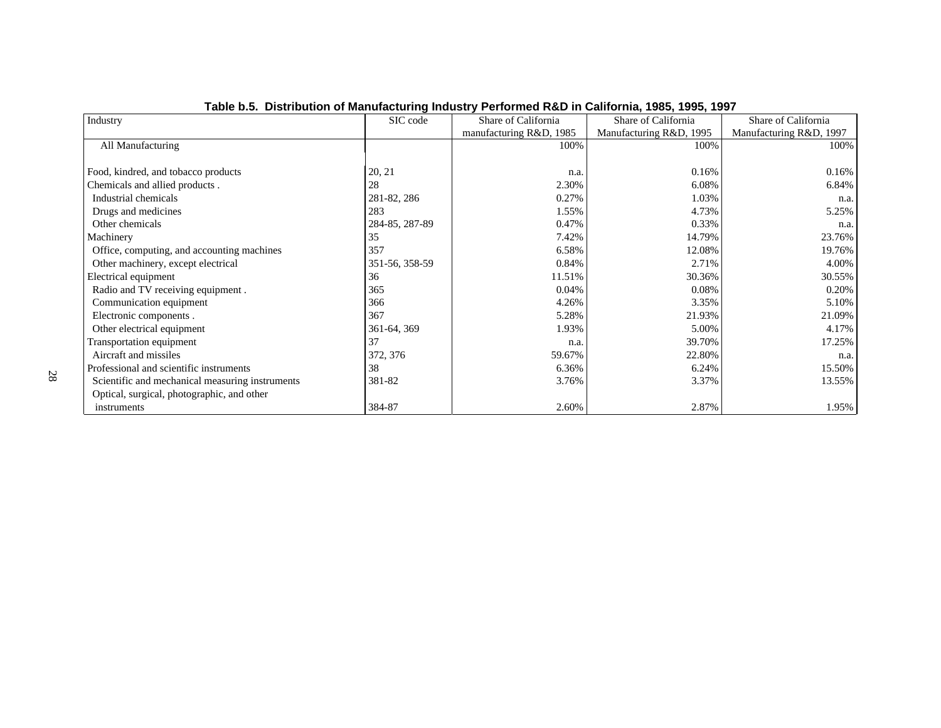| Industry                                        | SIC code       | Share of California     | Share of California     | Share of California     |
|-------------------------------------------------|----------------|-------------------------|-------------------------|-------------------------|
|                                                 |                | manufacturing R&D, 1985 | Manufacturing R&D, 1995 | Manufacturing R&D, 1997 |
| All Manufacturing                               |                | 100%                    | 100%                    | 100%                    |
|                                                 |                |                         |                         |                         |
| Food, kindred, and tobacco products             | 20, 21         | n.a.                    | 0.16%                   | 0.16%                   |
| Chemicals and allied products.                  | 28             | 2.30%                   | 6.08%                   | 6.84%                   |
| Industrial chemicals                            | 281-82, 286    | 0.27%                   | 1.03%                   | n.a.                    |
| Drugs and medicines                             | 283            | 1.55%                   | 4.73%                   | 5.25%                   |
| Other chemicals                                 | 284-85, 287-89 | 0.47%                   | 0.33%                   | n.a.                    |
| Machinery                                       | 35             | 7.42%                   | 14.79%                  | 23.76%                  |
| Office, computing, and accounting machines      | 357            | 6.58%                   | 12.08%                  | 19.76%                  |
| Other machinery, except electrical              | 351-56, 358-59 | 0.84%                   | 2.71%                   | 4.00%                   |
| Electrical equipment                            | 36             | 11.51%                  | 30.36%                  | 30.55%                  |
| Radio and TV receiving equipment.               | 365            | 0.04%                   | 0.08%                   | 0.20%                   |
| Communication equipment                         | 366            | 4.26%                   | 3.35%                   | 5.10%                   |
| Electronic components.                          | 367            | 5.28%                   | 21.93%                  | 21.09%                  |
| Other electrical equipment                      | 361-64, 369    | 1.93%                   | 5.00%                   | 4.17%                   |
| Transportation equipment                        | 37             | n.a.                    | 39.70%                  | 17.25%                  |
| Aircraft and missiles                           | 372, 376       | 59.67%                  | 22.80%                  | n.a.                    |
| Professional and scientific instruments         | 38             | 6.36%                   | 6.24%                   | 15.50%                  |
| Scientific and mechanical measuring instruments | 381-82         | 3.76%                   | 3.37%                   | 13.55%                  |
| Optical, surgical, photographic, and other      |                |                         |                         |                         |
| instruments                                     | 384-87         | 2.60%                   | 2.87%                   | 1.95%                   |

## **Table b.5. Distribution of Manufacturing Industry Performed R&D in California, 1985, 1995, 1997**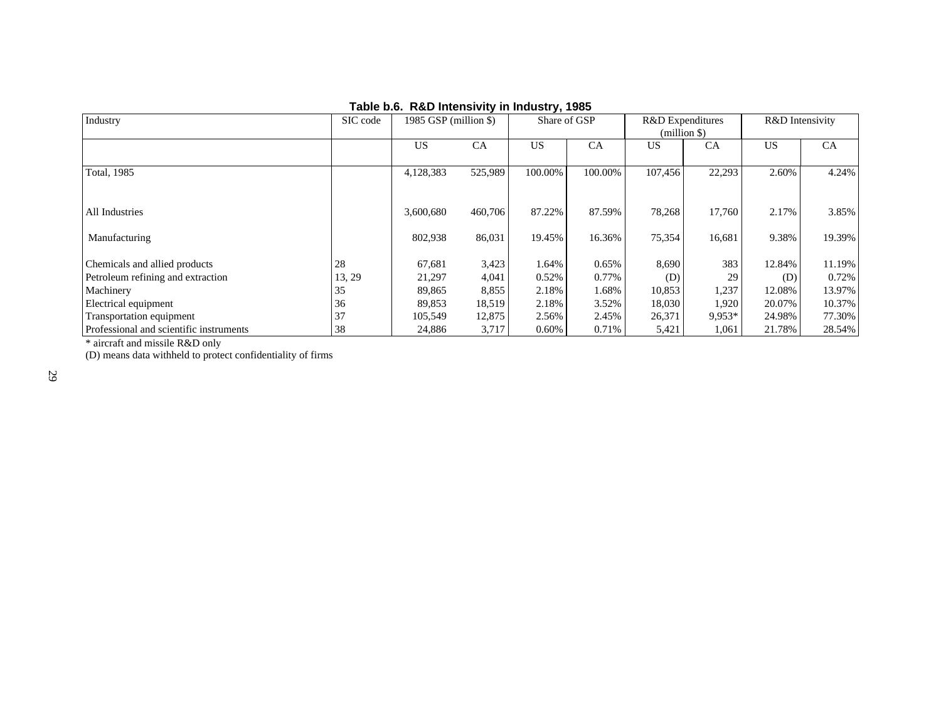| Industry                                | SIC code | 1985 GSP (million \$) |           | Share of GSP |           | R&D Expenditures<br>$(million \$ |          | R&D Intensivity |        |
|-----------------------------------------|----------|-----------------------|-----------|--------------|-----------|----------------------------------|----------|-----------------|--------|
|                                         |          | <b>US</b>             | <b>CA</b> | <b>US</b>    | <b>CA</b> | US                               | CA       | US              | CA     |
| <b>Total, 1985</b>                      |          | 4,128,383             | 525,989   | 100.00%      | 100.00%   | 107,456                          | 22,293   | 2.60%           | 4.24%  |
|                                         |          |                       |           |              |           |                                  |          |                 |        |
| All Industries                          |          | 3,600,680             | 460,706   | 87.22%       | 87.59%    | 78,268                           | 17,760   | 2.17%           | 3.85%  |
| Manufacturing                           |          | 802,938               | 86,031    | 19.45%       | 16.36%    | 75,354                           | 16,681   | 9.38%           | 19.39% |
| Chemicals and allied products           | 28       | 67,681                | 3,423     | 1.64%        | 0.65%     | 8,690                            | 383      | 12.84%          | 11.19% |
| Petroleum refining and extraction       | 13, 29   | 21,297                | 4,041     | 0.52%        | 0.77%     | (D)                              | 29       | (D)             | 0.72%  |
| Machinery                               | 35       | 89,865                | 8,855     | 2.18%        | 1.68%     | 10,853                           | 1,237    | 12.08%          | 13.97% |
| Electrical equipment                    | 36       | 89,853                | 18,519    | 2.18%        | 3.52%     | 18,030                           | 1,920    | 20.07%          | 10.37% |
| Transportation equipment                | 37       | 105,549               | 12,875    | 2.56%        | 2.45%     | 26,371                           | $9.953*$ | 24.98%          | 77.30% |
| Professional and scientific instruments | 38       | 24,886                | 3,717     | $0.60\%$     | 0.71%     | 5,421                            | 1,061    | 21.78%          | 28.54% |

## **Table b.6. R&D Intensivity in Industry, 1985**

\* aircraft and missile R&D only

(D) means data withheld to protect confidentiality of firms

29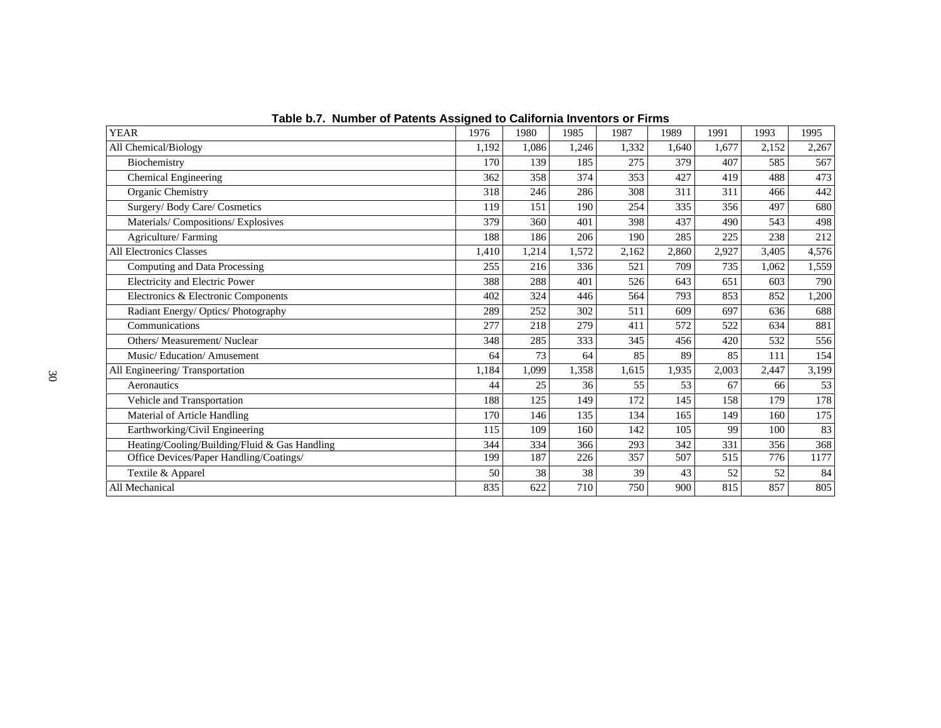| <b>YEAR</b>                                   | 1976  | 1980  | 1985  | 1987  | 1989  | 1991  | 1993  | 1995  |
|-----------------------------------------------|-------|-------|-------|-------|-------|-------|-------|-------|
| All Chemical/Biology                          | 1,192 | 1.086 | 1,246 | 1,332 | 1,640 | 1,677 | 2,152 | 2,267 |
| Biochemistry                                  | 170   | 139   | 185   | 275   | 379   | 407   | 585   | 567   |
| Chemical Engineering                          | 362   | 358   | 374   | 353   | 427   | 419   | 488   | 473   |
| Organic Chemistry                             | 318   | 246   | 286   | 308   | 311   | 311   | 466   | 442   |
| Surgery/Body Care/Cosmetics                   | 119   | 151   | 190   | 254   | 335   | 356   | 497   | 680   |
| Materials/Compositions/Explosives             | 379   | 360   | 401   | 398   | 437   | 490   | 543   | 498   |
| Agriculture/Farming                           | 188   | 186   | 206   | 190   | 285   | 225   | 238   | 212   |
| <b>All Electronics Classes</b>                | 1,410 | 1,214 | 1,572 | 2,162 | 2,860 | 2,927 | 3,405 | 4,576 |
| Computing and Data Processing                 | 255   | 216   | 336   | 521   | 709   | 735   | 1,062 | 1,559 |
| Electricity and Electric Power                | 388   | 288   | 401   | 526   | 643   | 651   | 603   | 790   |
| Electronics & Electronic Components           | 402   | 324   | 446   | 564   | 793   | 853   | 852   | 1,200 |
| Radiant Energy/Optics/Photography             | 289   | 252   | 302   | 511   | 609   | 697   | 636   | 688   |
| Communications                                | 277   | 218   | 279   | 411   | 572   | 522   | 634   | 881   |
| Others/ Measurement/ Nuclear                  | 348   | 285   | 333   | 345   | 456   | 420   | 532   | 556   |
| Music/Education/Amusement                     | 64    | 73    | 64    | 85    | 89    | 85    | 111   | 154   |
| All Engineering/Transportation                | 1,184 | 1,099 | 1,358 | 1,615 | 1,935 | 2,003 | 2,447 | 3,199 |
| Aeronautics                                   | 44    | 25    | 36    | 55    | 53    | 67    | 66    | 53    |
| Vehicle and Transportation                    | 188   | 125   | 149   | 172   | 145   | 158   | 179   | 178   |
| Material of Article Handling                  | 170   | 146   | 135   | 134   | 165   | 149   | 160   | 175   |
| Earthworking/Civil Engineering                | 115   | 109   | 160   | 142   | 105   | 99    | 100   | 83    |
| Heating/Cooling/Building/Fluid & Gas Handling | 344   | 334   | 366   | 293   | 342   | 331   | 356   | 368   |
| Office Devices/Paper Handling/Coatings/       | 199   | 187   | 226   | 357   | 507   | 515   | 776   | 1177  |
| Textile & Apparel                             | 50    | 38    | 38    | 39    | 43    | 52    | 52    | 84    |
| All Mechanical                                | 835   | 622   | 710   | 750   | 900   | 815   | 857   | 805   |

**Table b.7. Number of Patents Assigned to California Inventors or Firms**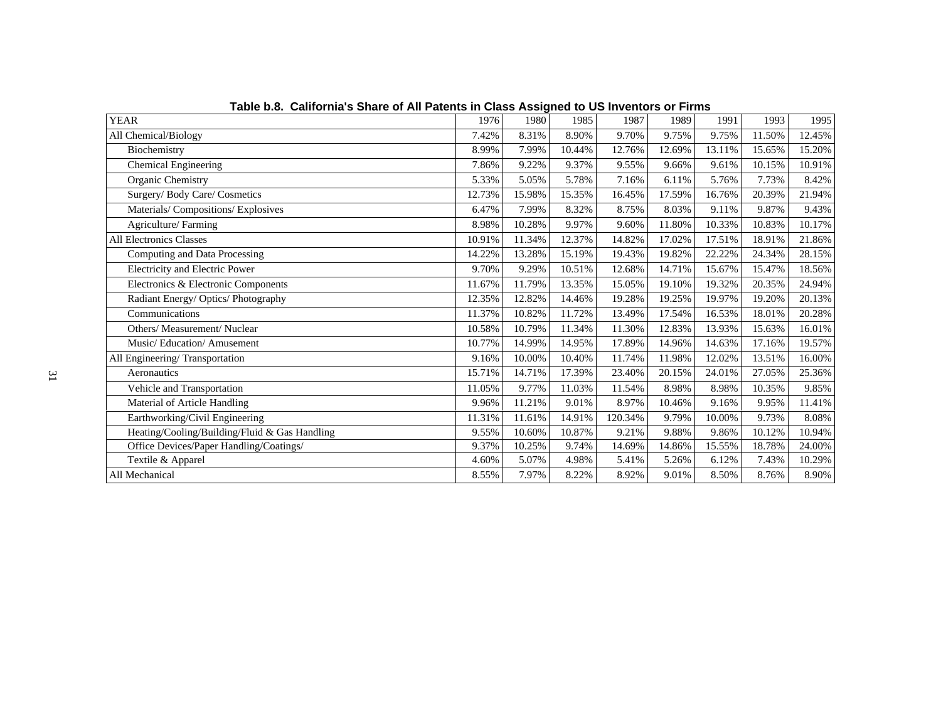| <b>YEAR</b>                                   | 1976   | 1980   | 1985   | 1987    | 1989   | 1991   | 1993   | 1995   |
|-----------------------------------------------|--------|--------|--------|---------|--------|--------|--------|--------|
| All Chemical/Biology                          | 7.42%  | 8.31%  | 8.90%  | 9.70%   | 9.75%  | 9.75%  | 11.50% | 12.45% |
| Biochemistry                                  | 8.99%  | 7.99%  | 10.44% | 12.76%  | 12.69% | 13.11% | 15.65% | 15.20% |
| Chemical Engineering                          | 7.86%  | 9.22%  | 9.37%  | 9.55%   | 9.66%  | 9.61%  | 10.15% | 10.91% |
| Organic Chemistry                             | 5.33%  | 5.05%  | 5.78%  | 7.16%   | 6.11%  | 5.76%  | 7.73%  | 8.42%  |
| Surgery/Body Care/Cosmetics                   | 12.73% | 15.98% | 15.35% | 16.45%  | 17.59% | 16.76% | 20.39% | 21.94% |
| Materials/Compositions/Explosives             | 6.47%  | 7.99%  | 8.32%  | 8.75%   | 8.03%  | 9.11%  | 9.87%  | 9.43%  |
| Agriculture/Farming                           | 8.98%  | 10.28% | 9.97%  | 9.60%   | 11.80% | 10.33% | 10.83% | 10.17% |
| All Electronics Classes                       | 10.91% | 11.34% | 12.37% | 14.82%  | 17.02% | 17.51% | 18.91% | 21.86% |
| Computing and Data Processing                 | 14.22% | 13.28% | 15.19% | 19.43%  | 19.82% | 22.22% | 24.34% | 28.15% |
| <b>Electricity and Electric Power</b>         | 9.70%  | 9.29%  | 10.51% | 12.68%  | 14.71% | 15.67% | 15.47% | 18.56% |
| Electronics & Electronic Components           | 11.67% | 11.79% | 13.35% | 15.05%  | 19.10% | 19.32% | 20.35% | 24.94% |
| Radiant Energy/Optics/Photography             | 12.35% | 12.82% | 14.46% | 19.28%  | 19.25% | 19.97% | 19.20% | 20.13% |
| Communications                                | 11.37% | 10.82% | 11.72% | 13.49%  | 17.54% | 16.53% | 18.01% | 20.28% |
| Others/ Measurement/ Nuclear                  | 10.58% | 10.79% | 11.34% | 11.30%  | 12.83% | 13.93% | 15.63% | 16.01% |
| Music/Education/Amusement                     | 10.77% | 14.99% | 14.95% | 17.89%  | 14.96% | 14.63% | 17.16% | 19.57% |
| All Engineering/Transportation                | 9.16%  | 10.00% | 10.40% | 11.74%  | 11.98% | 12.02% | 13.51% | 16.00% |
| Aeronautics                                   | 15.71% | 14.71% | 17.39% | 23.40%  | 20.15% | 24.01% | 27.05% | 25.36% |
| Vehicle and Transportation                    | 11.05% | 9.77%  | 11.03% | 11.54%  | 8.98%  | 8.98%  | 10.35% | 9.85%  |
| Material of Article Handling                  | 9.96%  | 11.21% | 9.01%  | 8.97%   | 10.46% | 9.16%  | 9.95%  | 11.41% |
| Earthworking/Civil Engineering                | 11.31% | 11.61% | 14.91% | 120.34% | 9.79%  | 10.00% | 9.73%  | 8.08%  |
| Heating/Cooling/Building/Fluid & Gas Handling | 9.55%  | 10.60% | 10.87% | 9.21%   | 9.88%  | 9.86%  | 10.12% | 10.94% |
| Office Devices/Paper Handling/Coatings/       | 9.37%  | 10.25% | 9.74%  | 14.69%  | 14.86% | 15.55% | 18.78% | 24.00% |
| Textile & Apparel                             | 4.60%  | 5.07%  | 4.98%  | 5.41%   | 5.26%  | 6.12%  | 7.43%  | 10.29% |
| All Mechanical                                | 8.55%  | 7.97%  | 8.22%  | 8.92%   | 9.01%  | 8.50%  | 8.76%  | 8.90%  |

**Table b.8. California's Share of All Patents in Class Assigned to US Inventors or Firms**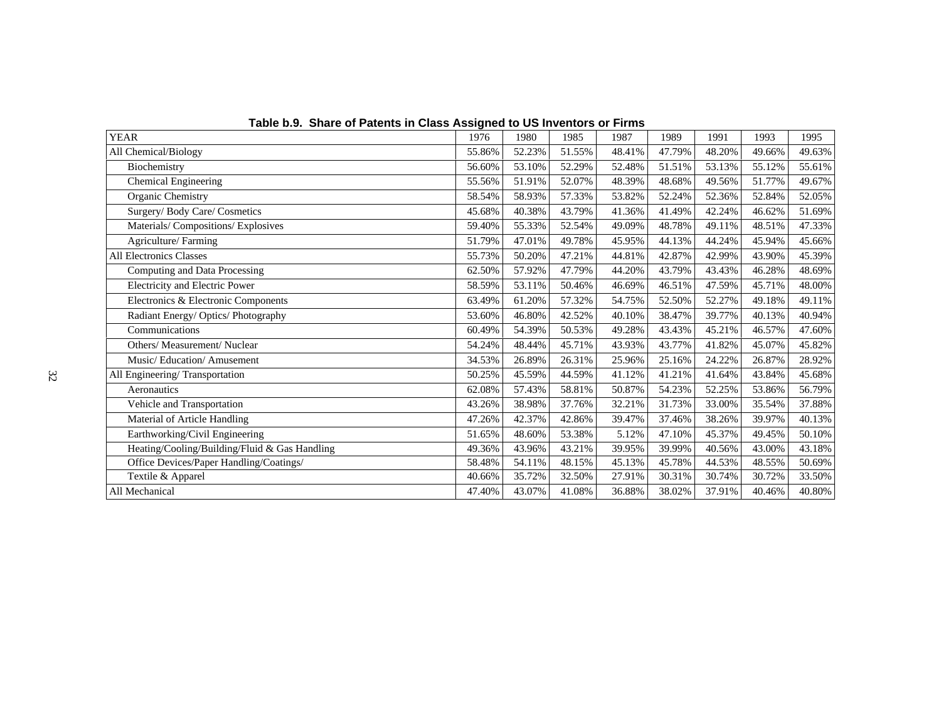| <b>YEAR</b>                                   | 1976   | 1980   | 1985   | 1987   | 1989   | 1991   | 1993   | 1995   |
|-----------------------------------------------|--------|--------|--------|--------|--------|--------|--------|--------|
| All Chemical/Biology                          | 55.86% | 52.23% | 51.55% | 48.41% | 47.79% | 48.20% | 49.66% | 49.63% |
| Biochemistry                                  | 56.60% | 53.10% | 52.29% | 52.48% | 51.51% | 53.13% | 55.12% | 55.61% |
| Chemical Engineering                          | 55.56% | 51.91% | 52.07% | 48.39% | 48.68% | 49.56% | 51.77% | 49.67% |
| Organic Chemistry                             | 58.54% | 58.93% | 57.33% | 53.82% | 52.24% | 52.36% | 52.84% | 52.05% |
| Surgery/ Body Care/ Cosmetics                 | 45.68% | 40.38% | 43.79% | 41.36% | 41.49% | 42.24% | 46.62% | 51.69% |
| Materials/Compositions/Explosives             | 59.40% | 55.33% | 52.54% | 49.09% | 48.78% | 49.11% | 48.51% | 47.33% |
| Agriculture/Farming                           | 51.79% | 47.01% | 49.78% | 45.95% | 44.13% | 44.24% | 45.94% | 45.66% |
| All Electronics Classes                       | 55.73% | 50.20% | 47.21% | 44.81% | 42.87% | 42.99% | 43.90% | 45.39% |
| Computing and Data Processing                 | 62.50% | 57.92% | 47.79% | 44.20% | 43.79% | 43.43% | 46.28% | 48.69% |
| Electricity and Electric Power                | 58.59% | 53.11% | 50.46% | 46.69% | 46.51% | 47.59% | 45.71% | 48.00% |
| Electronics & Electronic Components           | 63.49% | 61.20% | 57.32% | 54.75% | 52.50% | 52.27% | 49.18% | 49.11% |
| Radiant Energy/Optics/Photography             | 53.60% | 46.80% | 42.52% | 40.10% | 38.47% | 39.77% | 40.13% | 40.94% |
| Communications                                | 60.49% | 54.39% | 50.53% | 49.28% | 43.43% | 45.21% | 46.57% | 47.60% |
| Others/ Measurement/ Nuclear                  | 54.24% | 48.44% | 45.71% | 43.93% | 43.77% | 41.82% | 45.07% | 45.82% |
| Music/Education/Amusement                     | 34.53% | 26.89% | 26.31% | 25.96% | 25.16% | 24.22% | 26.87% | 28.92% |
| All Engineering/Transportation                | 50.25% | 45.59% | 44.59% | 41.12% | 41.21% | 41.64% | 43.84% | 45.68% |
| Aeronautics                                   | 62.08% | 57.43% | 58.81% | 50.87% | 54.23% | 52.25% | 53.86% | 56.79% |
| Vehicle and Transportation                    | 43.26% | 38.98% | 37.76% | 32.21% | 31.73% | 33.00% | 35.54% | 37.88% |
| Material of Article Handling                  | 47.26% | 42.37% | 42.86% | 39.47% | 37.46% | 38.26% | 39.97% | 40.13% |
| Earthworking/Civil Engineering                | 51.65% | 48.60% | 53.38% | 5.12%  | 47.10% | 45.37% | 49.45% | 50.10% |
| Heating/Cooling/Building/Fluid & Gas Handling | 49.36% | 43.96% | 43.21% | 39.95% | 39.99% | 40.56% | 43.00% | 43.18% |
| Office Devices/Paper Handling/Coatings/       | 58.48% | 54.11% | 48.15% | 45.13% | 45.78% | 44.53% | 48.55% | 50.69% |
| Textile & Apparel                             | 40.66% | 35.72% | 32.50% | 27.91% | 30.31% | 30.74% | 30.72% | 33.50% |
| All Mechanical                                | 47.40% | 43.07% | 41.08% | 36.88% | 38.02% | 37.91% | 40.46% | 40.80% |

**Table b.9. Share of Patents in Class Assigned to US Inventors or Firms**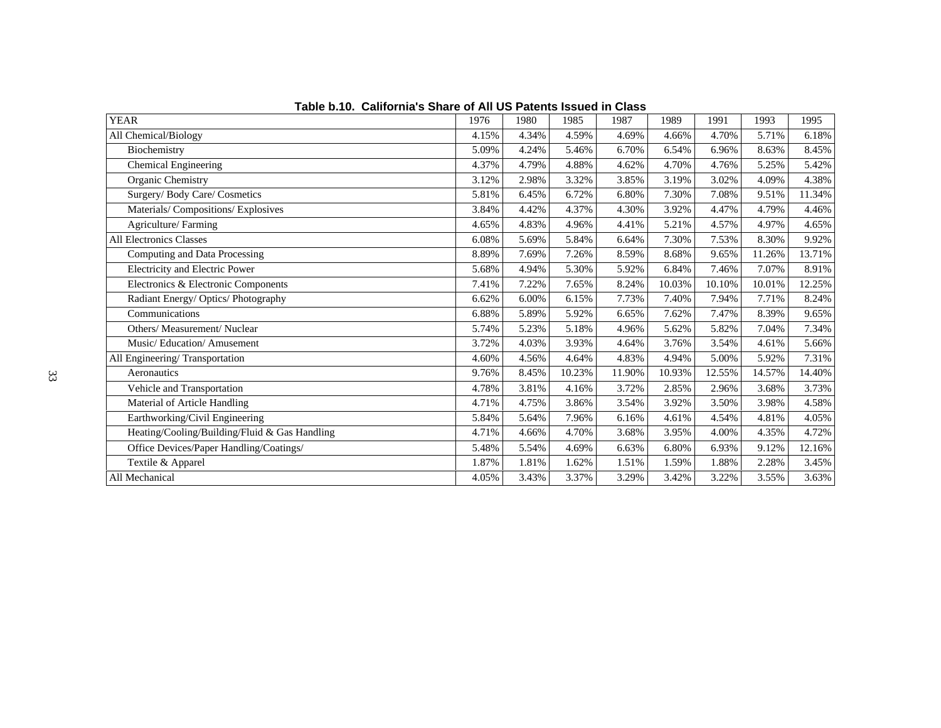| <b>YEAR</b>                                   | 1976  | 1980  | 1985   | 1987   | 1989   | 1991   | 1993   | 1995   |
|-----------------------------------------------|-------|-------|--------|--------|--------|--------|--------|--------|
| All Chemical/Biology                          | 4.15% | 4.34% | 4.59%  | 4.69%  | 4.66%  | 4.70%  | 5.71%  | 6.18%  |
| Biochemistry                                  | 5.09% | 4.24% | 5.46%  | 6.70%  | 6.54%  | 6.96%  | 8.63%  | 8.45%  |
| Chemical Engineering                          | 4.37% | 4.79% | 4.88%  | 4.62%  | 4.70%  | 4.76%  | 5.25%  | 5.42%  |
| Organic Chemistry                             | 3.12% | 2.98% | 3.32%  | 3.85%  | 3.19%  | 3.02%  | 4.09%  | 4.38%  |
| Surgery/ Body Care/ Cosmetics                 | 5.81% | 6.45% | 6.72%  | 6.80%  | 7.30%  | 7.08%  | 9.51%  | 11.34% |
| Materials/Compositions/Explosives             | 3.84% | 4.42% | 4.37%  | 4.30%  | 3.92%  | 4.47%  | 4.79%  | 4.46%  |
| Agriculture/Farming                           | 4.65% | 4.83% | 4.96%  | 4.41%  | 5.21%  | 4.57%  | 4.97%  | 4.65%  |
| <b>All Electronics Classes</b>                | 6.08% | 5.69% | 5.84%  | 6.64%  | 7.30%  | 7.53%  | 8.30%  | 9.92%  |
| Computing and Data Processing                 | 8.89% | 7.69% | 7.26%  | 8.59%  | 8.68%  | 9.65%  | 11.26% | 13.71% |
| Electricity and Electric Power                | 5.68% | 4.94% | 5.30%  | 5.92%  | 6.84%  | 7.46%  | 7.07%  | 8.91%  |
| Electronics & Electronic Components           | 7.41% | 7.22% | 7.65%  | 8.24%  | 10.03% | 10.10% | 10.01% | 12.25% |
| Radiant Energy/Optics/Photography             | 6.62% | 6.00% | 6.15%  | 7.73%  | 7.40%  | 7.94%  | 7.71%  | 8.24%  |
| Communications                                | 6.88% | 5.89% | 5.92%  | 6.65%  | 7.62%  | 7.47%  | 8.39%  | 9.65%  |
| Others/ Measurement/ Nuclear                  | 5.74% | 5.23% | 5.18%  | 4.96%  | 5.62%  | 5.82%  | 7.04%  | 7.34%  |
| Music/Education/Amusement                     | 3.72% | 4.03% | 3.93%  | 4.64%  | 3.76%  | 3.54%  | 4.61%  | 5.66%  |
| All Engineering/Transportation                | 4.60% | 4.56% | 4.64%  | 4.83%  | 4.94%  | 5.00%  | 5.92%  | 7.31%  |
| Aeronautics                                   | 9.76% | 8.45% | 10.23% | 11.90% | 10.93% | 12.55% | 14.57% | 14.40% |
| Vehicle and Transportation                    | 4.78% | 3.81% | 4.16%  | 3.72%  | 2.85%  | 2.96%  | 3.68%  | 3.73%  |
| Material of Article Handling                  | 4.71% | 4.75% | 3.86%  | 3.54%  | 3.92%  | 3.50%  | 3.98%  | 4.58%  |
| Earthworking/Civil Engineering                | 5.84% | 5.64% | 7.96%  | 6.16%  | 4.61%  | 4.54%  | 4.81%  | 4.05%  |
| Heating/Cooling/Building/Fluid & Gas Handling | 4.71% | 4.66% | 4.70%  | 3.68%  | 3.95%  | 4.00%  | 4.35%  | 4.72%  |
| Office Devices/Paper Handling/Coatings/       | 5.48% | 5.54% | 4.69%  | 6.63%  | 6.80%  | 6.93%  | 9.12%  | 12.16% |
| Textile & Apparel                             | 1.87% | 1.81% | 1.62%  | 1.51%  | 1.59%  | 1.88%  | 2.28%  | 3.45%  |
| All Mechanical                                | 4.05% | 3.43% | 3.37%  | 3.29%  | 3.42%  | 3.22%  | 3.55%  | 3.63%  |

**Table b.10. California's Share of All US Patents Issued in Class**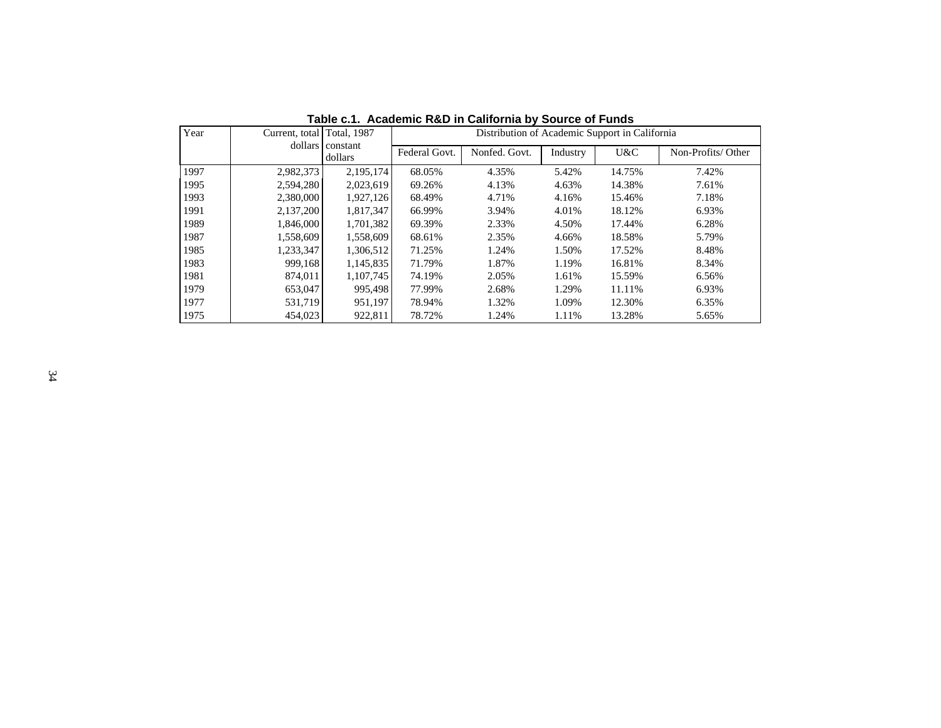| Year | Current, total Total, 1987 | dollars constant |               | Distribution of Academic Support in California |          |        |                   |
|------|----------------------------|------------------|---------------|------------------------------------------------|----------|--------|-------------------|
|      |                            | dollars          | Federal Govt. | Nonfed. Govt.                                  | Industry | U&C    | Non-Profits/Other |
| 1997 | 2,982,373                  | 2,195,174        | 68.05%        | 4.35%                                          | 5.42%    | 14.75% | 7.42%             |
| 1995 | 2,594,280                  | 2,023,619        | 69.26%        | 4.13%                                          | 4.63%    | 14.38% | 7.61%             |
| 1993 | 2,380,000                  | 1,927,126        | 68.49%        | 4.71%                                          | 4.16%    | 15.46% | 7.18%             |
| 1991 | 2,137,200                  | 1,817,347        | 66.99%        | 3.94%                                          | 4.01%    | 18.12% | 6.93%             |
| 1989 | 1,846,000                  | 1,701,382        | 69.39%        | 2.33%                                          | 4.50%    | 17.44% | 6.28%             |
| 1987 | 1,558,609                  | 1,558,609        | 68.61%        | 2.35%                                          | 4.66%    | 18.58% | 5.79%             |
| 1985 | 1,233,347                  | 1,306,512        | 71.25%        | 1.24%                                          | 1.50%    | 17.52% | 8.48%             |
| 1983 | 999.168                    | 1,145,835        | 71.79%        | 1.87%                                          | 1.19%    | 16.81% | 8.34%             |
| 1981 | 874,011                    | 1,107,745        | 74.19%        | 2.05%                                          | 1.61%    | 15.59% | 6.56%             |
| 1979 | 653,047                    | 995,498          | 77.99%        | 2.68%                                          | 1.29%    | 11.11% | 6.93%             |
| 1977 | 531,719                    | 951,197          | 78.94%        | 1.32%                                          | 1.09%    | 12.30% | 6.35%             |
| 1975 | 454,023                    | 922.811          | 78.72%        | 1.24%                                          | 1.11%    | 13.28% | 5.65%             |

**Table c.1. Academic R&D in California by Source of Funds**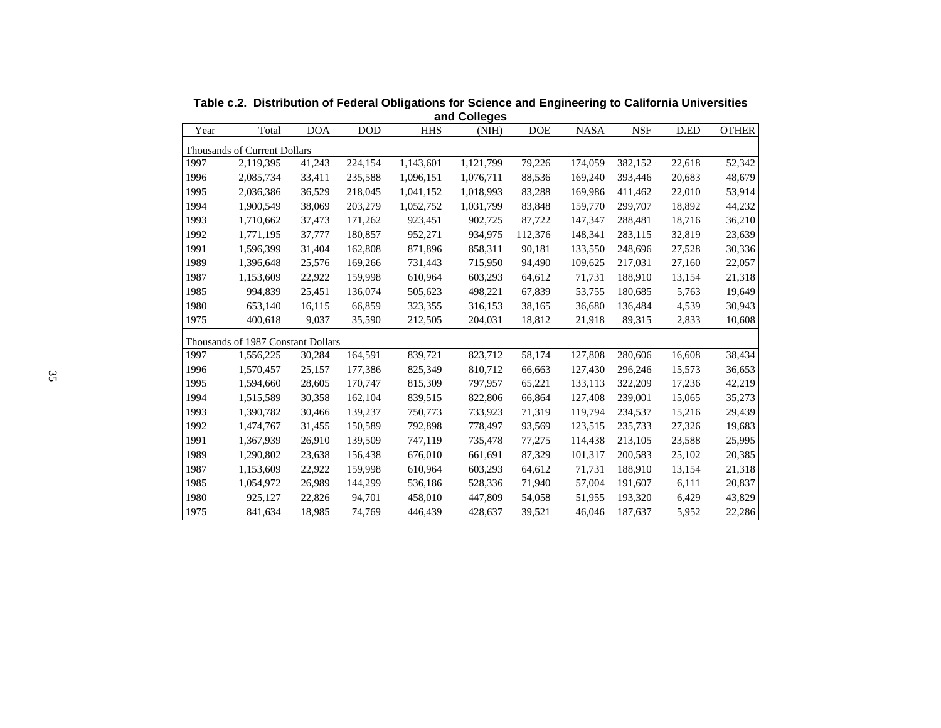| and Colleges |                                    |            |            |            |           |            |             |            |        |              |  |  |
|--------------|------------------------------------|------------|------------|------------|-----------|------------|-------------|------------|--------|--------------|--|--|
| Year         | Total                              | <b>DOA</b> | <b>DOD</b> | <b>HHS</b> | (NIH)     | <b>DOE</b> | <b>NASA</b> | <b>NSF</b> | D.ED   | <b>OTHER</b> |  |  |
|              | Thousands of Current Dollars       |            |            |            |           |            |             |            |        |              |  |  |
| 1997         | 2,119,395                          | 41,243     | 224,154    | 1,143,601  | 1,121,799 | 79,226     | 174,059     | 382,152    | 22,618 | 52,342       |  |  |
| 1996         | 2,085,734                          | 33,411     | 235,588    | 1,096,151  | 1,076,711 | 88,536     | 169,240     | 393,446    | 20,683 | 48,679       |  |  |
| 1995         | 2,036,386                          | 36,529     | 218,045    | 1,041,152  | 1,018,993 | 83,288     | 169,986     | 411,462    | 22,010 | 53,914       |  |  |
| 1994         | 1,900,549                          | 38,069     | 203,279    | 1,052,752  | 1,031,799 | 83,848     | 159,770     | 299,707    | 18,892 | 44,232       |  |  |
| 1993         | 1,710,662                          | 37,473     | 171,262    | 923,451    | 902,725   | 87,722     | 147,347     | 288,481    | 18,716 | 36,210       |  |  |
| 1992         | 1,771,195                          | 37,777     | 180,857    | 952,271    | 934,975   | 112,376    | 148,341     | 283,115    | 32,819 | 23,639       |  |  |
| 1991         | 1,596,399                          | 31,404     | 162,808    | 871,896    | 858,311   | 90,181     | 133,550     | 248,696    | 27,528 | 30,336       |  |  |
| 1989         | 1,396,648                          | 25,576     | 169,266    | 731,443    | 715,950   | 94,490     | 109,625     | 217,031    | 27,160 | 22,057       |  |  |
| 1987         | 1,153,609                          | 22,922     | 159,998    | 610,964    | 603,293   | 64,612     | 71,731      | 188,910    | 13,154 | 21,318       |  |  |
| 1985         | 994,839                            | 25,451     | 136,074    | 505,623    | 498,221   | 67,839     | 53,755      | 180,685    | 5,763  | 19,649       |  |  |
| 1980         | 653,140                            | 16,115     | 66,859     | 323,355    | 316,153   | 38,165     | 36,680      | 136,484    | 4,539  | 30,943       |  |  |
| 1975         | 400,618                            | 9,037      | 35,590     | 212,505    | 204,031   | 18,812     | 21,918      | 89,315     | 2,833  | 10,608       |  |  |
|              | Thousands of 1987 Constant Dollars |            |            |            |           |            |             |            |        |              |  |  |
| 1997         | 1,556,225                          | 30,284     | 164,591    | 839,721    | 823,712   | 58,174     | 127,808     | 280,606    | 16,608 | 38,434       |  |  |
| 1996         | 1,570,457                          | 25,157     | 177,386    | 825,349    | 810,712   | 66,663     | 127,430     | 296,246    | 15,573 | 36,653       |  |  |
| 1995         | 1,594,660                          | 28,605     | 170,747    | 815,309    | 797,957   | 65,221     | 133,113     | 322,209    | 17,236 | 42,219       |  |  |
| 1994         | 1,515,589                          | 30,358     | 162,104    | 839,515    | 822,806   | 66,864     | 127,408     | 239,001    | 15,065 | 35,273       |  |  |
| 1993         | 1,390,782                          | 30,466     | 139,237    | 750,773    | 733,923   | 71,319     | 119,794     | 234,537    | 15,216 | 29,439       |  |  |
| 1992         | 1,474,767                          | 31,455     | 150,589    | 792,898    | 778,497   | 93,569     | 123,515     | 235,733    | 27,326 | 19,683       |  |  |
| 1991         | 1,367,939                          | 26,910     | 139,509    | 747,119    | 735,478   | 77,275     | 114,438     | 213,105    | 23,588 | 25,995       |  |  |
| 1989         | 1,290,802                          | 23,638     | 156,438    | 676,010    | 661,691   | 87,329     | 101,317     | 200,583    | 25,102 | 20,385       |  |  |
| 1987         | 1,153,609                          | 22,922     | 159,998    | 610,964    | 603,293   | 64,612     | 71,731      | 188,910    | 13,154 | 21,318       |  |  |
| 1985         | 1,054,972                          | 26,989     | 144,299    | 536,186    | 528,336   | 71,940     | 57,004      | 191,607    | 6,111  | 20,837       |  |  |
| 1980         | 925,127                            | 22,826     | 94,701     | 458,010    | 447,809   | 54,058     | 51,955      | 193,320    | 6,429  | 43,829       |  |  |
| 1975         | 841,634                            | 18,985     | 74,769     | 446,439    | 428,637   | 39,521     | 46,046      | 187,637    | 5,952  | 22,286       |  |  |

**Table c.2. Distribution of Federal Obligations for Science and Engineering to California Universities**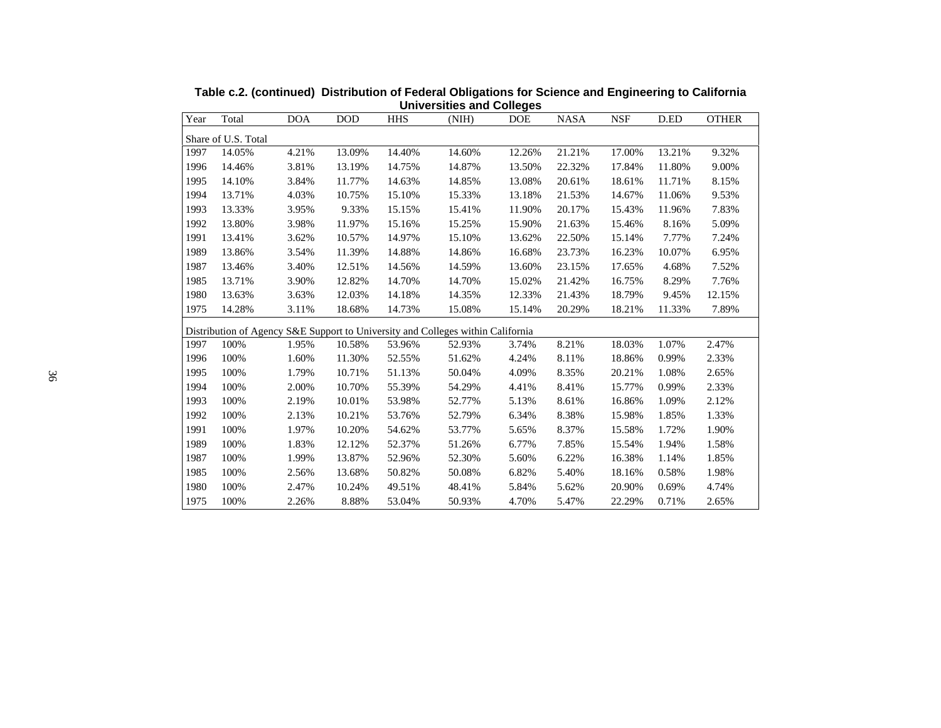| Year | Total               | <b>DOA</b> | <b>DOD</b> | <b>HHS</b> | (NIH)                                                                           | <b>DOE</b> | <b>NASA</b> | <b>NSF</b> | D.ED   | <b>OTHER</b> |
|------|---------------------|------------|------------|------------|---------------------------------------------------------------------------------|------------|-------------|------------|--------|--------------|
|      | Share of U.S. Total |            |            |            |                                                                                 |            |             |            |        |              |
| 1997 | 14.05%              | 4.21%      | 13.09%     | 14.40%     | 14.60%                                                                          | 12.26%     | 21.21%      | 17.00%     | 13.21% | 9.32%        |
| 1996 | 14.46%              | 3.81%      | 13.19%     | 14.75%     | 14.87%                                                                          | 13.50%     | 22.32%      | 17.84%     | 11.80% | 9.00%        |
| 1995 | 14.10%              | 3.84%      | 11.77%     | 14.63%     | 14.85%                                                                          | 13.08%     | 20.61%      | 18.61%     | 11.71% | 8.15%        |
| 1994 | 13.71%              | 4.03%      | 10.75%     | 15.10%     | 15.33%                                                                          | 13.18%     | 21.53%      | 14.67%     | 11.06% | 9.53%        |
| 1993 | 13.33%              | 3.95%      | 9.33%      | 15.15%     | 15.41%                                                                          | 11.90%     | 20.17%      | 15.43%     | 11.96% | 7.83%        |
| 1992 | 13.80%              | 3.98%      | 11.97%     | 15.16%     | 15.25%                                                                          | 15.90%     | 21.63%      | 15.46%     | 8.16%  | 5.09%        |
| 1991 | 13.41%              | 3.62%      | 10.57%     | 14.97%     | 15.10%                                                                          | 13.62%     | 22.50%      | 15.14%     | 7.77%  | 7.24%        |
| 1989 | 13.86%              | 3.54%      | 11.39%     | 14.88%     | 14.86%                                                                          | 16.68%     | 23.73%      | 16.23%     | 10.07% | 6.95%        |
| 1987 | 13.46%              | 3.40%      | 12.51%     | 14.56%     | 14.59%                                                                          | 13.60%     | 23.15%      | 17.65%     | 4.68%  | 7.52%        |
| 1985 | 13.71%              | 3.90%      | 12.82%     | 14.70%     | 14.70%                                                                          | 15.02%     | 21.42%      | 16.75%     | 8.29%  | 7.76%        |
| 1980 | 13.63%              | 3.63%      | 12.03%     | 14.18%     | 14.35%                                                                          | 12.33%     | 21.43%      | 18.79%     | 9.45%  | 12.15%       |
| 1975 | 14.28%              | 3.11%      | 18.68%     | 14.73%     | 15.08%                                                                          | 15.14%     | 20.29%      | 18.21%     | 11.33% | 7.89%        |
|      |                     |            |            |            | Distribution of Agency S&E Support to University and Colleges within California |            |             |            |        |              |
| 1997 | 100%                | 1.95%      | 10.58%     | 53.96%     | 52.93%                                                                          | 3.74%      | 8.21%       | 18.03%     | 1.07%  | 2.47%        |
| 1996 | 100%                | 1.60%      | 11.30%     | 52.55%     | 51.62%                                                                          | 4.24%      | 8.11%       | 18.86%     | 0.99%  | 2.33%        |
| 1995 | 100%                | 1.79%      | 10.71%     | 51.13%     | 50.04%                                                                          | 4.09%      | 8.35%       | 20.21%     | 1.08%  | 2.65%        |
| 1994 | 100%                | 2.00%      | 10.70%     | 55.39%     | 54.29%                                                                          | 4.41%      | 8.41%       | 15.77%     | 0.99%  | 2.33%        |
| 1993 | 100%                | 2.19%      | 10.01%     | 53.98%     | 52.77%                                                                          | 5.13%      | 8.61%       | 16.86%     | 1.09%  | 2.12%        |
| 1992 | 100%                | 2.13%      | 10.21%     | 53.76%     | 52.79%                                                                          | 6.34%      | 8.38%       | 15.98%     | 1.85%  | 1.33%        |
| 1991 | 100%                | 1.97%      | 10.20%     | 54.62%     | 53.77%                                                                          | 5.65%      | 8.37%       | 15.58%     | 1.72%  | 1.90%        |
| 1989 | 100%                | 1.83%      | 12.12%     | 52.37%     | 51.26%                                                                          | 6.77%      | 7.85%       | 15.54%     | 1.94%  | 1.58%        |
| 1987 | 100%                | 1.99%      | 13.87%     | 52.96%     | 52.30%                                                                          | 5.60%      | 6.22%       | 16.38%     | 1.14%  | 1.85%        |
| 1985 | 100%                | 2.56%      | 13.68%     | 50.82%     | 50.08%                                                                          | 6.82%      | 5.40%       | 18.16%     | 0.58%  | 1.98%        |
| 1980 | 100%                | 2.47%      | 10.24%     | 49.51%     | 48.41%                                                                          | 5.84%      | 5.62%       | 20.90%     | 0.69%  | 4.74%        |
| 1975 | 100%                | 2.26%      | 8.88%      | 53.04%     | 50.93%                                                                          | 4.70%      | 5.47%       | 22.29%     | 0.71%  | 2.65%        |

**Table c.2. (continued) Distribution of Federal Obligations for Science and Engineering to California Universities and Colleges**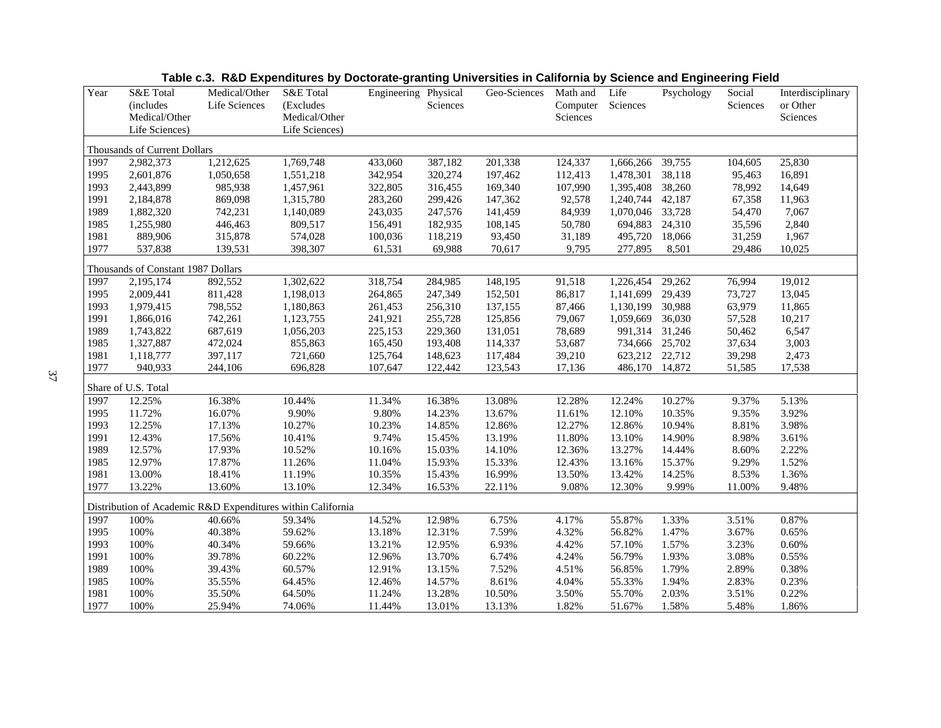| Year | S&E Total<br>(includes             | Medical/Other<br>Life Sciences | S&E Total<br>(Excludes                                      | Engineering Physical | Sciences | Geo-Sciences | Math and<br>Computer | Life<br>Sciences | Psychology | Social<br>Sciences | Interdisciplinary<br>or Other |
|------|------------------------------------|--------------------------------|-------------------------------------------------------------|----------------------|----------|--------------|----------------------|------------------|------------|--------------------|-------------------------------|
|      | Medical/Other<br>Life Sciences)    |                                | Medical/Other<br>Life Sciences)                             |                      |          |              | Sciences             |                  |            |                    | Sciences                      |
|      | Thousands of Current Dollars       |                                |                                                             |                      |          |              |                      |                  |            |                    |                               |
| 1997 | 2,982,373                          | 1,212,625                      | 1,769,748                                                   | 433,060              | 387,182  | 201,338      | 124,337              | 1,666,266        | 39,755     | 104,605            | 25,830                        |
| 1995 | 2,601,876                          | 1,050,658                      | 1,551,218                                                   | 342,954              | 320,274  | 197,462      | 112,413              | 1,478,301        | 38,118     | 95,463             | 16,891                        |
| 1993 | 2,443,899                          | 985,938                        | 1,457,961                                                   | 322,805              | 316,455  | 169,340      | 107,990              | 1,395,408        | 38,260     | 78,992             | 14,649                        |
| 1991 | 2,184,878                          | 869,098                        | 1,315,780                                                   | 283,260              | 299,426  | 147,362      | 92,578               | 1,240,744        | 42,187     | 67,358             | 11,963                        |
| 1989 | 1,882,320                          | 742,231                        | 1,140,089                                                   | 243,035              | 247,576  | 141,459      | 84,939               | 1,070,046        | 33,728     | 54,470             | 7,067                         |
| 1985 | 1,255,980                          | 446,463                        | 809,517                                                     | 156,491              | 182,935  | 108,145      | 50,780               | 694,883          | 24,310     | 35,596             | 2,840                         |
| 1981 | 889,906                            | 315,878                        | 574,028                                                     | 100,036              | 118,219  | 93,450       | 31,189               | 495,720          | 18,066     | 31,259             | 1,967                         |
| 1977 | 537,838                            | 139,531                        | 398,307                                                     | 61,531               | 69,988   | 70,617       | 9,795                | 277,895          | 8,501      | 29,486             | 10,025                        |
|      | Thousands of Constant 1987 Dollars |                                |                                                             |                      |          |              |                      |                  |            |                    |                               |
| 1997 | 2,195,174                          | 892,552                        | 1,302,622                                                   | 318,754              | 284,985  | 148,195      | 91,518               | 1,226,454        | 29,262     | 76,994             | 19,012                        |
| 1995 | 2,009,441                          | 811,428                        | 1,198,013                                                   | 264,865              | 247,349  | 152,501      | 86,817               | 1,141,699        | 29,439     | 73,727             | 13,045                        |
| 1993 | 1,979,415                          | 798,552                        | 1,180,863                                                   | 261,453              | 256,310  | 137,155      | 87,466               | 1,130,199        | 30,988     | 63,979             | 11,865                        |
| 1991 | 1,866,016                          | 742,261                        | 1,123,755                                                   | 241,921              | 255,728  | 125,856      | 79,067               | 1,059,669        | 36,030     | 57,528             | 10,217                        |
| 1989 | 1,743,822                          | 687,619                        | 1,056,203                                                   | 225,153              | 229,360  | 131,051      | 78,689               | 991,314          | 31,246     | 50,462             | 6,547                         |
| 1985 | 1,327,887                          | 472,024                        | 855,863                                                     | 165,450              | 193,408  | 114,337      | 53,687               | 734,666          | 25,702     | 37,634             | 3,003                         |
| 1981 | 1,118,777                          | 397,117                        | 721,660                                                     | 125,764              | 148,623  | 117,484      | 39,210               | 623,212 22,712   |            | 39,298             | 2,473                         |
| 1977 | 940,933                            | 244,106                        | 696,828                                                     | 107,647              | 122,442  | 123,543      | 17,136               | 486,170          | 14,872     | 51,585             | 17,538                        |
|      | Share of U.S. Total                |                                |                                                             |                      |          |              |                      |                  |            |                    |                               |
| 1997 | 12.25%                             | 16.38%                         | 10.44%                                                      | 11.34%               | 16.38%   | 13.08%       | 12.28%               | 12.24%           | 10.27%     | 9.37%              | 5.13%                         |
| 1995 | 11.72%                             | 16.07%                         | 9.90%                                                       | 9.80%                | 14.23%   | 13.67%       | 11.61%               | 12.10%           | 10.35%     | 9.35%              | 3.92%                         |
| 1993 | 12.25%                             | 17.13%                         | 10.27%                                                      | 10.23%               | 14.85%   | 12.86%       | 12.27%               | 12.86%           | 10.94%     | 8.81%              | 3.98%                         |
| 1991 | 12.43%                             | 17.56%                         | 10.41%                                                      | 9.74%                | 15.45%   | 13.19%       | 11.80%               | 13.10%           | 14.90%     | 8.98%              | 3.61%                         |
| 1989 | 12.57%                             | 17.93%                         | 10.52%                                                      | 10.16%               | 15.03%   | 14.10%       | 12.36%               | 13.27%           | 14.44%     | 8.60%              | 2.22%                         |
| 1985 | 12.97%                             | 17.87%                         | 11.26%                                                      | 11.04%               | 15.93%   | 15.33%       | 12.43%               | 13.16%           | 15.37%     | 9.29%              | 1.52%                         |
| 1981 | 13.00%                             | 18.41%                         | 11.19%                                                      | 10.35%               | 15.43%   | 16.99%       | 13.50%               | 13.42%           | 14.25%     | 8.53%              | 1.36%                         |
| 1977 | 13.22%                             | 13.60%                         | 13.10%                                                      | 12.34%               | 16.53%   | 22.11%       | 9.08%                | 12.30%           | 9.99%      | 11.00%             | 9.48%                         |
|      |                                    |                                | Distribution of Academic R&D Expenditures within California |                      |          |              |                      |                  |            |                    |                               |
| 1997 | 100%                               | 40.66%                         | 59.34%                                                      | 14.52%               | 12.98%   | 6.75%        | 4.17%                | 55.87%           | 1.33%      | 3.51%              | 0.87%                         |
| 1995 | 100%                               | 40.38%                         | 59.62%                                                      | 13.18%               | 12.31%   | 7.59%        | 4.32%                | 56.82%           | 1.47%      | 3.67%              | 0.65%                         |
| 1993 | 100%                               | 40.34%                         | 59.66%                                                      | 13.21%               | 12.95%   | 6.93%        | 4.42%                | 57.10%           | 1.57%      | 3.23%              | 0.60%                         |
| 1991 | 100%                               | 39.78%                         | 60.22%                                                      | 12.96%               | 13.70%   | 6.74%        | 4.24%                | 56.79%           | 1.93%      | 3.08%              | 0.55%                         |
| 1989 | 100%                               | 39.43%                         | 60.57%                                                      | 12.91%               | 13.15%   | 7.52%        | 4.51%                | 56.85%           | 1.79%      | 2.89%              | 0.38%                         |
| 1985 | 100%                               | 35.55%                         | 64.45%                                                      | 12.46%               | 14.57%   | 8.61%        | 4.04%                | 55.33%           | 1.94%      | 2.83%              | 0.23%                         |
| 1981 | 100%                               | 35.50%                         | 64.50%                                                      | 11.24%               | 13.28%   | 10.50%       | 3.50%                | 55.70%           | 2.03%      | 3.51%              | 0.22%                         |
| 1977 | 100%                               | 25.94%                         | 74.06%                                                      | 11.44%               | 13.01%   | 13.13%       | 1.82%                | 51.67%           | 1.58%      | 5.48%              | 1.86%                         |

**Table c.3. R&D Expenditures by Doctorate-granting Universities in California by Science and Engineering Field**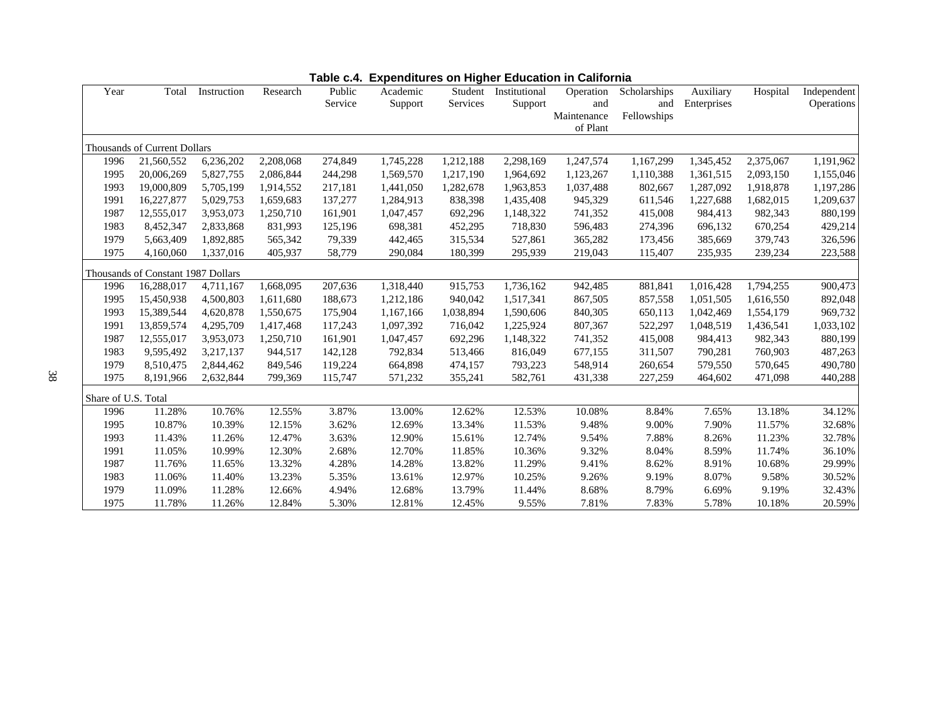| Year                | Total                              | Instruction | Research  | Public  | Academic  | Student   | Institutional | Operation   | Scholarships | Auxiliary   | Hospital  | Independent |
|---------------------|------------------------------------|-------------|-----------|---------|-----------|-----------|---------------|-------------|--------------|-------------|-----------|-------------|
|                     |                                    |             |           | Service | Support   | Services  | Support       | and         | and          | Enterprises |           | Operations  |
|                     |                                    |             |           |         |           |           |               | Maintenance | Fellowships  |             |           |             |
|                     |                                    |             |           |         |           |           |               | of Plant    |              |             |           |             |
|                     | Thousands of Current Dollars       |             |           |         |           |           |               |             |              |             |           |             |
| 1996                | 21,560,552                         | 6,236,202   | 2,208,068 | 274,849 | 1,745,228 | 1,212,188 | 2,298,169     | 1,247,574   | 1,167,299    | 1,345,452   | 2,375,067 | 1,191,962   |
| 1995                | 20,006,269                         | 5,827,755   | 2,086,844 | 244,298 | 1,569,570 | 1,217,190 | 1,964,692     | 1,123,267   | 1,110,388    | 1,361,515   | 2,093,150 | 1,155,046   |
| 1993                | 19,000,809                         | 5,705,199   | 1,914,552 | 217,181 | 1,441,050 | 1,282,678 | 1,963,853     | 1,037,488   | 802,667      | 1,287,092   | 1,918,878 | 1,197,286   |
| 1991                | 16,227,877                         | 5,029,753   | 1.659.683 | 137,277 | 1,284,913 | 838,398   | 1,435,408     | 945,329     | 611,546      | 1,227,688   | 1,682,015 | 1,209,637   |
| 1987                | 12,555,017                         | 3,953,073   | 1,250,710 | 161,901 | 1,047,457 | 692,296   | 1,148,322     | 741,352     | 415,008      | 984,413     | 982,343   | 880,199     |
| 1983                | 8,452,347                          | 2,833,868   | 831,993   | 125,196 | 698,381   | 452,295   | 718,830       | 596,483     | 274,396      | 696,132     | 670,254   | 429,214     |
| 1979                | 5,663,409                          | 1,892,885   | 565,342   | 79,339  | 442,465   | 315,534   | 527,861       | 365,282     | 173,456      | 385,669     | 379,743   | 326,596     |
| 1975                | 4,160,060                          | 1,337,016   | 405,937   | 58,779  | 290,084   | 180,399   | 295,939       | 219,043     | 115,407      | 235,935     | 239,234   | 223,588     |
|                     | Thousands of Constant 1987 Dollars |             |           |         |           |           |               |             |              |             |           |             |
| 1996                | 16,288,017                         | 4,711,167   | 1,668,095 | 207,636 | 1,318,440 | 915,753   | 1,736,162     | 942,485     | 881,841      | 1,016,428   | 1,794,255 | 900,473     |
| 1995                | 15,450,938                         | 4,500,803   | 1,611,680 | 188,673 | 1,212,186 | 940,042   | 1,517,341     | 867,505     | 857,558      | 1,051,505   | 1,616,550 | 892,048     |
| 1993                | 15,389,544                         | 4,620,878   | 1,550,675 | 175,904 | 1,167,166 | 1,038,894 | 1,590,606     | 840,305     | 650,113      | 1,042,469   | 1,554,179 | 969,732     |
| 1991                | 13,859,574                         | 4,295,709   | 1,417,468 | 117,243 | 1,097,392 | 716,042   | 1,225,924     | 807,367     | 522,297      | 1,048,519   | 1,436,541 | 1,033,102   |
| 1987                | 12,555,017                         | 3,953,073   | 1,250,710 | 161,901 | 1,047,457 | 692,296   | 1,148,322     | 741,352     | 415,008      | 984,413     | 982,343   | 880,199     |
| 1983                | 9,595,492                          | 3,217,137   | 944,517   | 142,128 | 792,834   | 513,466   | 816,049       | 677,155     | 311,507      | 790,281     | 760,903   | 487,263     |
| 1979                | 8,510,475                          | 2,844,462   | 849,546   | 119,224 | 664,898   | 474,157   | 793,223       | 548,914     | 260,654      | 579,550     | 570,645   | 490,780     |
| 1975                | 8,191,966                          | 2,632,844   | 799,369   | 115,747 | 571,232   | 355,241   | 582,761       | 431,338     | 227,259      | 464,602     | 471,098   | 440,288     |
| Share of U.S. Total |                                    |             |           |         |           |           |               |             |              |             |           |             |
| 1996                | 11.28%                             | 10.76%      | 12.55%    | 3.87%   | 13.00%    | 12.62%    | 12.53%        | 10.08%      | 8.84%        | 7.65%       | 13.18%    | 34.12%      |
| 1995                | 10.87%                             | 10.39%      | 12.15%    | 3.62%   | 12.69%    | 13.34%    | 11.53%        | 9.48%       | 9.00%        | 7.90%       | 11.57%    | 32.68%      |
| 1993                | 11.43%                             | 11.26%      | 12.47%    | 3.63%   | 12.90%    | 15.61%    | 12.74%        | 9.54%       | 7.88%        | 8.26%       | 11.23%    | 32.78%      |
| 1991                | 11.05%                             | 10.99%      | 12.30%    | 2.68%   | 12.70%    | 11.85%    | 10.36%        | 9.32%       | 8.04%        | 8.59%       | 11.74%    | 36.10%      |
| 1987                | 11.76%                             | 11.65%      | 13.32%    | 4.28%   | 14.28%    | 13.82%    | 11.29%        | 9.41%       | 8.62%        | 8.91%       | 10.68%    | 29.99%      |
| 1983                | 11.06%                             | 11.40%      | 13.23%    | 5.35%   | 13.61%    | 12.97%    | 10.25%        | 9.26%       | 9.19%        | 8.07%       | 9.58%     | 30.52%      |
| 1979                | 11.09%                             | 11.28%      | 12.66%    | 4.94%   | 12.68%    | 13.79%    | 11.44%        | 8.68%       | 8.79%        | 6.69%       | 9.19%     | 32.43%      |
| 1975                | 11.78%                             | 11.26%      | 12.84%    | 5.30%   | 12.81%    | 12.45%    | 9.55%         | 7.81%       | 7.83%        | 5.78%       | 10.18%    | 20.59%      |

**Table c.4. Expenditures on Higher Education in California**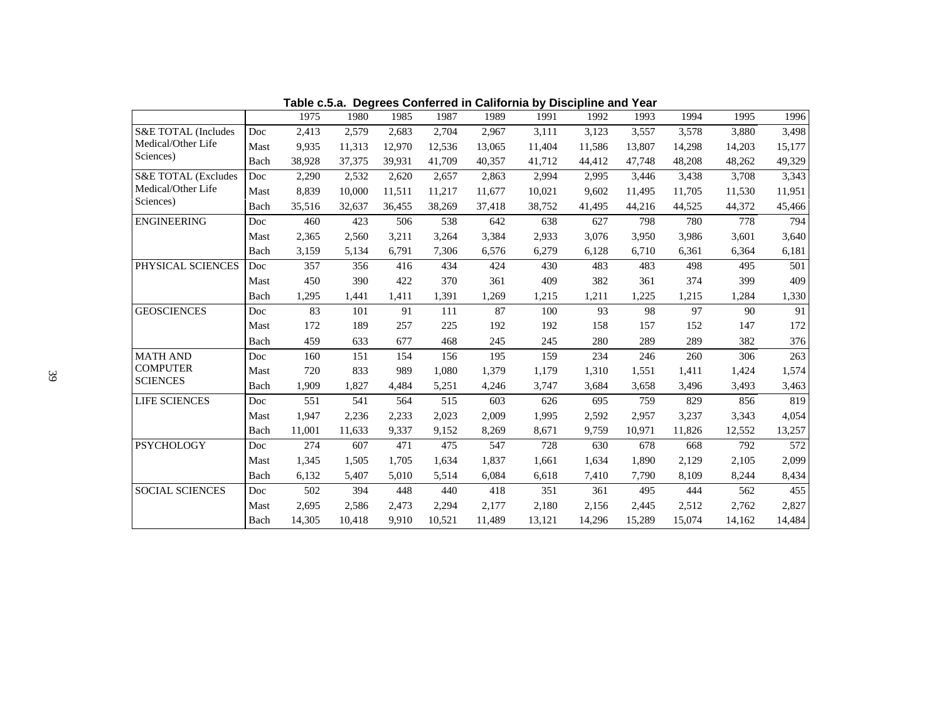|                                |                      | 1975   | 1980   | 1985   | 1987   | 1989   | 1991   | 1992   | 1993   | 1994   | 1995   | 1996   |
|--------------------------------|----------------------|--------|--------|--------|--------|--------|--------|--------|--------|--------|--------|--------|
| S&E TOTAL (Includes            | Doc                  | 2.413  | 2,579  | 2.683  | 2,704  | 2,967  | 3,111  | 3,123  | 3,557  | 3,578  | 3.880  | 3,498  |
| Medical/Other Life             | Mast                 | 9,935  | 11,313 | 12.970 | 12.536 | 13.065 | 11.404 | 11,586 | 13.807 | 14,298 | 14,203 | 15,177 |
| Sciences)                      | Bach                 | 38,928 | 37,375 | 39,931 | 41,709 | 40,357 | 41,712 | 44,412 | 47,748 | 48,208 | 48,262 | 49,329 |
| <b>S&amp;E TOTAL (Excludes</b> | Doc                  | 2,290  | 2,532  | 2.620  | 2,657  | 2,863  | 2,994  | 2,995  | 3,446  | 3,438  | 3,708  | 3,343  |
| Medical/Other Life             | Mast                 | 8.839  | 10.000 | 11,511 | 11,217 | 11.677 | 10,021 | 9,602  | 11.495 | 11.705 | 11,530 | 11,951 |
| Sciences)                      | Bach                 | 35,516 | 32,637 | 36,455 | 38,269 | 37,418 | 38,752 | 41,495 | 44,216 | 44,525 | 44,372 | 45,466 |
| <b>ENGINEERING</b>             | Doc                  | 460    | 423    | 506    | 538    | 642    | 638    | 627    | 798    | 780    | 778    | 794    |
|                                | Mast                 | 2,365  | 2,560  | 3,211  | 3,264  | 3,384  | 2,933  | 3,076  | 3,950  | 3,986  | 3,601  | 3,640  |
|                                | Bach                 | 3,159  | 5,134  | 6,791  | 7,306  | 6,576  | 6,279  | 6,128  | 6,710  | 6,361  | 6,364  | 6,181  |
| PHYSICAL SCIENCES              | Doc                  | 357    | 356    | 416    | 434    | 424    | 430    | 483    | 483    | 498    | 495    | 501    |
|                                | Mast                 | 450    | 390    | 422    | 370    | 361    | 409    | 382    | 361    | 374    | 399    | 409    |
|                                | Bach                 | 1,295  | 1,441  | 1,411  | 1,391  | 1,269  | 1,215  | 1,211  | 1,225  | 1,215  | 1,284  | 1,330  |
| <b>GEOSCIENCES</b>             | Doc                  | 83     | 101    | 91     | 111    | 87     | 100    | 93     | 98     | 97     | 90     | 91     |
|                                | Mast                 | 172    | 189    | 257    | 225    | 192    | 192    | 158    | 157    | 152    | 147    | 172    |
|                                | Bach                 | 459    | 633    | 677    | 468    | 245    | 245    | 280    | 289    | 289    | 382    | 376    |
| <b>MATH AND</b>                | Doc                  | 160    | 151    | 154    | 156    | 195    | 159    | 234    | 246    | 260    | 306    | 263    |
| <b>COMPUTER</b>                | Mast                 | 720    | 833    | 989    | 1.080  | 1.379  | 1.179  | 1,310  | 1,551  | 1,411  | 1,424  | 1,574  |
| <b>SCIENCES</b>                | Bach                 | 1.909  | 1,827  | 4,484  | 5,251  | 4,246  | 3,747  | 3,684  | 3,658  | 3,496  | 3,493  | 3,463  |
| LIFE SCIENCES                  | $\operatorname{Doc}$ | 551    | 541    | 564    | 515    | 603    | 626    | 695    | 759    | 829    | 856    | 819    |
|                                | Mast                 | 1,947  | 2,236  | 2,233  | 2,023  | 2,009  | 1,995  | 2,592  | 2,957  | 3,237  | 3,343  | 4,054  |
|                                | Bach                 | 11,001 | 11,633 | 9,337  | 9,152  | 8,269  | 8,671  | 9,759  | 10,971 | 11,826 | 12,552 | 13,257 |
| <b>PSYCHOLOGY</b>              | Doc                  | 274    | 607    | 471    | 475    | 547    | 728    | 630    | 678    | 668    | 792    | 572    |
|                                | Mast                 | 1,345  | 1,505  | 1.705  | 1,634  | 1,837  | 1,661  | 1,634  | 1.890  | 2,129  | 2,105  | 2,099  |
|                                | Bach                 | 6,132  | 5,407  | 5,010  | 5,514  | 6,084  | 6,618  | 7,410  | 7,790  | 8,109  | 8,244  | 8,434  |
| <b>SOCIAL SCIENCES</b>         | Doc                  | 502    | 394    | 448    | 440    | 418    | 351    | 361    | 495    | 444    | 562    | 455    |
|                                | Mast                 | 2,695  | 2,586  | 2,473  | 2,294  | 2.177  | 2.180  | 2,156  | 2,445  | 2,512  | 2,762  | 2,827  |
|                                | Bach                 | 14,305 | 10,418 | 9,910  | 10.521 | 11,489 | 13,121 | 14,296 | 15,289 | 15,074 | 14,162 | 14,484 |

**Table c.5.a. Degrees Conferred in California by Discipline and Year**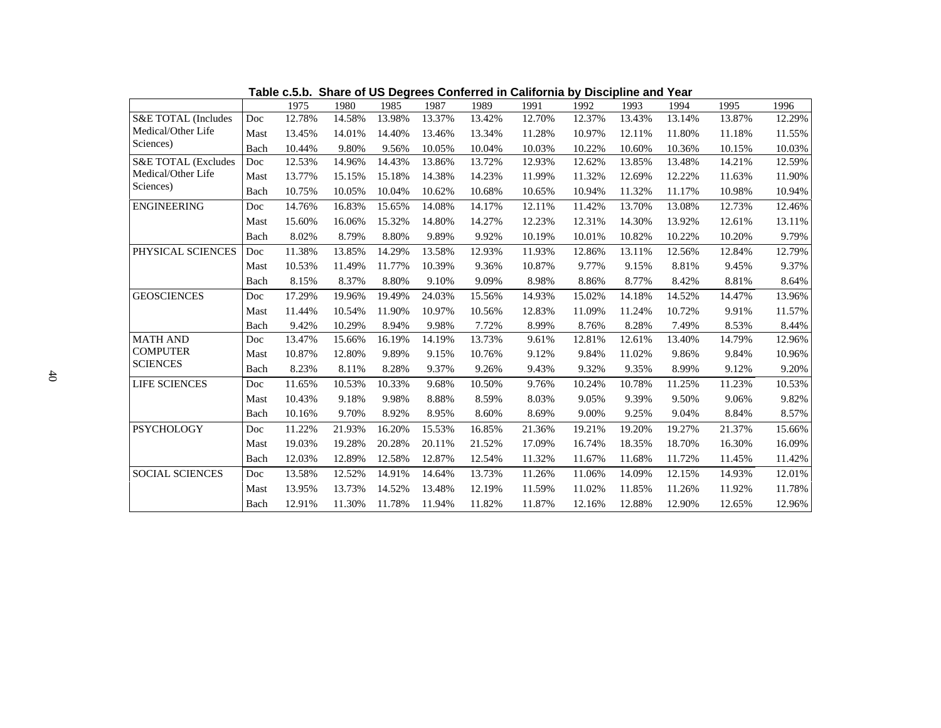|                        |      | 1975   | 1980   | 1985   | 1987   | 1989   | 1991   | 1992   | 1993   | 1994   | 1995   | 1996   |
|------------------------|------|--------|--------|--------|--------|--------|--------|--------|--------|--------|--------|--------|
| S&E TOTAL (Includes    | Doc  | 12.78% | 14.58% | 13.98% | 13.37% | 13.42% | 12.70% | 12.37% | 13.43% | 13.14% | 13.87% | 12.29% |
| Medical/Other Life     | Mast | 13.45% | 14.01% | 14.40% | 13.46% | 13.34% | 11.28% | 10.97% | 12.11% | 11.80% | 11.18% | 11.55% |
| Sciences)              | Bach | 10.44% | 9.80%  | 9.56%  | 10.05% | 10.04% | 10.03% | 10.22% | 10.60% | 10.36% | 10.15% | 10.03% |
| S&E TOTAL (Excludes    | Doc  | 12.53% | 14.96% | 14.43% | 13.86% | 13.72% | 12.93% | 12.62% | 13.85% | 13.48% | 14.21% | 12.59% |
| Medical/Other Life     | Mast | 13.77% | 15.15% | 15.18% | 14.38% | 14.23% | 11.99% | 11.32% | 12.69% | 12.22% | 11.63% | 11.90% |
| Sciences)              | Bach | 10.75% | 10.05% | 10.04% | 10.62% | 10.68% | 10.65% | 10.94% | 11.32% | 11.17% | 10.98% | 10.94% |
| <b>ENGINEERING</b>     | Doc  | 14.76% | 16.83% | 15.65% | 14.08% | 14.17% | 12.11% | 11.42% | 13.70% | 13.08% | 12.73% | 12.46% |
|                        | Mast | 15.60% | 16.06% | 15.32% | 14.80% | 14.27% | 12.23% | 12.31% | 14.30% | 13.92% | 12.61% | 13.11% |
|                        | Bach | 8.02%  | 8.79%  | 8.80%  | 9.89%  | 9.92%  | 10.19% | 10.01% | 10.82% | 10.22% | 10.20% | 9.79%  |
| PHYSICAL SCIENCES      | Doc  | 11.38% | 13.85% | 14.29% | 13.58% | 12.93% | 11.93% | 12.86% | 13.11% | 12.56% | 12.84% | 12.79% |
|                        | Mast | 10.53% | 11.49% | 11.77% | 10.39% | 9.36%  | 10.87% | 9.77%  | 9.15%  | 8.81%  | 9.45%  | 9.37%  |
|                        | Bach | 8.15%  | 8.37%  | 8.80%  | 9.10%  | 9.09%  | 8.98%  | 8.86%  | 8.77%  | 8.42%  | 8.81%  | 8.64%  |
| <b>GEOSCIENCES</b>     | Doc  | 17.29% | 19.96% | 19.49% | 24.03% | 15.56% | 14.93% | 15.02% | 14.18% | 14.52% | 14.47% | 13.96% |
|                        | Mast | 11.44% | 10.54% | 11.90% | 10.97% | 10.56% | 12.83% | 11.09% | 11.24% | 10.72% | 9.91%  | 11.57% |
|                        | Bach | 9.42%  | 10.29% | 8.94%  | 9.98%  | 7.72%  | 8.99%  | 8.76%  | 8.28%  | 7.49%  | 8.53%  | 8.44%  |
| <b>MATH AND</b>        | Doc  | 13.47% | 15.66% | 16.19% | 14.19% | 13.73% | 9.61%  | 12.81% | 12.61% | 13.40% | 14.79% | 12.96% |
| <b>COMPUTER</b>        | Mast | 10.87% | 12.80% | 9.89%  | 9.15%  | 10.76% | 9.12%  | 9.84%  | 11.02% | 9.86%  | 9.84%  | 10.96% |
| <b>SCIENCES</b>        | Bach | 8.23%  | 8.11%  | 8.28%  | 9.37%  | 9.26%  | 9.43%  | 9.32%  | 9.35%  | 8.99%  | 9.12%  | 9.20%  |
| <b>LIFE SCIENCES</b>   | Doc  | 11.65% | 10.53% | 10.33% | 9.68%  | 10.50% | 9.76%  | 10.24% | 10.78% | 11.25% | 11.23% | 10.53% |
|                        | Mast | 10.43% | 9.18%  | 9.98%  | 8.88%  | 8.59%  | 8.03%  | 9.05%  | 9.39%  | 9.50%  | 9.06%  | 9.82%  |
|                        | Bach | 10.16% | 9.70%  | 8.92%  | 8.95%  | 8.60%  | 8.69%  | 9.00%  | 9.25%  | 9.04%  | 8.84%  | 8.57%  |
| <b>PSYCHOLOGY</b>      | Doc  | 11.22% | 21.93% | 16.20% | 15.53% | 16.85% | 21.36% | 19.21% | 19.20% | 19.27% | 21.37% | 15.66% |
|                        | Mast | 19.03% | 19.28% | 20.28% | 20.11% | 21.52% | 17.09% | 16.74% | 18.35% | 18.70% | 16.30% | 16.09% |
|                        | Bach | 12.03% | 12.89% | 12.58% | 12.87% | 12.54% | 11.32% | 11.67% | 11.68% | 11.72% | 11.45% | 11.42% |
| <b>SOCIAL SCIENCES</b> | Doc  | 13.58% | 12.52% | 14.91% | 14.64% | 13.73% | 11.26% | 11.06% | 14.09% | 12.15% | 14.93% | 12.01% |
|                        | Mast | 13.95% | 13.73% | 14.52% | 13.48% | 12.19% | 11.59% | 11.02% | 11.85% | 11.26% | 11.92% | 11.78% |
|                        | Bach | 12.91% | 11.30% | 11.78% | 11.94% | 11.82% | 11.87% | 12.16% | 12.88% | 12.90% | 12.65% | 12.96% |

**Table c.5.b. Share of US Degrees Conferred in California by Discipline and Year**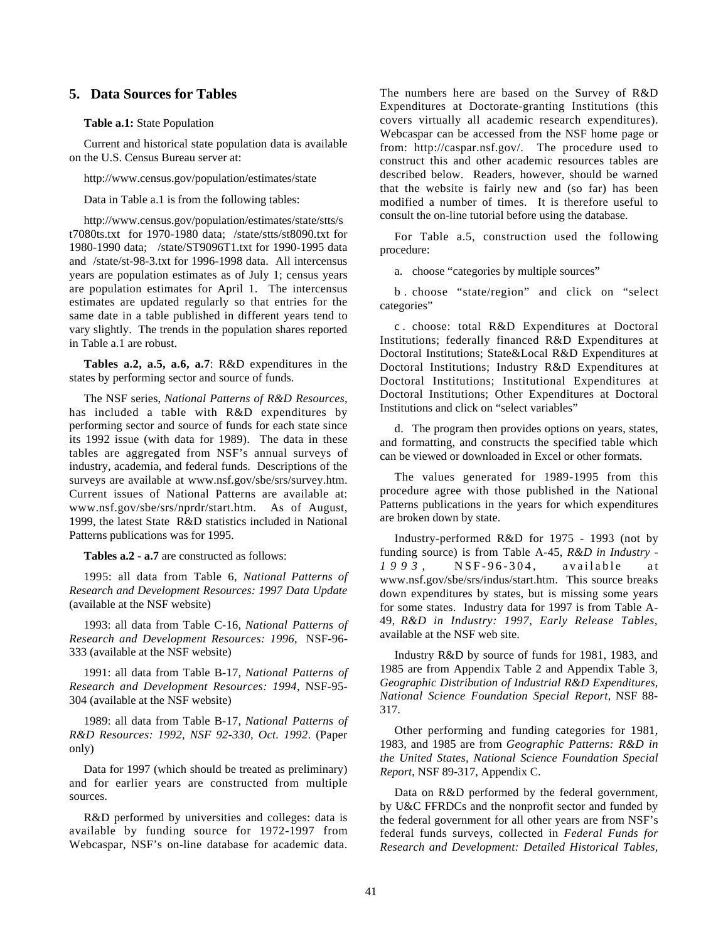## **5. Data Sources for Tables**

#### **Table a.1:** State Population

Current and historical state population data is available on the U.S. Census Bureau server at:

http://www.census.gov/population/estimates/state

Data in Table a.1 is from the following tables:

http://www.census.gov/population/estimates/state/stts/s t7080ts.txt for 1970-1980 data; /state/stts/st8090.txt for 1980-1990 data; /state/ST9096T1.txt for 1990-1995 data and /state/st-98-3.txt for 1996-1998 data. All intercensus years are population estimates as of July 1; census years are population estimates for April 1. The intercensus estimates are updated regularly so that entries for the same date in a table published in different years tend to vary slightly. The trends in the population shares reported in Table a.1 are robust.

**Tables a.2, a.5, a.6, a.7**: R&D expenditures in the states by performing sector and source of funds.

The NSF series, *National Patterns of R&D Resources*, has included a table with R&D expenditures by performing sector and source of funds for each state since its 1992 issue (with data for 1989). The data in these tables are aggregated from NSF's annual surveys of industry, academia, and federal funds. Descriptions of the surveys are available at www.nsf.gov/sbe/srs/survey.htm. Current issues of National Patterns are available at: www.nsf.gov/sbe/srs/nprdr/start.htm. As of August, 1999, the latest State R&D statistics included in National Patterns publications was for 1995.

**Tables a.2 - a.7** are constructed as follows:

1995: all data from Table 6, *National Patterns of Research and Development Resources: 1997 Data Update* (available at the NSF website)

1993: all data from Table C-16, *National Patterns of Research and Development Resources: 1996*, NSF-96- 333 (available at the NSF website)

1991: all data from Table B-17, *National Patterns of Research and Development Resources: 1994*, NSF-95- 304 (available at the NSF website)

1989: all data from Table B-17, *National Patterns of R&D Resources: 1992, NSF 92-330, Oct. 1992*. (Paper only)

Data for 1997 (which should be treated as preliminary) and for earlier years are constructed from multiple sources.

R&D performed by universities and colleges: data is available by funding source for 1972-1997 from Webcaspar, NSF's on-line database for academic data. The numbers here are based on the Survey of R&D Expenditures at Doctorate-granting Institutions (this covers virtually all academic research expenditures). Webcaspar can be accessed from the NSF home page or from: http://caspar.nsf.gov/. The procedure used to construct this and other academic resources tables are described below. Readers, however, should be warned that the website is fairly new and (so far) has been modified a number of times. It is therefore useful to consult the on-line tutorial before using the database.

For Table a.5, construction used the following procedure:

a. choose "categories by multiple sources"

b . choose "state/region" and click on "select categories"

c . choose: total R&D Expenditures at Doctoral Institutions; federally financed R&D Expenditures at Doctoral Institutions; State&Local R&D Expenditures at Doctoral Institutions; Industry R&D Expenditures at Doctoral Institutions; Institutional Expenditures at Doctoral Institutions; Other Expenditures at Doctoral Institutions and click on "select variables"

d. The program then provides options on years, states, and formatting, and constructs the specified table which can be viewed or downloaded in Excel or other formats.

The values generated for 1989-1995 from this procedure agree with those published in the National Patterns publications in the years for which expenditures are broken down by state.

Industry-performed R&D for 1975 - 1993 (not by funding source) is from Table A-45*, R&D in Industry - 1993,* NSF-96-304, available at www.nsf.gov/sbe/srs/indus/start.htm. This source breaks down expenditures by states, but is missing some years for some states. Industry data for 1997 is from Table A-49, *R&D in Industry: 1997, Early Release Tables*, available at the NSF web site.

Industry R&D by source of funds for 1981, 1983, and 1985 are from Appendix Table 2 and Appendix Table 3, *Geographic Distribution of Industrial R&D Expenditures, National Science Foundation Special Report*, NSF 88- 317.

Other performing and funding categories for 1981, 1983, and 1985 are from *Geographic Patterns: R&D in the United States, National Science Foundation Special Report*, NSF 89-317, Appendix C.

Data on R&D performed by the federal government, by U&C FFRDCs and the nonprofit sector and funded by the federal government for all other years are from NSF's federal funds surveys, collected in *Federal Funds for Research and Development: Detailed Historical Tables,*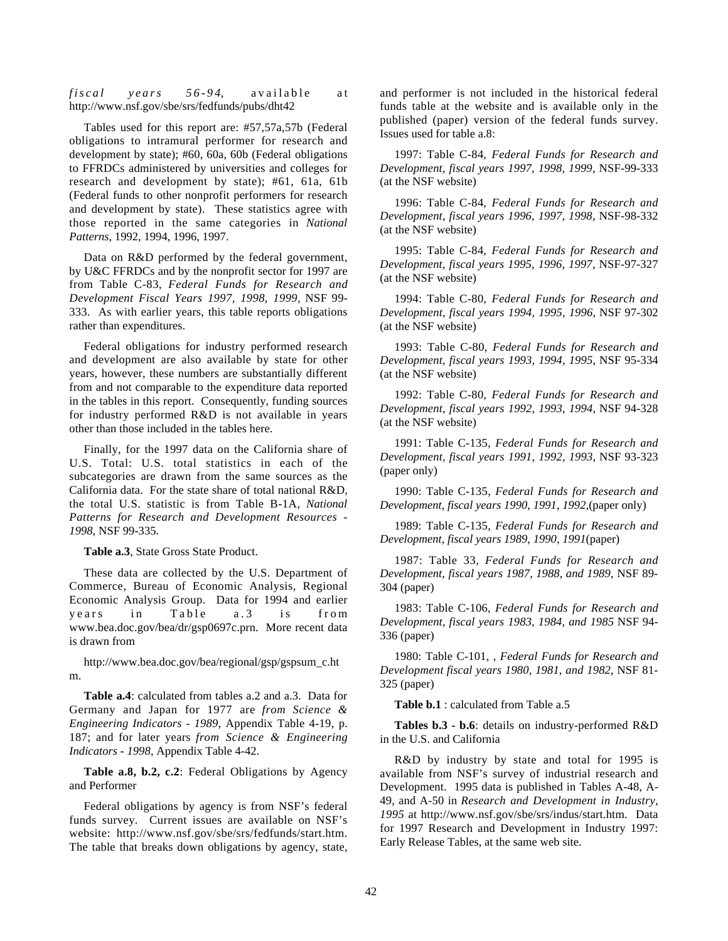*fiscal years 56-94*, available at http://www.nsf.gov/sbe/srs/fedfunds/pubs/dht42

Tables used for this report are: #57,57a,57b (Federal obligations to intramural performer for research and development by state); #60, 60a, 60b (Federal obligations to FFRDCs administered by universities and colleges for research and development by state); #61, 61a, 61b (Federal funds to other nonprofit performers for research and development by state). These statistics agree with those reported in the same categories in *National Patterns*, 1992, 1994, 1996, 1997.

Data on R&D performed by the federal government, by U&C FFRDCs and by the nonprofit sector for 1997 are from Table C-83, *Federal Funds for Research and Development Fiscal Years 1997, 1998, 1999,* NSF 99- 333. As with earlier years, this table reports obligations rather than expenditures.

Federal obligations for industry performed research and development are also available by state for other years, however, these numbers are substantially different from and not comparable to the expenditure data reported in the tables in this report. Consequently, funding sources for industry performed R&D is not available in years other than those included in the tables here.

Finally, for the 1997 data on the California share of U.S. Total: U.S. total statistics in each of the subcategories are drawn from the same sources as the California data. For the state share of total national R&D, the total U.S. statistic is from Table B-1A, *National Patterns for Research and Development Resources - 1998*, NSF 99-335.

**Table a.3**, State Gross State Product.

These data are collected by the U.S. Department of Commerce, Bureau of Economic Analysis, Regional Economic Analysis Group. Data for 1994 and earlier years in Table a.3 is from www.bea.doc.gov/bea/dr/gsp0697c.prn. More recent data is drawn from

http://www.bea.doc.gov/bea/regional/gsp/gspsum\_c.ht m.

**Table a.4**: calculated from tables a.2 and a.3. Data for Germany and Japan for 1977 are *from Science & Engineering Indicators - 1989*, Appendix Table 4-19, p. 187; and for later years *from Science & Engineering Indicators - 1998*, Appendix Table 4-42.

**Table a.8, b.2, c.2**: Federal Obligations by Agency and Performer

Federal obligations by agency is from NSF's federal funds survey. Current issues are available on NSF's website: http://www.nsf.gov/sbe/srs/fedfunds/start.htm. The table that breaks down obligations by agency, state,

and performer is not included in the historical federal funds table at the website and is available only in the published (paper) version of the federal funds survey. Issues used for table a.8:

1997: Table C-84*, Federal Funds for Research and Development, fiscal years 1997, 1998, 1999*, NSF-99-333 (at the NSF website)

1996: Table C-84*, Federal Funds for Research and Development, fiscal years 1996, 1997, 1998*, NSF-98-332 (at the NSF website)

1995: Table C-84*, Federal Funds for Research and Development, fiscal years 1995, 1996, 1997*, NSF-97-327 (at the NSF website)

1994: Table C-80*, Federal Funds for Research and Development, fiscal years 1994, 1995, 1996*, NSF 97-302 (at the NSF website)

1993: Table C-80, *Federal Funds for Research and Development, fiscal years 1993, 1994, 1995*, NSF 95-334 (at the NSF website)

1992: Table C-80*, Federal Funds for Research and Development, fiscal years 1992, 1993, 1994*, NSF 94-328 (at the NSF website)

1991: Table C-135*, Federal Funds for Research and Development, fiscal years 1991, 1992, 1993*, NSF 93-323 (paper only)

1990: Table C-135*, Federal Funds for Research and Development, fiscal years 1990, 1991, 1992,*(paper only)

1989: Table C-135*, Federal Funds for Research and Development, fiscal years 1989, 1990, 1991*(paper)

1987: Table 33*, Federal Funds for Research and Development, fiscal years 1987, 1988, and 1989*, NSF 89- 304 (paper)

1983: Table C-106, *Federal Funds for Research and Development, fiscal years 1983, 1984, and 1985* NSF 94- 336 (paper)

1980: Table C-101, , *Federal Funds for Research and Development fiscal years 1980, 1981, and 1982*, NSF 81- 325 (paper)

**Table b.1** : calculated from Table a.5

**Tables b.3 - b.6**: details on industry-performed R&D in the U.S. and California

R&D by industry by state and total for 1995 is available from NSF's survey of industrial research and Development. 1995 data is published in Tables A-48, A-49, and A-50 in *Research and Development in Industry, 1995* at http://www.nsf.gov/sbe/srs/indus/start.htm. Data for 1997 Research and Development in Industry 1997: Early Release Tables, at the same web site.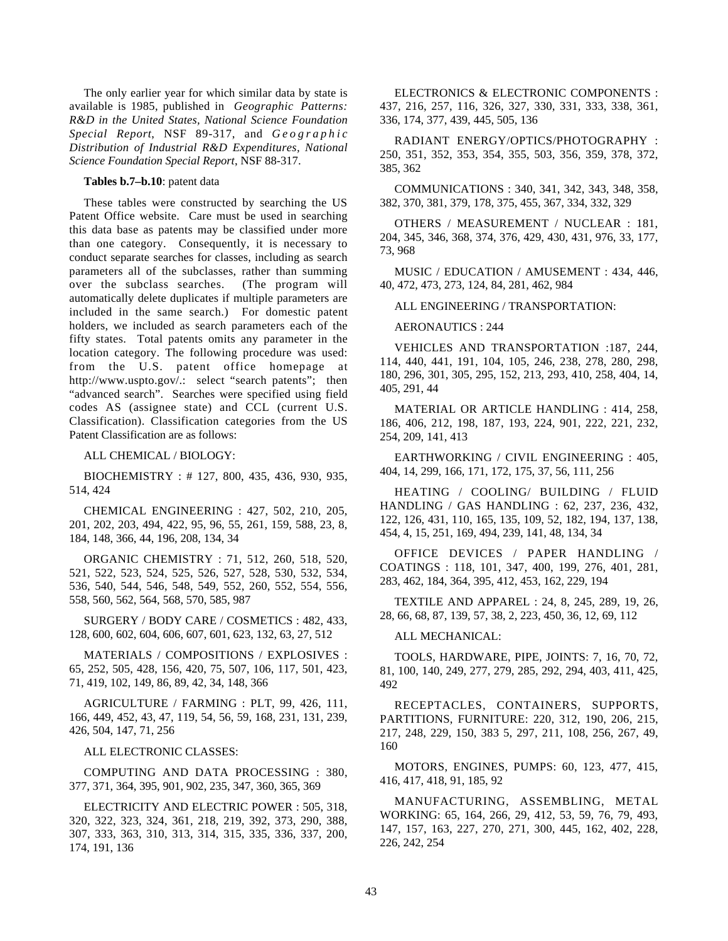The only earlier year for which similar data by state is available is 1985, published in *Geographic Patterns: R&D in the United States, National Science Foundation Special Report*, NSF 89-317, and *Geographic Distribution of Industrial R&D Expenditures, National Science Foundation Special Report*, NSF 88-317.

#### **Tables b.7–b.10**: patent data

These tables were constructed by searching the US Patent Office website. Care must be used in searching this data base as patents may be classified under more than one category. Consequently, it is necessary to conduct separate searches for classes, including as search parameters all of the subclasses, rather than summing over the subclass searches. (The program will automatically delete duplicates if multiple parameters are included in the same search.) For domestic patent holders, we included as search parameters each of the fifty states. Total patents omits any parameter in the location category. The following procedure was used: from the U.S. patent office homepage at http://www.uspto.gov/.: select "search patents"; then "advanced search". Searches were specified using field codes AS (assignee state) and CCL (current U.S. Classification). Classification categories from the US Patent Classification are as follows:

ALL CHEMICAL / BIOLOGY:

BIOCHEMISTRY : # 127, 800, 435, 436, 930, 935, 514, 424

CHEMICAL ENGINEERING : 427, 502, 210, 205, 201, 202, 203, 494, 422, 95, 96, 55, 261, 159, 588, 23, 8, 184, 148, 366, 44, 196, 208, 134, 34

ORGANIC CHEMISTRY : 71, 512, 260, 518, 520, 521, 522, 523, 524, 525, 526, 527, 528, 530, 532, 534, 536, 540, 544, 546, 548, 549, 552, 260, 552, 554, 556, 558, 560, 562, 564, 568, 570, 585, 987

SURGERY / BODY CARE / COSMETICS : 482, 433, 128, 600, 602, 604, 606, 607, 601, 623, 132, 63, 27, 512

MATERIALS / COMPOSITIONS / EXPLOSIVES : 65, 252, 505, 428, 156, 420, 75, 507, 106, 117, 501, 423, 71, 419, 102, 149, 86, 89, 42, 34, 148, 366

AGRICULTURE / FARMING : PLT, 99, 426, 111, 166, 449, 452, 43, 47, 119, 54, 56, 59, 168, 231, 131, 239, 426, 504, 147, 71, 256

ALL ELECTRONIC CLASSES:

COMPUTING AND DATA PROCESSING : 380, 377, 371, 364, 395, 901, 902, 235, 347, 360, 365, 369

ELECTRICITY AND ELECTRIC POWER : 505, 318, 320, 322, 323, 324, 361, 218, 219, 392, 373, 290, 388, 307, 333, 363, 310, 313, 314, 315, 335, 336, 337, 200, 174, 191, 136

ELECTRONICS & ELECTRONIC COMPONENTS : 437, 216, 257, 116, 326, 327, 330, 331, 333, 338, 361, 336, 174, 377, 439, 445, 505, 136

RADIANT ENERGY/OPTICS/PHOTOGRAPHY : 250, 351, 352, 353, 354, 355, 503, 356, 359, 378, 372, 385, 362

COMMUNICATIONS : 340, 341, 342, 343, 348, 358, 382, 370, 381, 379, 178, 375, 455, 367, 334, 332, 329

OTHERS / MEASUREMENT / NUCLEAR : 181, 204, 345, 346, 368, 374, 376, 429, 430, 431, 976, 33, 177, 73, 968

MUSIC / EDUCATION / AMUSEMENT : 434, 446, 40, 472, 473, 273, 124, 84, 281, 462, 984

ALL ENGINEERING / TRANSPORTATION:

AERONAUTICS : 244

VEHICLES AND TRANSPORTATION :187, 244, 114, 440, 441, 191, 104, 105, 246, 238, 278, 280, 298, 180, 296, 301, 305, 295, 152, 213, 293, 410, 258, 404, 14, 405, 291, 44

MATERIAL OR ARTICLE HANDLING : 414, 258, 186, 406, 212, 198, 187, 193, 224, 901, 222, 221, 232, 254, 209, 141, 413

EARTHWORKING / CIVIL ENGINEERING : 405, 404, 14, 299, 166, 171, 172, 175, 37, 56, 111, 256

HEATING / COOLING/ BUILDING / FLUID HANDLING / GAS HANDLING : 62, 237, 236, 432, 122, 126, 431, 110, 165, 135, 109, 52, 182, 194, 137, 138, 454, 4, 15, 251, 169, 494, 239, 141, 48, 134, 34

OFFICE DEVICES / PAPER HANDLING / COATINGS : 118, 101, 347, 400, 199, 276, 401, 281, 283, 462, 184, 364, 395, 412, 453, 162, 229, 194

TEXTILE AND APPAREL : 24, 8, 245, 289, 19, 26, 28, 66, 68, 87, 139, 57, 38, 2, 223, 450, 36, 12, 69, 112

ALL MECHANICAL:

TOOLS, HARDWARE, PIPE, JOINTS: 7, 16, 70, 72, 81, 100, 140, 249, 277, 279, 285, 292, 294, 403, 411, 425, 492

RECEPTACLES, CONTAINERS, SUPPORTS, PARTITIONS, FURNITURE: 220, 312, 190, 206, 215, 217, 248, 229, 150, 383 5, 297, 211, 108, 256, 267, 49, 160

MOTORS, ENGINES, PUMPS: 60, 123, 477, 415, 416, 417, 418, 91, 185, 92

MANUFACTURING, ASSEMBLING, METAL WORKING: 65, 164, 266, 29, 412, 53, 59, 76, 79, 493, 147, 157, 163, 227, 270, 271, 300, 445, 162, 402, 228, 226, 242, 254